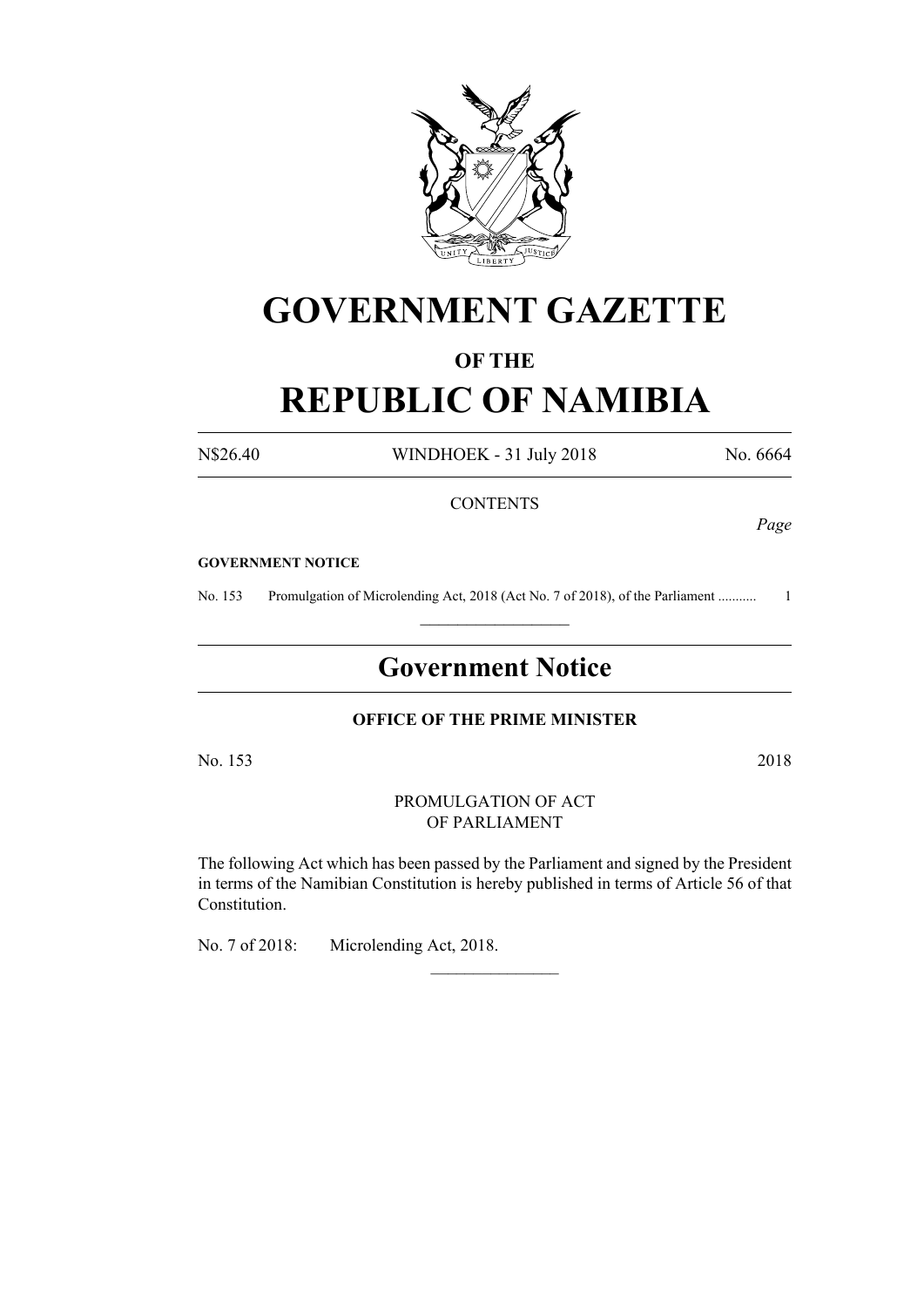

# **GOVERNMENT GAZETTE**

## **OF THE**

# **REPUBLIC OF NAMIBIA**

N\$26.40 WINDHOEK - 31 July 2018 No. 6664

### **CONTENTS**

*Page*

#### **GOVERNMENT NOTICE**

No. 153 Promulgation of Microlending Act, 2018 (Act No. 7 of 2018), of the Parliament ........................  $\frac{1}{2}$  ,  $\frac{1}{2}$  ,  $\frac{1}{2}$  ,  $\frac{1}{2}$  ,  $\frac{1}{2}$  ,  $\frac{1}{2}$  ,  $\frac{1}{2}$ 

# **Government Notice**

#### **OFFICE OF THE PRIME MINISTER**

No. 153 2018

#### PROMULGATION OF ACT OF PARLIAMENT

The following Act which has been passed by the Parliament and signed by the President in terms of the Namibian Constitution is hereby published in terms of Article 56 of that Constitution.

 $\overline{\phantom{a}}$  , where  $\overline{\phantom{a}}$ 

No. 7 of 2018: Microlending Act, 2018.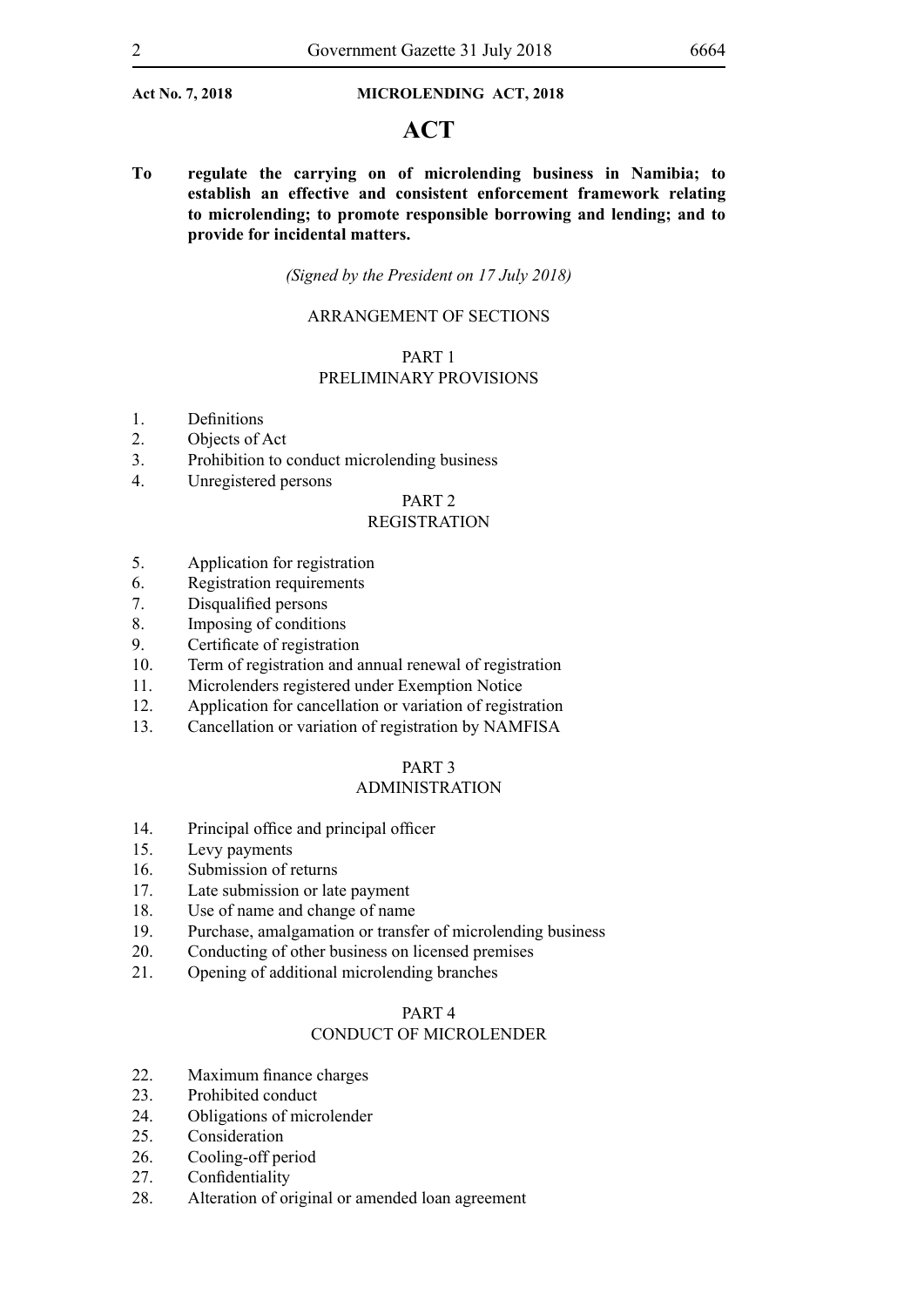## **ACT**

**To regulate the carrying on of microlending business in Namibia; to establish an effective and consistent enforcement framework relating to microlending; to promote responsible borrowing and lending; and to provide for incidental matters.**

#### *(Signed by the President on 17 July 2018)*

#### ARRANGEMENT OF SECTIONS

#### PART 1

### PRELIMINARY PROVISIONS

- 1. Definitions
- 2. Objects of Act
- 3. Prohibition to conduct microlending business
- 4. Unregistered persons

### PART 2

### REGISTRATION

- 5. Application for registration
- 6. Registration requirements
- 7. Disqualified persons
- 8. Imposing of conditions
- 9. Certificate of registration
- 10. Term of registration and annual renewal of registration
- 11. Microlenders registered under Exemption Notice
- 12. Application for cancellation or variation of registration
- 13. Cancellation or variation of registration by NAMFISA

#### PART 3

### ADMINISTRATION

- 14. Principal office and principal officer
- 15. Levy payments
- 16. Submission of returns
- 17. Late submission or late payment
- 18. Use of name and change of name
- 19. Purchase, amalgamation or transfer of microlending business
- 20. Conducting of other business on licensed premises
- 21. Opening of additional microlending branches

#### PART 4

### CONDUCT OF MICROLENDER

- 22. Maximum finance charges
- 23. Prohibited conduct
- 24. Obligations of microlender
- 25. Consideration
- 26. Cooling-off period
- 27. Confidentiality
- 28. Alteration of original or amended loan agreement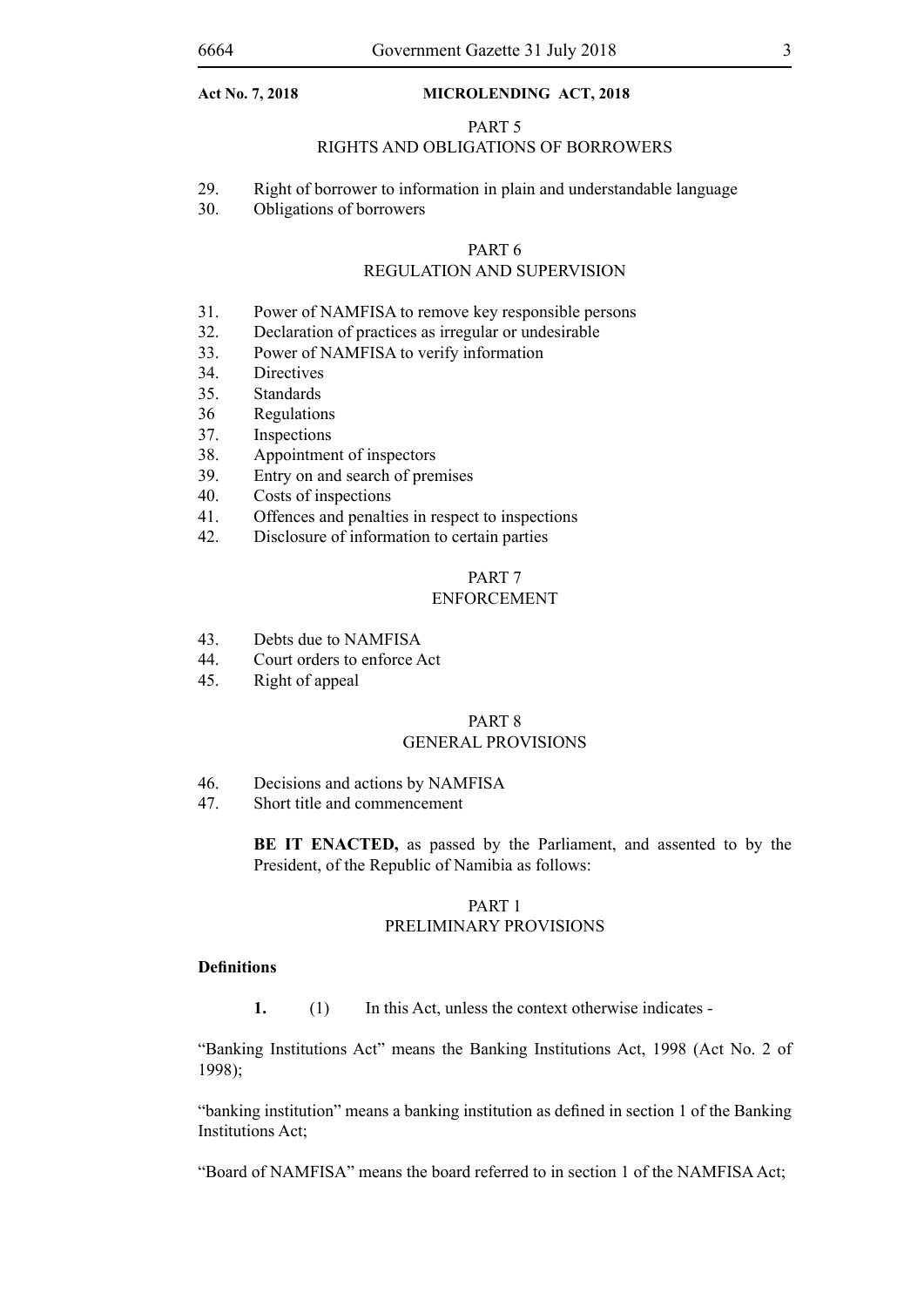#### PART 5

### RIGHTS AND OBLIGATIONS OF BORROWERS

- 29. Right of borrower to information in plain and understandable language
- 30. Obligations of borrowers

# PART 6

### REGULATION AND SUPERVISION

- 31. Power of NAMFISA to remove key responsible persons
- 32. Declaration of practices as irregular or undesirable
- 33. Power of NAMFISA to verify information
- 34. Directives
- 35. Standards
- 36 Regulations
- 37. Inspections
- 38. Appointment of inspectors
- 39. Entry on and search of premises
- 40. Costs of inspections
- 41. Offences and penalties in respect to inspections
- 42. Disclosure of information to certain parties

#### PART 7 ENFORCEMENT

- 43. Debts due to NAMFISA
- 44. Court orders to enforce Act
- 45. Right of appeal

#### PART 8 GENERAL PROVISIONS

- 46. Decisions and actions by NAMFISA
- 47. Short title and commencement

**BE IT ENACTED,** as passed by the Parliament, and assented to by the President, of the Republic of Namibia as follows:

#### PART 1 PRELIMINARY PROVISIONS

#### **Definitions**

**1.** (1) In this Act, unless the context otherwise indicates -

"Banking Institutions Act" means the Banking Institutions Act, 1998 (Act No. 2 of 1998);

"banking institution" means a banking institution as defined in section 1 of the Banking Institutions Act;

"Board of NAMFISA" means the board referred to in section 1 of the NAMFISA Act;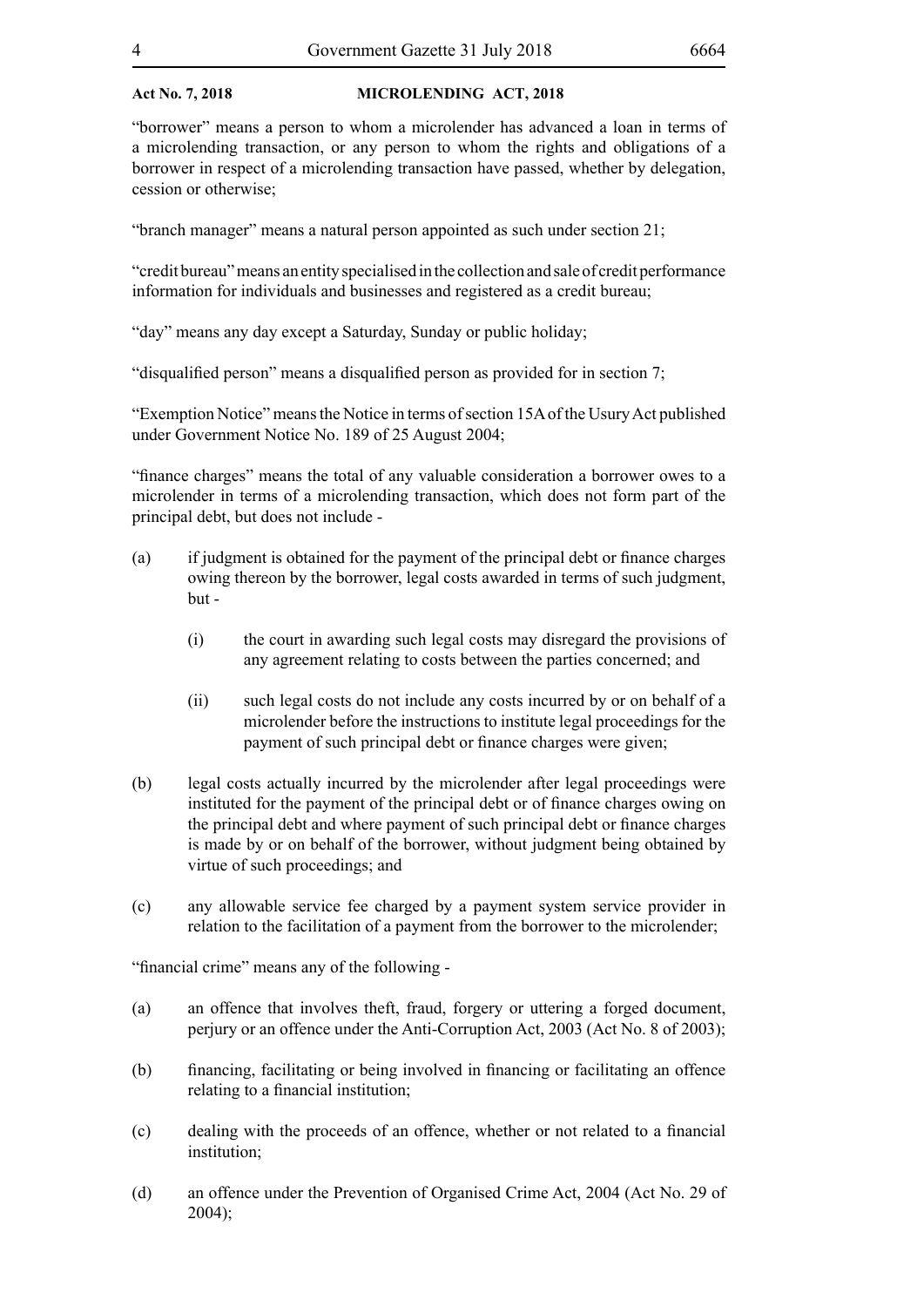"borrower" means a person to whom a microlender has advanced a loan in terms of a microlending transaction, or any person to whom the rights and obligations of a borrower in respect of a microlending transaction have passed, whether by delegation, cession or otherwise;

"branch manager" means a natural person appointed as such under section 21;

"credit bureau" means an entity specialised in the collection and sale of credit performance information for individuals and businesses and registered as a credit bureau;

"day" means any day except a Saturday, Sunday or public holiday;

"disqualified person" means a disqualified person as provided for in section 7;

"Exemption Notice" means the Notice in terms of section 15A of the Usury Act published under Government Notice No. 189 of 25 August 2004;

"finance charges" means the total of any valuable consideration a borrower owes to a microlender in terms of a microlending transaction, which does not form part of the principal debt, but does not include -

- (a) if judgment is obtained for the payment of the principal debt or finance charges owing thereon by the borrower, legal costs awarded in terms of such judgment, but -
	- (i) the court in awarding such legal costs may disregard the provisions of any agreement relating to costs between the parties concerned; and
	- (ii) such legal costs do not include any costs incurred by or on behalf of a microlender before the instructions to institute legal proceedings for the payment of such principal debt or finance charges were given;
- (b) legal costs actually incurred by the microlender after legal proceedings were instituted for the payment of the principal debt or of finance charges owing on the principal debt and where payment of such principal debt or finance charges is made by or on behalf of the borrower, without judgment being obtained by virtue of such proceedings; and
- (c) any allowable service fee charged by a payment system service provider in relation to the facilitation of a payment from the borrower to the microlender;

"financial crime" means any of the following -

- (a) an offence that involves theft, fraud, forgery or uttering a forged document, perjury or an offence under the Anti-Corruption Act, 2003 (Act No. 8 of 2003);
- (b) financing, facilitating or being involved in financing or facilitating an offence relating to a financial institution;
- (c) dealing with the proceeds of an offence, whether or not related to a financial institution;
- (d) an offence under the Prevention of Organised Crime Act, 2004 (Act No. 29 of  $2004$ ;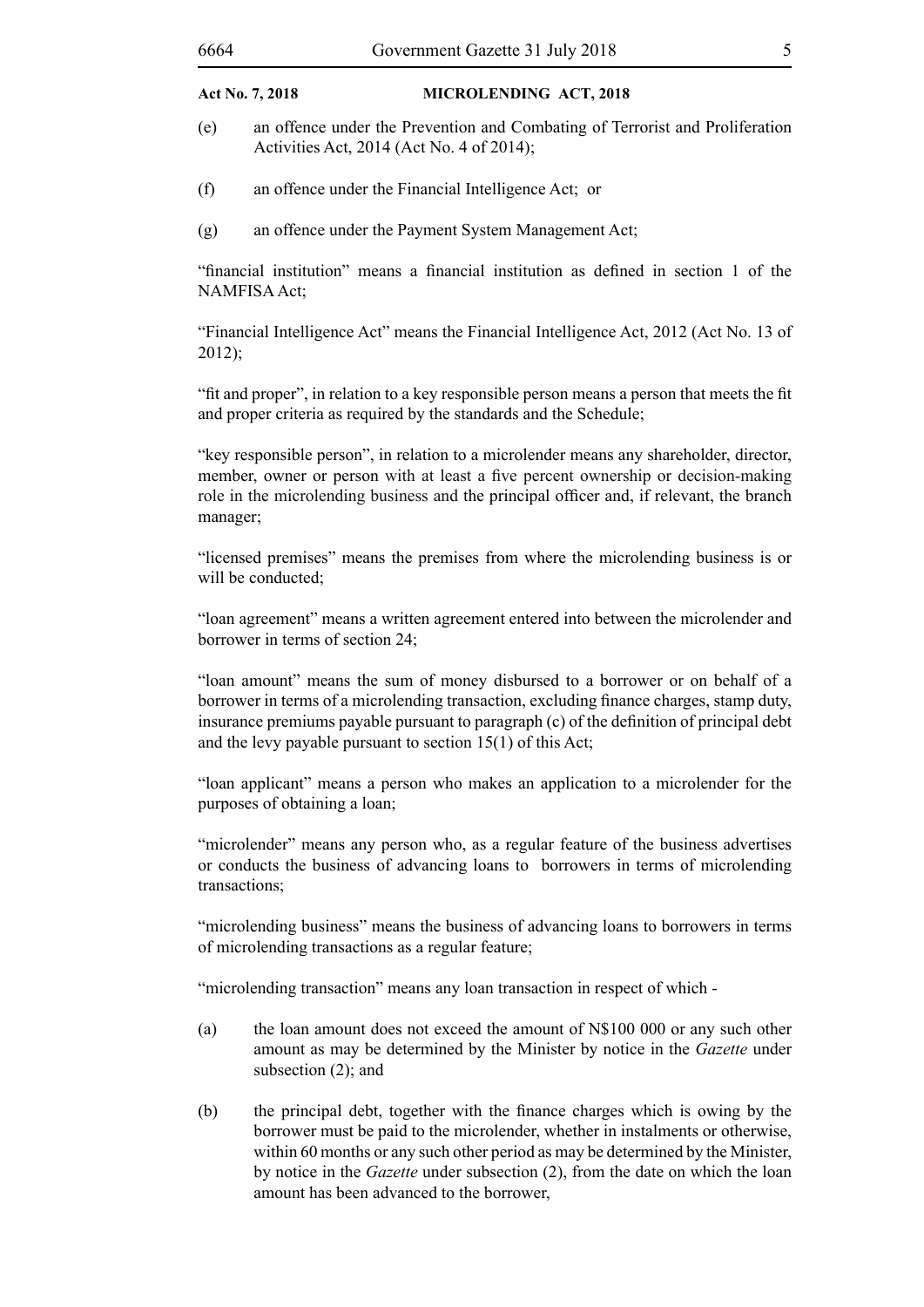- (e) an offence under the Prevention and Combating of Terrorist and Proliferation Activities Act, 2014 (Act No. 4 of 2014);
- (f) an offence under the Financial Intelligence Act; or
- (g) an offence under the Payment System Management Act;

"financial institution" means a financial institution as defined in section 1 of the NAMFISA Act;

"Financial Intelligence Act" means the Financial Intelligence Act, 2012 (Act No. 13 of 2012);

"fit and proper", in relation to a key responsible person means a person that meets the fit and proper criteria as required by the standards and the Schedule;

"key responsible person", in relation to a microlender means any shareholder, director, member, owner or person with at least a five percent ownership or decision-making role in the microlending business and the principal officer and, if relevant, the branch manager;

"licensed premises" means the premises from where the microlending business is or will be conducted:

"loan agreement" means a written agreement entered into between the microlender and borrower in terms of section 24;

"loan amount" means the sum of money disbursed to a borrower or on behalf of a borrower in terms of a microlending transaction, excluding finance charges, stamp duty, insurance premiums payable pursuant to paragraph (c) of the definition of principal debt and the levy payable pursuant to section 15(1) of this Act;

"loan applicant" means a person who makes an application to a microlender for the purposes of obtaining a loan;

"microlender" means any person who, as a regular feature of the business advertises or conducts the business of advancing loans to borrowers in terms of microlending transactions;

"microlending business" means the business of advancing loans to borrowers in terms of microlending transactions as a regular feature;

"microlending transaction" means any loan transaction in respect of which -

- (a) the loan amount does not exceed the amount of N\$100 000 or any such other amount as may be determined by the Minister by notice in the *Gazette* under subsection (2); and
- (b) the principal debt, together with the finance charges which is owing by the borrower must be paid to the microlender, whether in instalments or otherwise, within 60 months or any such other period as may be determined by the Minister, by notice in the *Gazette* under subsection (2), from the date on which the loan amount has been advanced to the borrower,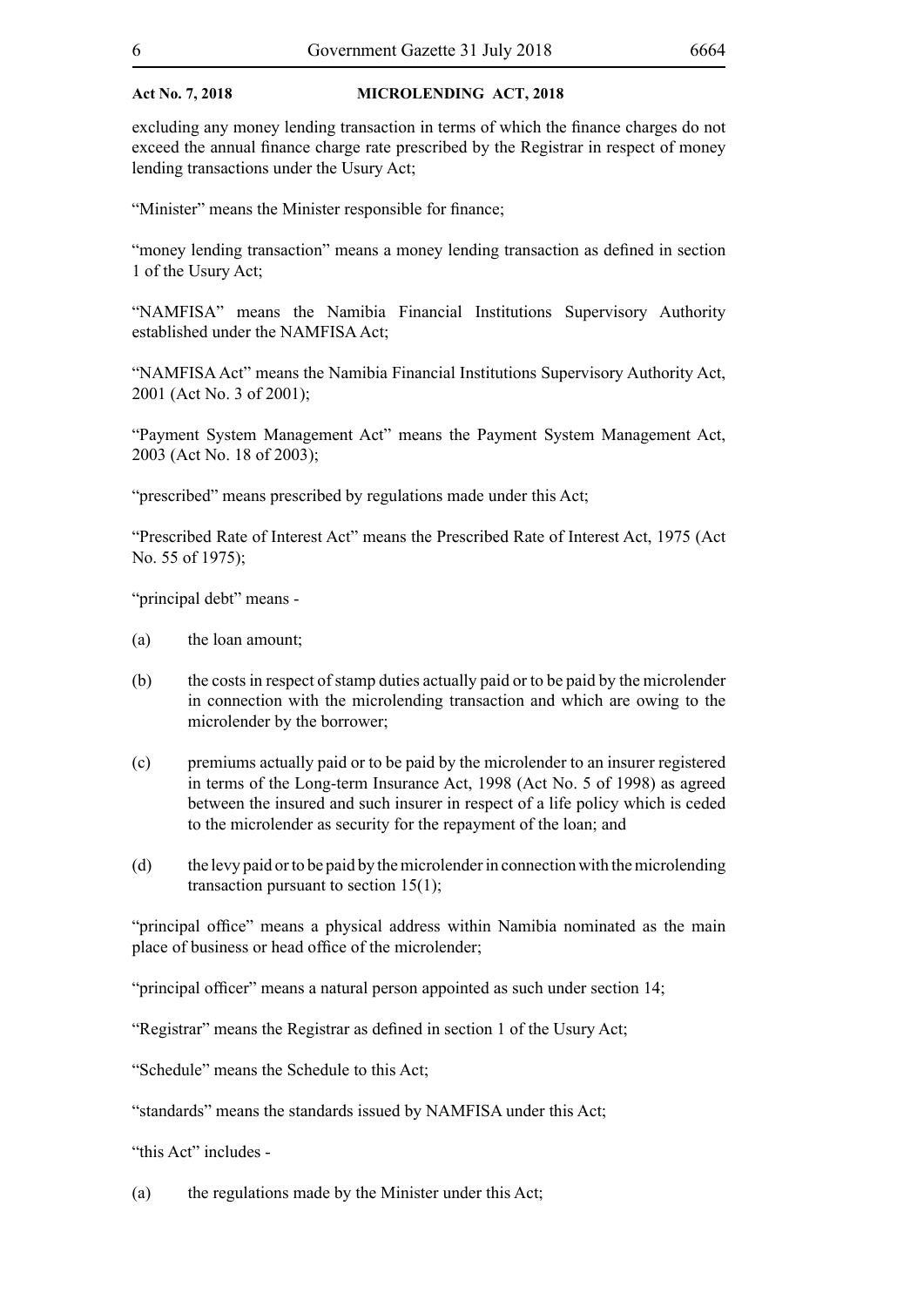excluding any money lending transaction in terms of which the finance charges do not exceed the annual finance charge rate prescribed by the Registrar in respect of money lending transactions under the Usury Act;

"Minister" means the Minister responsible for finance;

"money lending transaction" means a money lending transaction as defined in section 1 of the Usury Act;

"NAMFISA" means the Namibia Financial Institutions Supervisory Authority established under the NAMFISA Act;

"NAMFISA Act" means the Namibia Financial Institutions Supervisory Authority Act, 2001 (Act No. 3 of 2001);

"Payment System Management Act" means the Payment System Management Act, 2003 (Act No. 18 of 2003);

"prescribed" means prescribed by regulations made under this Act;

"Prescribed Rate of Interest Act" means the Prescribed Rate of Interest Act, 1975 (Act No. 55 of 1975);

"principal debt" means -

- (a) the loan amount;
- (b) the costs in respect of stamp duties actually paid or to be paid by the microlender in connection with the microlending transaction and which are owing to the microlender by the borrower;
- (c) premiums actually paid or to be paid by the microlender to an insurer registered in terms of the Long-term Insurance Act, 1998 (Act No. 5 of 1998) as agreed between the insured and such insurer in respect of a life policy which is ceded to the microlender as security for the repayment of the loan; and
- (d) the levy paid or to be paid by the microlender in connection with the microlending transaction pursuant to section 15(1);

"principal office" means a physical address within Namibia nominated as the main place of business or head office of the microlender;

"principal officer" means a natural person appointed as such under section 14;

"Registrar" means the Registrar as defined in section 1 of the Usury Act;

"Schedule" means the Schedule to this Act;

"standards" means the standards issued by NAMFISA under this Act;

"this Act" includes -

(a) the regulations made by the Minister under this Act;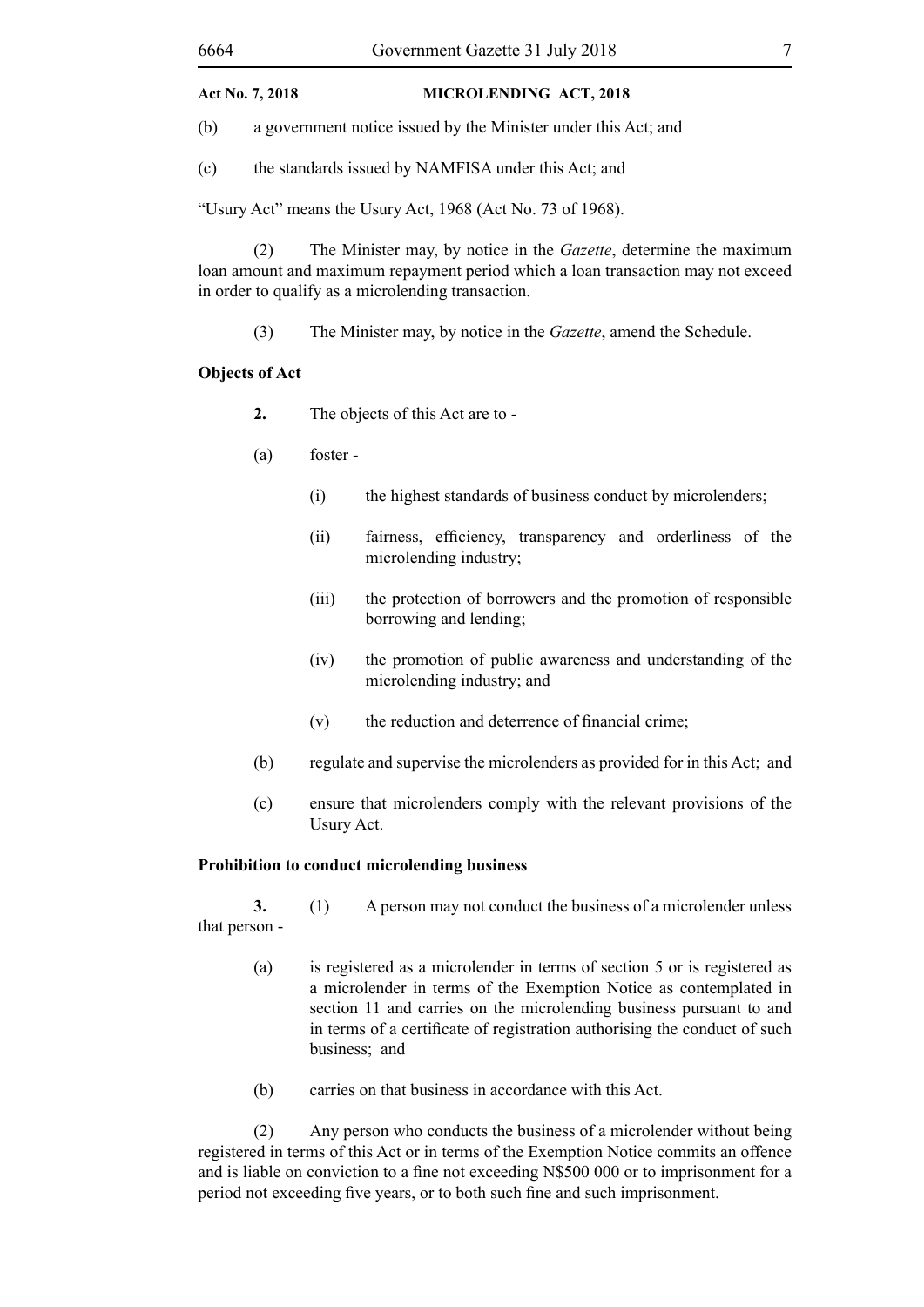(b) a government notice issued by the Minister under this Act; and

(c) the standards issued by NAMFISA under this Act; and

"Usury Act" means the Usury Act, 1968 (Act No. 73 of 1968).

(2) The Minister may, by notice in the *Gazette*, determine the maximum loan amount and maximum repayment period which a loan transaction may not exceed in order to qualify as a microlending transaction.

(3) The Minister may, by notice in the *Gazette*, amend the Schedule.

#### **Objects of Act**

- **2.** The objects of this Act are to -
- (a) foster
	- (i) the highest standards of business conduct by microlenders;
	- (ii) fairness, efficiency, transparency and orderliness of the microlending industry;
	- (iii) the protection of borrowers and the promotion of responsible borrowing and lending;
	- (iv) the promotion of public awareness and understanding of the microlending industry; and
	- (v) the reduction and deterrence of financial crime;
- (b) regulate and supervise the microlenders as provided for in this Act; and
- (c) ensure that microlenders comply with the relevant provisions of the Usury Act.

#### **Prohibition to conduct microlending business**

**3.** (1) A person may not conduct the business of a microlender unless that person -

- (a) is registered as a microlender in terms of section 5 or is registered as a microlender in terms of the Exemption Notice as contemplated in section 11 and carries on the microlending business pursuant to and in terms of a certificate of registration authorising the conduct of such business; and
- (b) carries on that business in accordance with this Act.

(2) Any person who conducts the business of a microlender without being registered in terms of this Act or in terms of the Exemption Notice commits an offence and is liable on conviction to a fine not exceeding N\$500 000 or to imprisonment for a period not exceeding five years, or to both such fine and such imprisonment.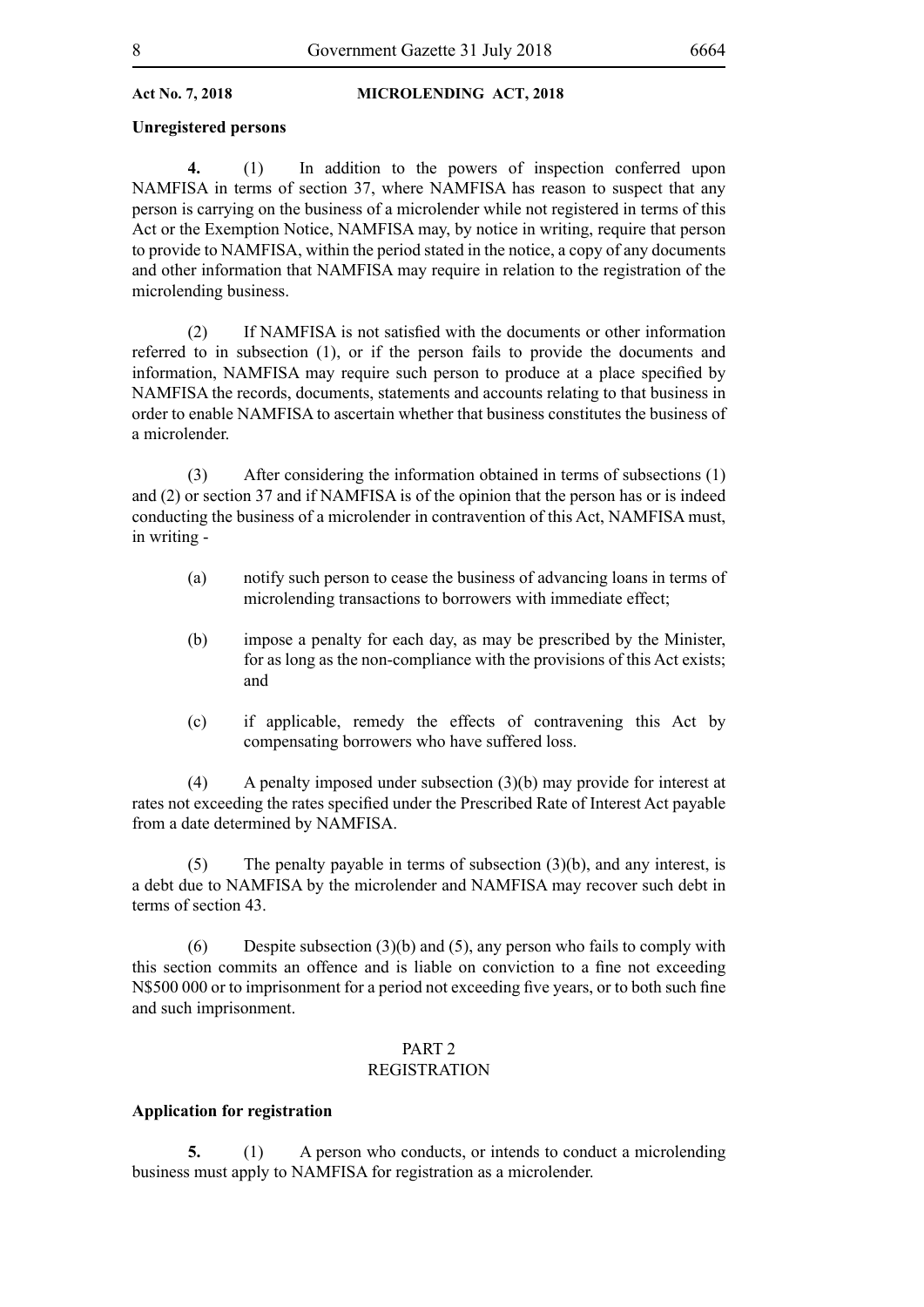#### **Unregistered persons**

**4.** (1) In addition to the powers of inspection conferred upon NAMFISA in terms of section 37, where NAMFISA has reason to suspect that any person is carrying on the business of a microlender while not registered in terms of this Act or the Exemption Notice, NAMFISA may, by notice in writing, require that person to provide to NAMFISA, within the period stated in the notice, a copy of any documents and other information that NAMFISA may require in relation to the registration of the microlending business.

 (2) If NAMFISA is not satisfied with the documents or other information referred to in subsection (1), or if the person fails to provide the documents and information, NAMFISA may require such person to produce at a place specified by NAMFISA the records, documents, statements and accounts relating to that business in order to enable NAMFISA to ascertain whether that business constitutes the business of a microlender.

(3) After considering the information obtained in terms of subsections (1) and (2) or section 37 and if NAMFISA is of the opinion that the person has or is indeed conducting the business of a microlender in contravention of this Act, NAMFISA must, in writing -

- (a) notify such person to cease the business of advancing loans in terms of microlending transactions to borrowers with immediate effect;
- (b) impose a penalty for each day, as may be prescribed by the Minister, for as long as the non-compliance with the provisions of this Act exists; and
- (c) if applicable, remedy the effects of contravening this Act by compensating borrowers who have suffered loss.

(4) A penalty imposed under subsection (3)(b) may provide for interest at rates not exceeding the rates specified under the Prescribed Rate of Interest Act payable from a date determined by NAMFISA.

(5) The penalty payable in terms of subsection (3)(b), and any interest, is a debt due to NAMFISA by the microlender and NAMFISA may recover such debt in terms of section 43.

(6) Despite subsection (3)(b) and (5), any person who fails to comply with this section commits an offence and is liable on conviction to a fine not exceeding N\$500 000 or to imprisonment for a period not exceeding five years, or to both such fine and such imprisonment.

#### PART 2 REGISTRATION

#### **Application for registration**

**5.** (1) A person who conducts, or intends to conduct a microlending business must apply to NAMFISA for registration as a microlender.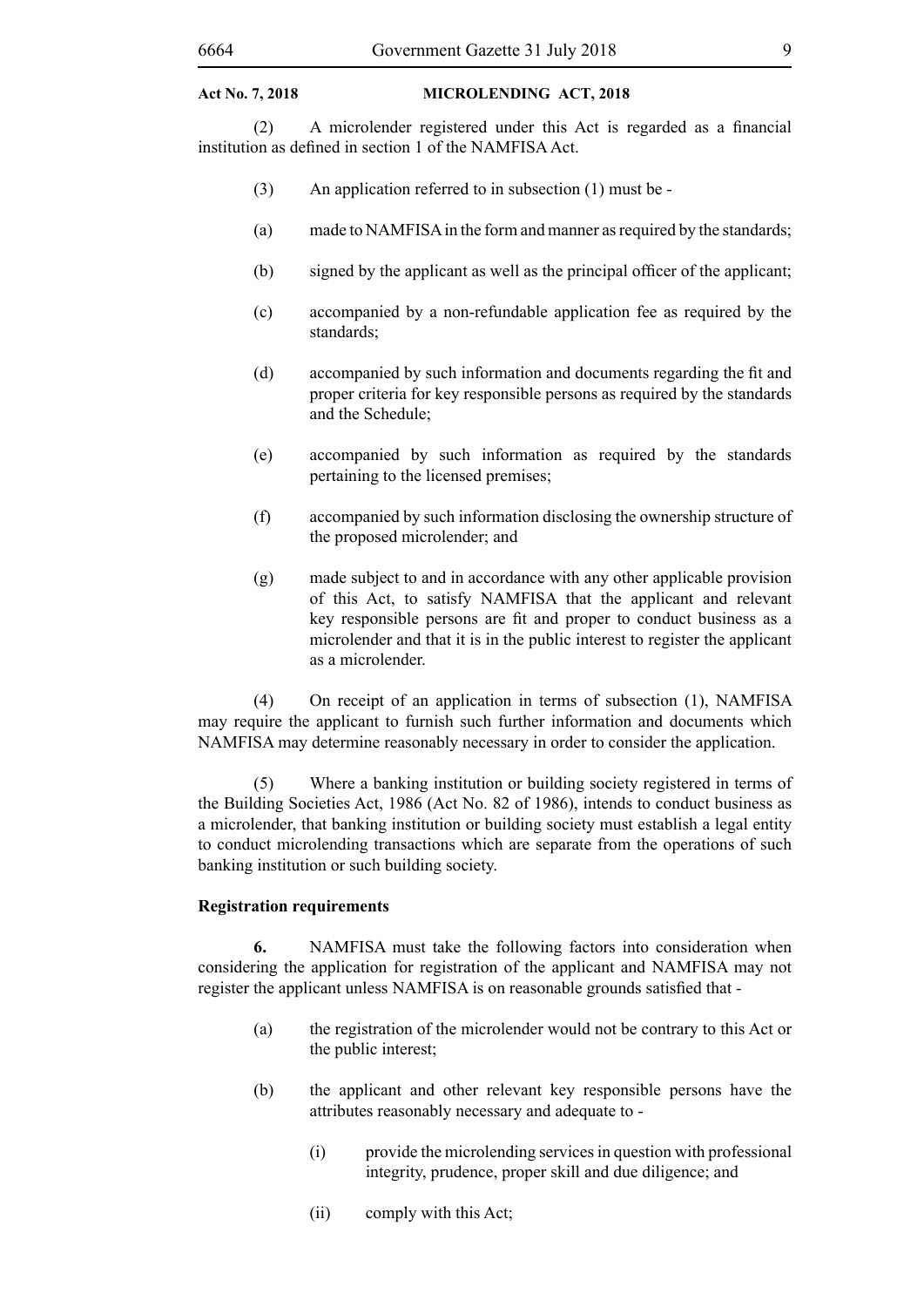(2) A microlender registered under this Act is regarded as a financial institution as defined in section 1 of the NAMFISA Act.

- (3) An application referred to in subsection (1) must be -
- (a) made to NAMFISA in the form and manner as required by the standards;
- (b) signed by the applicant as well as the principal officer of the applicant;
- (c) accompanied by a non-refundable application fee as required by the standards;
- (d) accompanied by such information and documents regarding the fit and proper criteria for key responsible persons as required by the standards and the Schedule;
- (e) accompanied by such information as required by the standards pertaining to the licensed premises;
- (f) accompanied by such information disclosing the ownership structure of the proposed microlender; and
- (g) made subject to and in accordance with any other applicable provision of this Act, to satisfy NAMFISA that the applicant and relevant key responsible persons are fit and proper to conduct business as a microlender and that it is in the public interest to register the applicant as a microlender.

(4) On receipt of an application in terms of subsection (1), NAMFISA may require the applicant to furnish such further information and documents which NAMFISA may determine reasonably necessary in order to consider the application.

(5) Where a banking institution or building society registered in terms of the Building Societies Act, 1986 (Act No. 82 of 1986), intends to conduct business as a microlender, that banking institution or building society must establish a legal entity to conduct microlending transactions which are separate from the operations of such banking institution or such building society.

#### **Registration requirements**

**6.** NAMFISA must take the following factors into consideration when considering the application for registration of the applicant and NAMFISA may not register the applicant unless NAMFISA is on reasonable grounds satisfied that -

- (a) the registration of the microlender would not be contrary to this Act or the public interest;
- (b) the applicant and other relevant key responsible persons have the attributes reasonably necessary and adequate to -
	- (i) provide the microlending services in question with professional integrity, prudence, proper skill and due diligence; and
	- (ii) comply with this Act;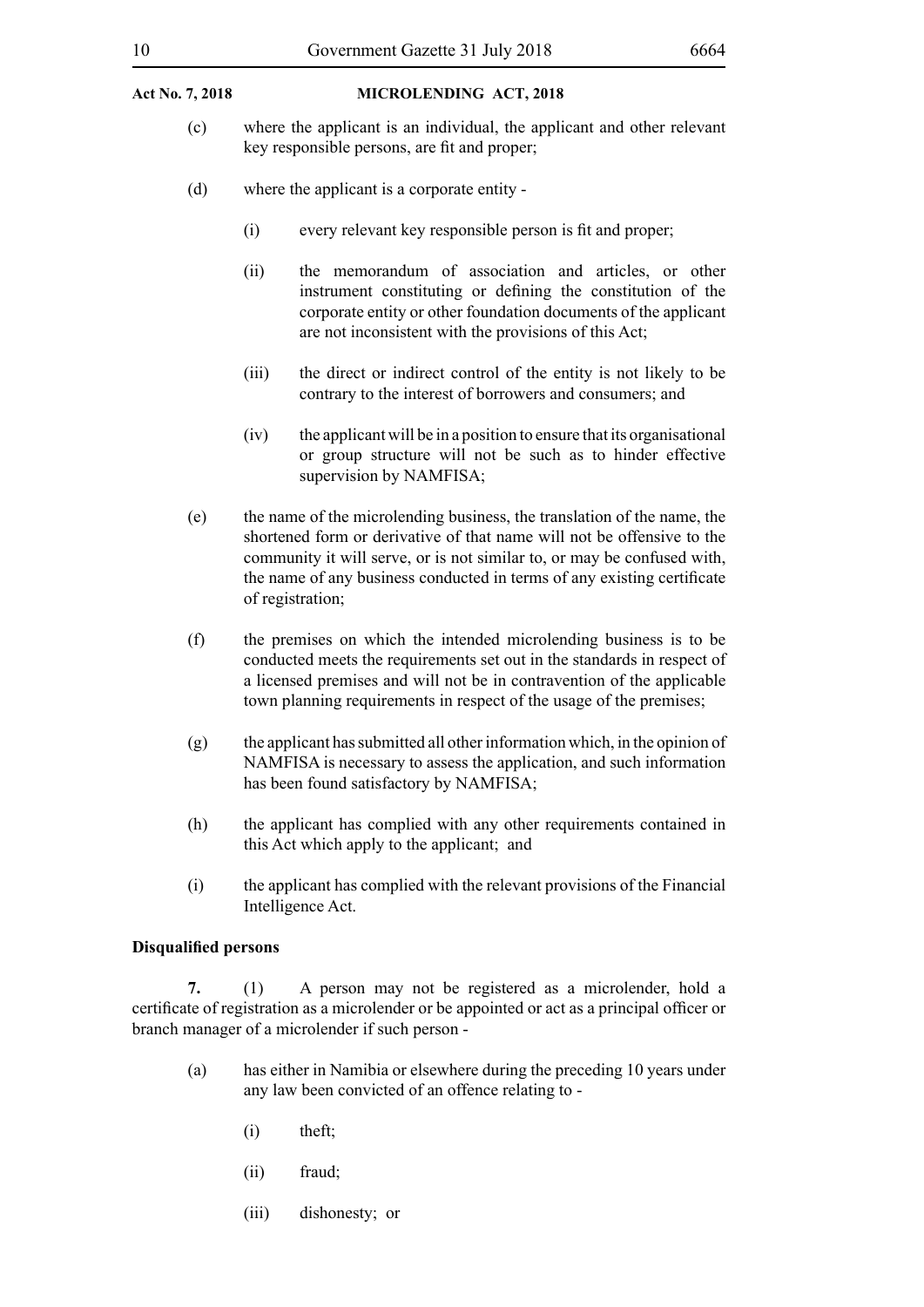- (c) where the applicant is an individual, the applicant and other relevant key responsible persons, are fit and proper;
- (d) where the applicant is a corporate entity
	- (i) every relevant key responsible person is fit and proper;
	- (ii) the memorandum of association and articles, or other instrument constituting or defining the constitution of the corporate entity or other foundation documents of the applicant are not inconsistent with the provisions of this Act;
	- (iii) the direct or indirect control of the entity is not likely to be contrary to the interest of borrowers and consumers; and
	- $(iv)$  the applicant will be in a position to ensure that its organisational or group structure will not be such as to hinder effective supervision by NAMFISA;
- (e) the name of the microlending business, the translation of the name, the shortened form or derivative of that name will not be offensive to the community it will serve, or is not similar to, or may be confused with, the name of any business conducted in terms of any existing certificate of registration;
- (f) the premises on which the intended microlending business is to be conducted meets the requirements set out in the standards in respect of a licensed premises and will not be in contravention of the applicable town planning requirements in respect of the usage of the premises;
- (g) the applicant has submitted all other information which, in the opinion of NAMFISA is necessary to assess the application, and such information has been found satisfactory by NAMFISA;
- (h) the applicant has complied with any other requirements contained in this Act which apply to the applicant; and
- (i) the applicant has complied with the relevant provisions of the Financial Intelligence Act.

#### **Disqualified persons**

**7.** (1) A person may not be registered as a microlender, hold a certificate of registration as a microlender or be appointed or act as a principal officer or branch manager of a microlender if such person -

- (a) has either in Namibia or elsewhere during the preceding 10 years under any law been convicted of an offence relating to -
	- (i) theft;
	- (ii) fraud;
	- (iii) dishonesty; or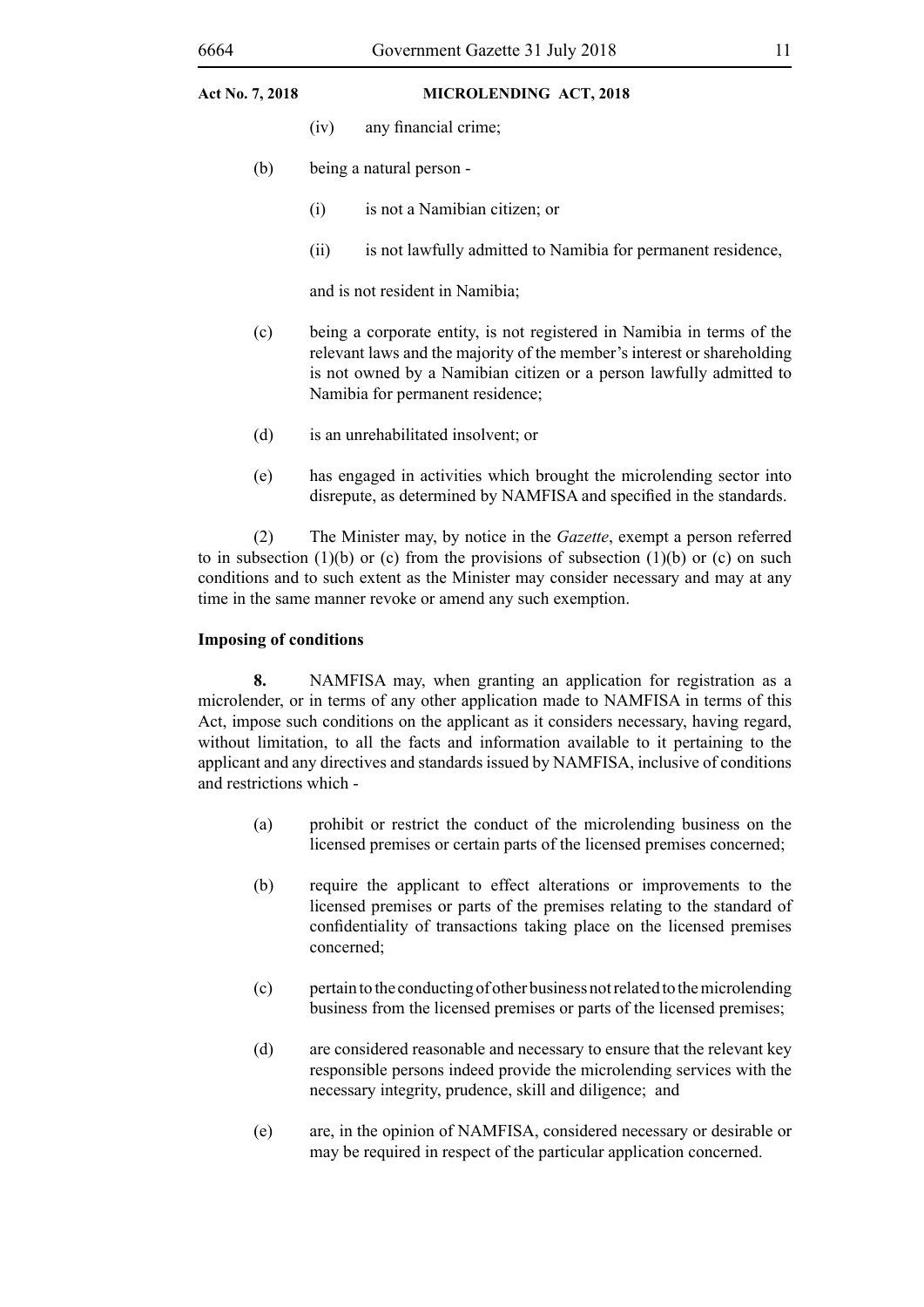- (iv) any financial crime;
- (b) being a natural person
	- (i) is not a Namibian citizen; or
	- (ii) is not lawfully admitted to Namibia for permanent residence,

and is not resident in Namibia;

- (c) being a corporate entity, is not registered in Namibia in terms of the relevant laws and the majority of the member's interest or shareholding is not owned by a Namibian citizen or a person lawfully admitted to Namibia for permanent residence;
- (d) is an unrehabilitated insolvent; or
- (e) has engaged in activities which brought the microlending sector into disrepute, as determined by NAMFISA and specified in the standards.

(2) The Minister may, by notice in the *Gazette*, exempt a person referred to in subsection (1)(b) or (c) from the provisions of subsection (1)(b) or (c) on such conditions and to such extent as the Minister may consider necessary and may at any time in the same manner revoke or amend any such exemption.

#### **Imposing of conditions**

**8.** NAMFISA may, when granting an application for registration as a microlender, or in terms of any other application made to NAMFISA in terms of this Act, impose such conditions on the applicant as it considers necessary, having regard, without limitation, to all the facts and information available to it pertaining to the applicant and any directives and standards issued by NAMFISA, inclusive of conditions and restrictions which -

- (a) prohibit or restrict the conduct of the microlending business on the licensed premises or certain parts of the licensed premises concerned;
- (b) require the applicant to effect alterations or improvements to the licensed premises or parts of the premises relating to the standard of confidentiality of transactions taking place on the licensed premises concerned;
- (c) pertain to the conducting of other business not related to the microlending business from the licensed premises or parts of the licensed premises;
- (d) are considered reasonable and necessary to ensure that the relevant key responsible persons indeed provide the microlending services with the necessary integrity, prudence, skill and diligence; and
- (e) are, in the opinion of NAMFISA, considered necessary or desirable or may be required in respect of the particular application concerned.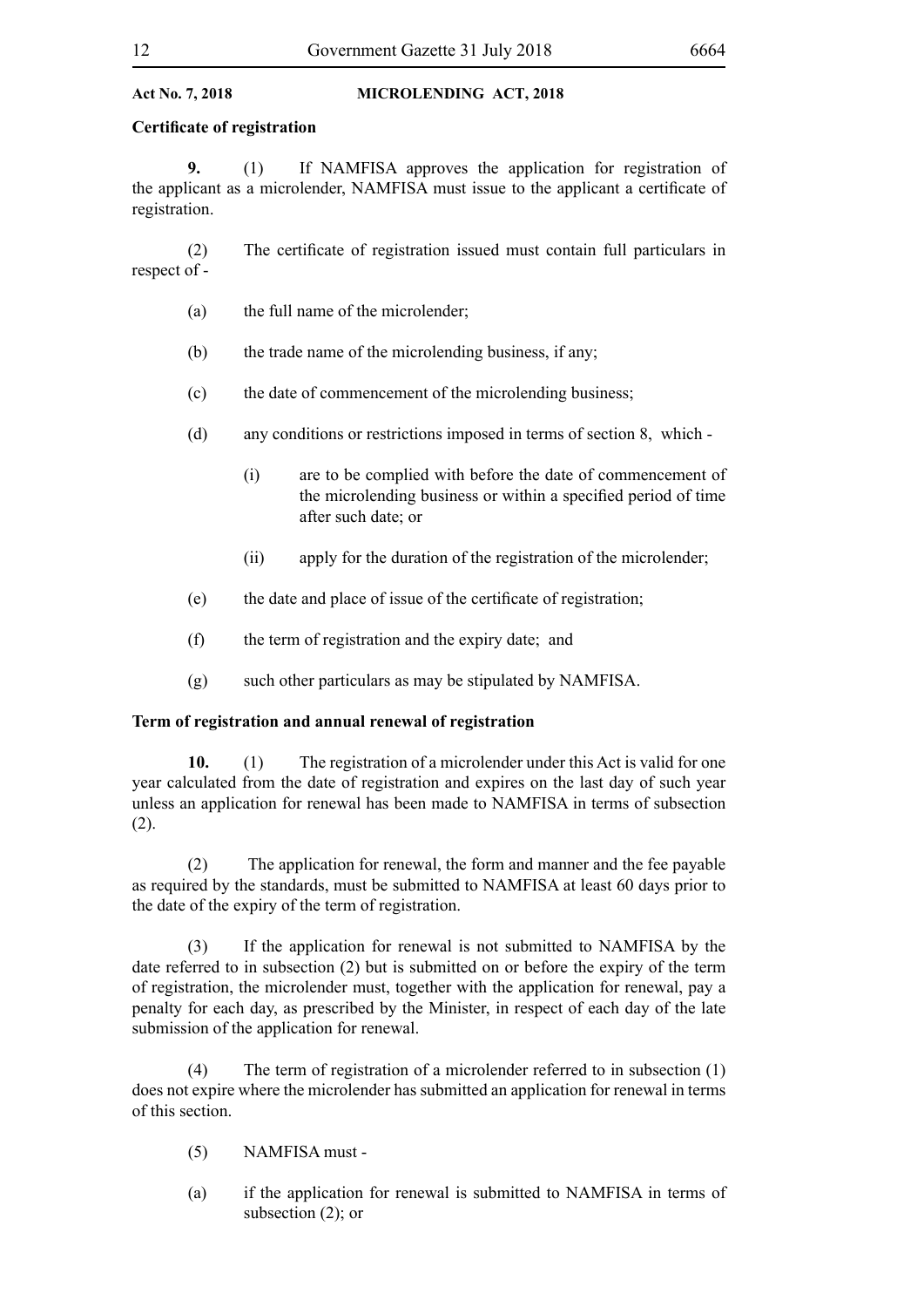#### **Certificate of registration**

**9.** (1) If NAMFISA approves the application for registration of the applicant as a microlender, NAMFISA must issue to the applicant a certificate of registration.

 (2) The certificate of registration issued must contain full particulars in respect of -

- (a) the full name of the microlender;
- (b) the trade name of the microlending business, if any;
- (c) the date of commencement of the microlending business;
- (d) any conditions or restrictions imposed in terms of section 8, which
	- (i) are to be complied with before the date of commencement of the microlending business or within a specified period of time after such date; or
	- (ii) apply for the duration of the registration of the microlender;
- (e) the date and place of issue of the certificate of registration;
- (f) the term of registration and the expiry date; and
- (g) such other particulars as may be stipulated by NAMFISA.

### **Term of registration and annual renewal of registration**

**10.** (1) The registration of a microlender under this Act is valid for one year calculated from the date of registration and expires on the last day of such year unless an application for renewal has been made to NAMFISA in terms of subsection (2).

(2) The application for renewal, the form and manner and the fee payable as required by the standards, must be submitted to NAMFISA at least 60 days prior to the date of the expiry of the term of registration.

(3) If the application for renewal is not submitted to NAMFISA by the date referred to in subsection (2) but is submitted on or before the expiry of the term of registration, the microlender must, together with the application for renewal, pay a penalty for each day, as prescribed by the Minister, in respect of each day of the late submission of the application for renewal.

(4) The term of registration of a microlender referred to in subsection (1) does not expire where the microlender has submitted an application for renewal in terms of this section.

- (5) NAMFISA must -
- (a) if the application for renewal is submitted to NAMFISA in terms of subsection  $(2)$ ; or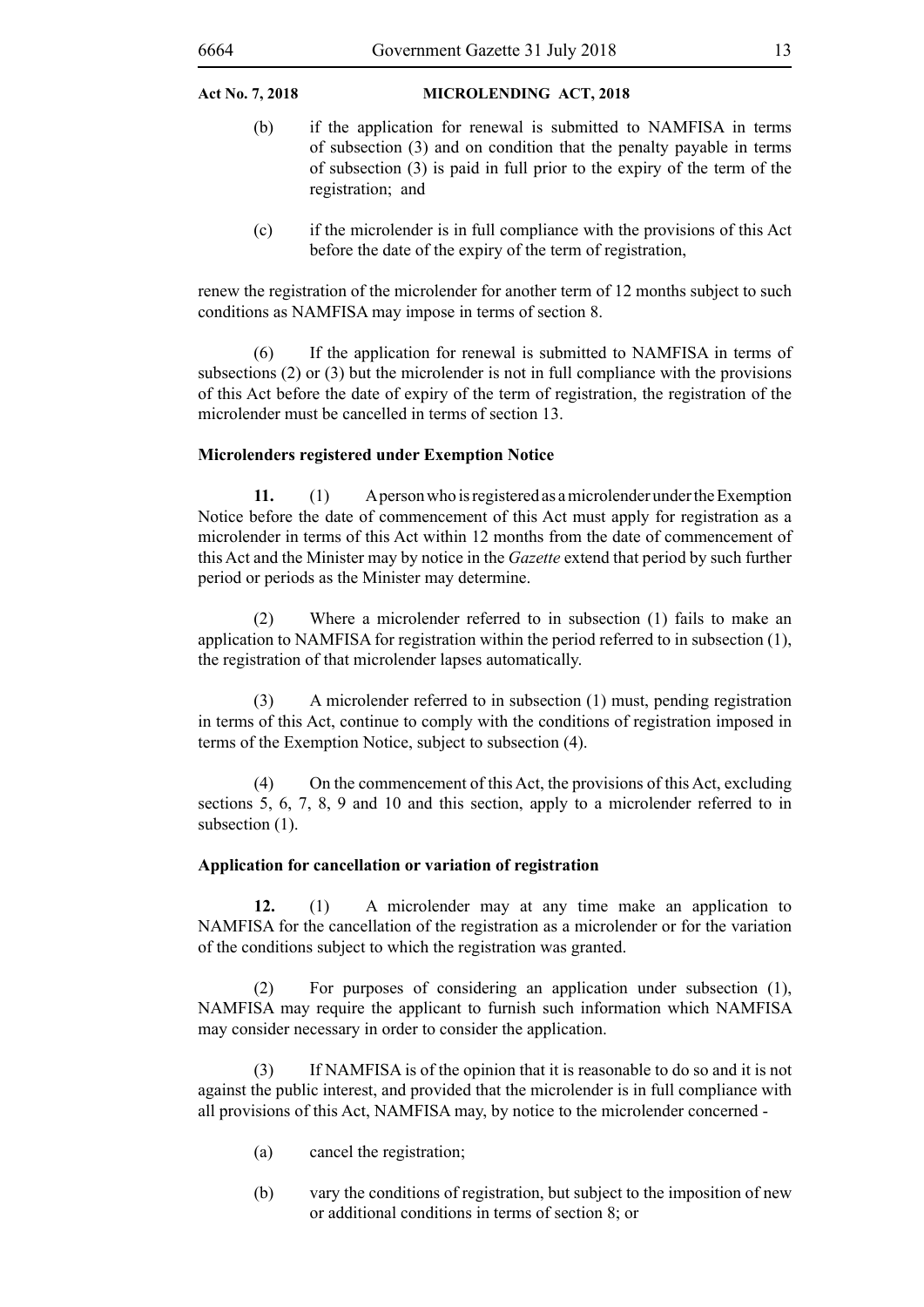- (b) if the application for renewal is submitted to NAMFISA in terms of subsection (3) and on condition that the penalty payable in terms of subsection (3) is paid in full prior to the expiry of the term of the registration; and
- (c) if the microlender is in full compliance with the provisions of this Act before the date of the expiry of the term of registration,

renew the registration of the microlender for another term of 12 months subject to such conditions as NAMFISA may impose in terms of section 8.

(6) If the application for renewal is submitted to NAMFISA in terms of subsections (2) or (3) but the microlender is not in full compliance with the provisions of this Act before the date of expiry of the term of registration, the registration of the microlender must be cancelled in terms of section 13.

#### **Microlenders registered under Exemption Notice**

**11.** (1) A person who is registered as a microlender under the Exemption Notice before the date of commencement of this Act must apply for registration as a microlender in terms of this Act within 12 months from the date of commencement of this Act and the Minister may by notice in the *Gazette* extend that period by such further period or periods as the Minister may determine.

(2) Where a microlender referred to in subsection (1) fails to make an application to NAMFISA for registration within the period referred to in subsection (1), the registration of that microlender lapses automatically.

(3) A microlender referred to in subsection (1) must, pending registration in terms of this Act, continue to comply with the conditions of registration imposed in terms of the Exemption Notice, subject to subsection (4).

(4) On the commencement of this Act, the provisions of this Act, excluding sections 5, 6, 7, 8, 9 and 10 and this section, apply to a microlender referred to in subsection  $(1)$ .

#### **Application for cancellation or variation of registration**

**12.** (1) A microlender may at any time make an application to NAMFISA for the cancellation of the registration as a microlender or for the variation of the conditions subject to which the registration was granted.

(2) For purposes of considering an application under subsection (1), NAMFISA may require the applicant to furnish such information which NAMFISA may consider necessary in order to consider the application.

(3) If NAMFISA is of the opinion that it is reasonable to do so and it is not against the public interest, and provided that the microlender is in full compliance with all provisions of this Act, NAMFISA may, by notice to the microlender concerned -

- (a) cancel the registration;
- (b) vary the conditions of registration, but subject to the imposition of new or additional conditions in terms of section 8; or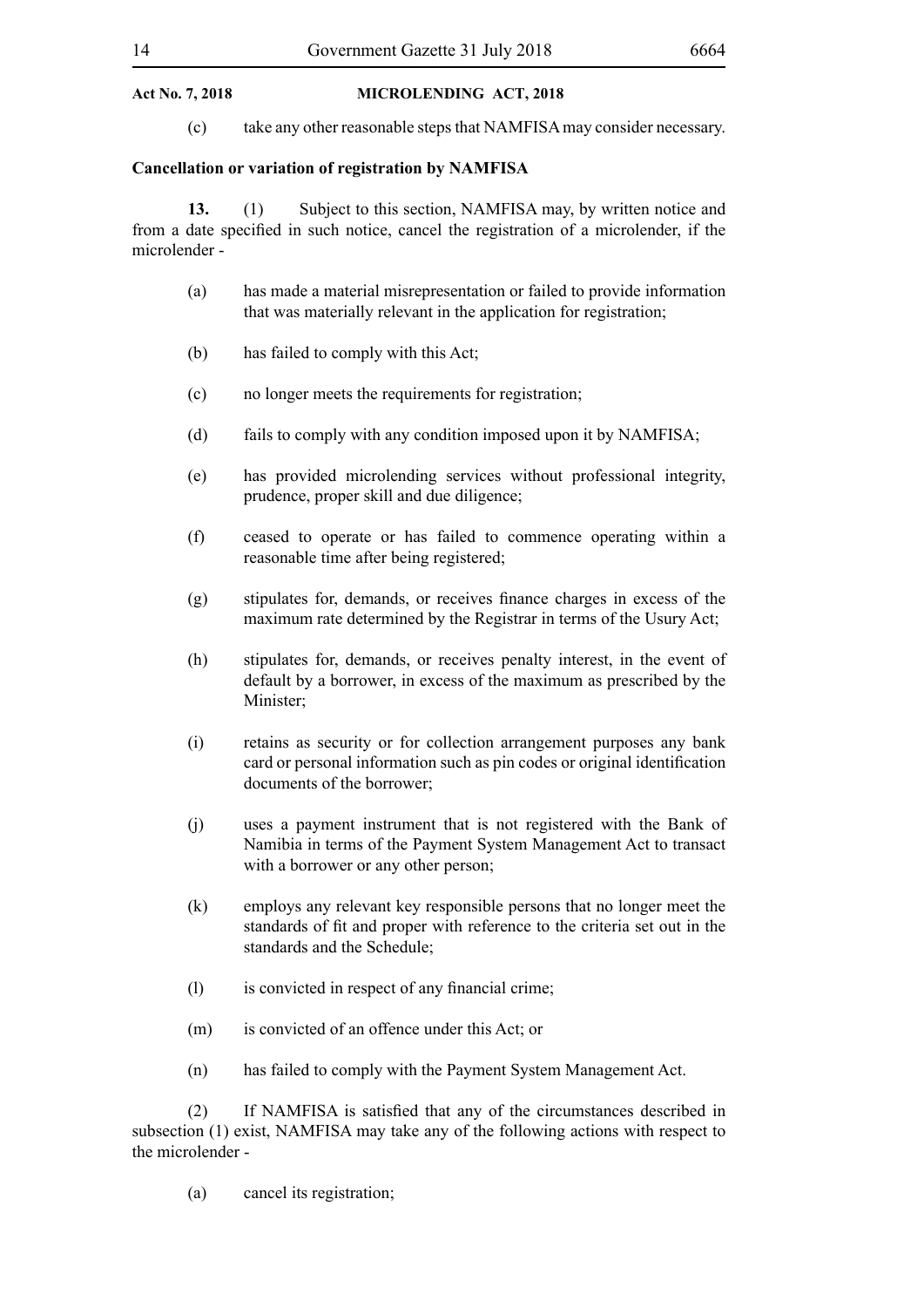(c) take any other reasonable steps that NAMFISA may consider necessary.

#### **Cancellation or variation of registration by NAMFISA**

**13.** (1) Subject to this section, NAMFISA may, by written notice and from a date specified in such notice, cancel the registration of a microlender, if the microlender -

- (a) has made a material misrepresentation or failed to provide information that was materially relevant in the application for registration;
- (b) has failed to comply with this Act;
- (c) no longer meets the requirements for registration;
- (d) fails to comply with any condition imposed upon it by NAMFISA;
- (e) has provided microlending services without professional integrity, prudence, proper skill and due diligence;
- (f) ceased to operate or has failed to commence operating within a reasonable time after being registered;
- (g) stipulates for, demands, or receives finance charges in excess of the maximum rate determined by the Registrar in terms of the Usury Act;
- (h) stipulates for, demands, or receives penalty interest, in the event of default by a borrower, in excess of the maximum as prescribed by the Minister;
- (i) retains as security or for collection arrangement purposes any bank card or personal information such as pin codes or original identification documents of the borrower;
- (j) uses a payment instrument that is not registered with the Bank of Namibia in terms of the Payment System Management Act to transact with a borrower or any other person;
- (k) employs any relevant key responsible persons that no longer meet the standards of fit and proper with reference to the criteria set out in the standards and the Schedule;
- (1) is convicted in respect of any financial crime;
- (m) is convicted of an offence under this Act; or
- (n) has failed to comply with the Payment System Management Act.

 (2) If NAMFISA is satisfied that any of the circumstances described in subsection (1) exist, NAMFISA may take any of the following actions with respect to the microlender -

(a) cancel its registration;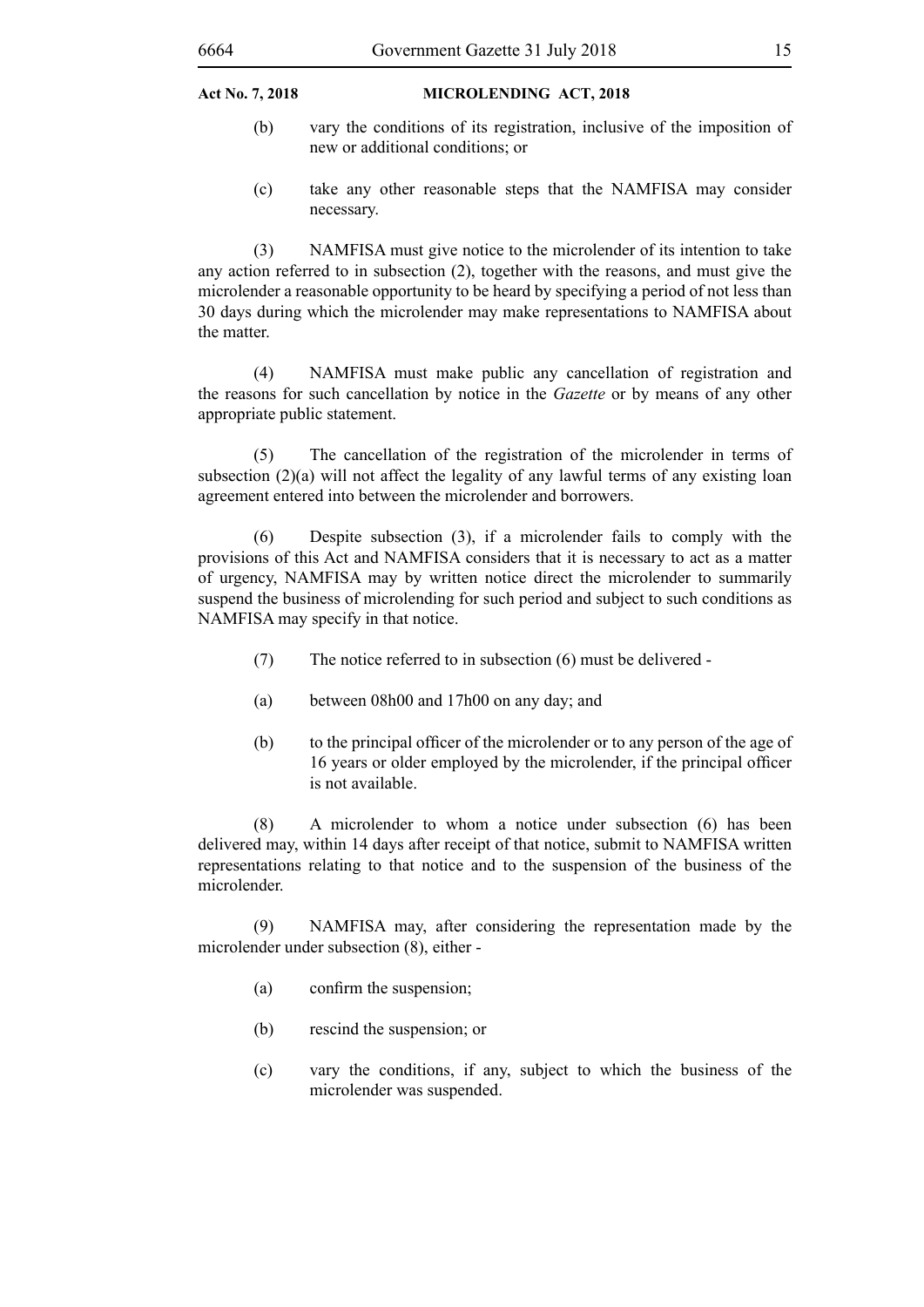- (b) vary the conditions of its registration, inclusive of the imposition of new or additional conditions; or
- (c) take any other reasonable steps that the NAMFISA may consider necessary.

(3) NAMFISA must give notice to the microlender of its intention to take any action referred to in subsection (2), together with the reasons, and must give the microlender a reasonable opportunity to be heard by specifying a period of not less than 30 days during which the microlender may make representations to NAMFISA about the matter.

(4) NAMFISA must make public any cancellation of registration and the reasons for such cancellation by notice in the *Gazette* or by means of any other appropriate public statement.

(5) The cancellation of the registration of the microlender in terms of subsection (2)(a) will not affect the legality of any lawful terms of any existing loan agreement entered into between the microlender and borrowers.

(6) Despite subsection (3), if a microlender fails to comply with the provisions of this Act and NAMFISA considers that it is necessary to act as a matter of urgency, NAMFISA may by written notice direct the microlender to summarily suspend the business of microlending for such period and subject to such conditions as NAMFISA may specify in that notice.

- (7) The notice referred to in subsection (6) must be delivered -
- (a) between 08h00 and 17h00 on any day; and
- (b) to the principal officer of the microlender or to any person of the age of 16 years or older employed by the microlender, if the principal officer is not available.

(8) A microlender to whom a notice under subsection (6) has been delivered may, within 14 days after receipt of that notice, submit to NAMFISA written representations relating to that notice and to the suspension of the business of the microlender.

(9) NAMFISA may, after considering the representation made by the microlender under subsection (8), either -

- (a) confirm the suspension;
- (b) rescind the suspension; or
- (c) vary the conditions, if any, subject to which the business of the microlender was suspended.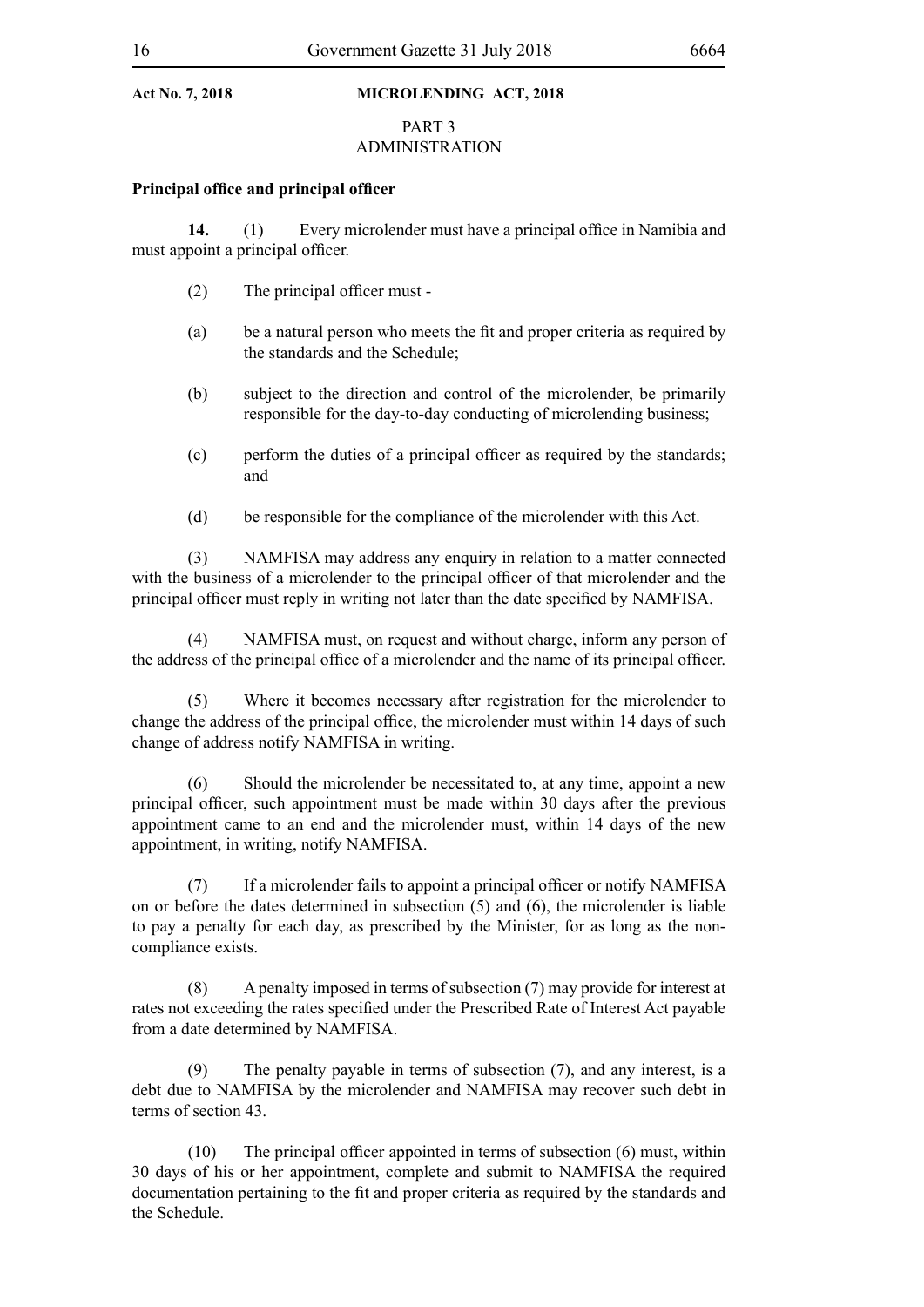### PART 3 ADMINISTRATION

#### **Principal office and principal officer**

**14.** (1) Every microlender must have a principal office in Namibia and must appoint a principal officer.

- (2) The principal officer must -
- (a) be a natural person who meets the fit and proper criteria as required by the standards and the Schedule;
- (b) subject to the direction and control of the microlender, be primarily responsible for the day-to-day conducting of microlending business;
- (c) perform the duties of a principal officer as required by the standards; and
- (d) be responsible for the compliance of the microlender with this Act.

(3) NAMFISA may address any enquiry in relation to a matter connected with the business of a microlender to the principal officer of that microlender and the principal officer must reply in writing not later than the date specified by NAMFISA.

(4) NAMFISA must, on request and without charge, inform any person of the address of the principal office of a microlender and the name of its principal officer.

(5) Where it becomes necessary after registration for the microlender to change the address of the principal office, the microlender must within 14 days of such change of address notify NAMFISA in writing.

(6) Should the microlender be necessitated to, at any time, appoint a new principal officer, such appointment must be made within 30 days after the previous appointment came to an end and the microlender must, within 14 days of the new appointment, in writing, notify NAMFISA.

 (7) If a microlender fails to appoint a principal officer or notify NAMFISA on or before the dates determined in subsection (5) and (6), the microlender is liable to pay a penalty for each day, as prescribed by the Minister, for as long as the noncompliance exists.

(8) A penalty imposed in terms of subsection (7) may provide for interest at rates not exceeding the rates specified under the Prescribed Rate of Interest Act payable from a date determined by NAMFISA.

(9) The penalty payable in terms of subsection (7), and any interest, is a debt due to NAMFISA by the microlender and NAMFISA may recover such debt in terms of section 43.

 $(10)$  The principal officer appointed in terms of subsection  $(6)$  must, within 30 days of his or her appointment, complete and submit to NAMFISA the required documentation pertaining to the fit and proper criteria as required by the standards and the Schedule.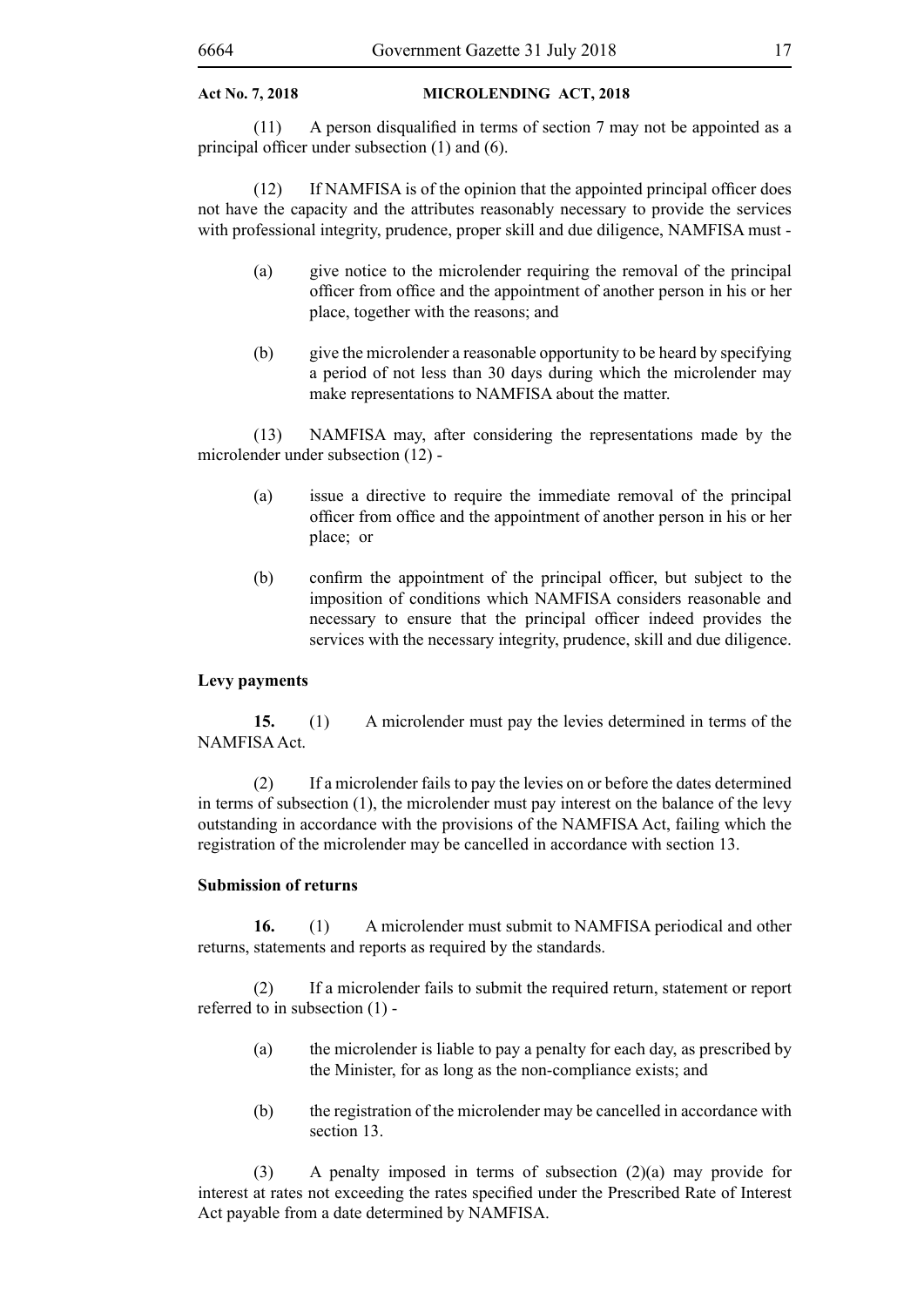$(11)$  A person disqualified in terms of section 7 may not be appointed as a principal officer under subsection (1) and (6).

(12) If NAMFISA is of the opinion that the appointed principal officer does not have the capacity and the attributes reasonably necessary to provide the services with professional integrity, prudence, proper skill and due diligence, NAMFISA must -

- (a) give notice to the microlender requiring the removal of the principal officer from office and the appointment of another person in his or her place, together with the reasons; and
- (b) give the microlender a reasonable opportunity to be heard by specifying a period of not less than 30 days during which the microlender may make representations to NAMFISA about the matter.

(13) NAMFISA may, after considering the representations made by the microlender under subsection (12) -

- (a) issue a directive to require the immediate removal of the principal officer from office and the appointment of another person in his or her place; or
- (b) confirm the appointment of the principal officer, but subject to the imposition of conditions which NAMFISA considers reasonable and necessary to ensure that the principal officer indeed provides the services with the necessary integrity, prudence, skill and due diligence.

#### **Levy payments**

**15.** (1) A microlender must pay the levies determined in terms of the NAMFISA Act.

(2) If a microlender fails to pay the levies on or before the dates determined in terms of subsection (1), the microlender must pay interest on the balance of the levy outstanding in accordance with the provisions of the NAMFISA Act, failing which the registration of the microlender may be cancelled in accordance with section 13.

#### **Submission of returns**

**16.** (1) A microlender must submit to NAMFISA periodical and other returns, statements and reports as required by the standards.

(2) If a microlender fails to submit the required return, statement or report referred to in subsection (1) -

- (a) the microlender is liable to pay a penalty for each day, as prescribed by the Minister, for as long as the non-compliance exists; and
- (b) the registration of the microlender may be cancelled in accordance with section 13.

(3) A penalty imposed in terms of subsection (2)(a) may provide for interest at rates not exceeding the rates specified under the Prescribed Rate of Interest Act payable from a date determined by NAMFISA.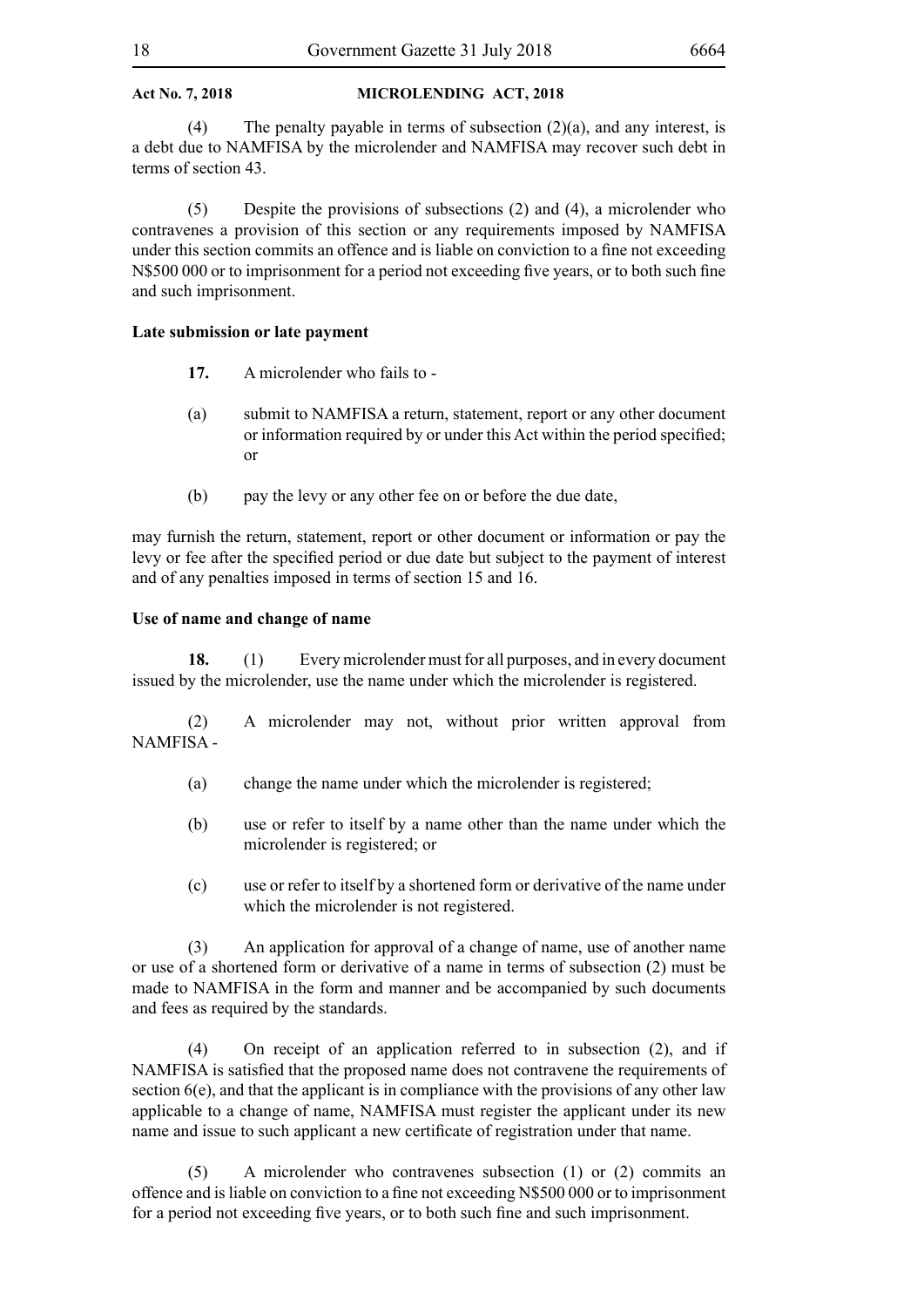(4) The penalty payable in terms of subsection  $(2)(a)$ , and any interest, is a debt due to NAMFISA by the microlender and NAMFISA may recover such debt in terms of section 43.

(5) Despite the provisions of subsections (2) and (4), a microlender who contravenes a provision of this section or any requirements imposed by NAMFISA under this section commits an offence and is liable on conviction to a fine not exceeding N\$500 000 or to imprisonment for a period not exceeding five years, or to both such fine and such imprisonment.

#### **Late submission or late payment**

- **17.** A microlender who fails to -
- (a) submit to NAMFISA a return, statement, report or any other document or information required by or under this Act within the period specified; or
- (b) pay the levy or any other fee on or before the due date,

may furnish the return, statement, report or other document or information or pay the levy or fee after the specified period or due date but subject to the payment of interest and of any penalties imposed in terms of section 15 and 16.

#### **Use of name and change of name**

**18.** (1) Every microlender must for all purposes, and in every document issued by the microlender, use the name under which the microlender is registered.

(2) A microlender may not, without prior written approval from NAMFISA -

- (a) change the name under which the microlender is registered;
- (b) use or refer to itself by a name other than the name under which the microlender is registered; or
- (c) use or refer to itself by a shortened form or derivative of the name under which the microlender is not registered.

(3) An application for approval of a change of name, use of another name or use of a shortened form or derivative of a name in terms of subsection (2) must be made to NAMFISA in the form and manner and be accompanied by such documents and fees as required by the standards.

(4) On receipt of an application referred to in subsection (2), and if NAMFISA is satisfied that the proposed name does not contravene the requirements of section 6(e), and that the applicant is in compliance with the provisions of any other law applicable to a change of name, NAMFISA must register the applicant under its new name and issue to such applicant a new certificate of registration under that name.

(5) A microlender who contravenes subsection (1) or (2) commits an offence and isliable on conviction to a fine not exceeding N\$500 000 or to imprisonment for a period not exceeding five years, or to both such fine and such imprisonment.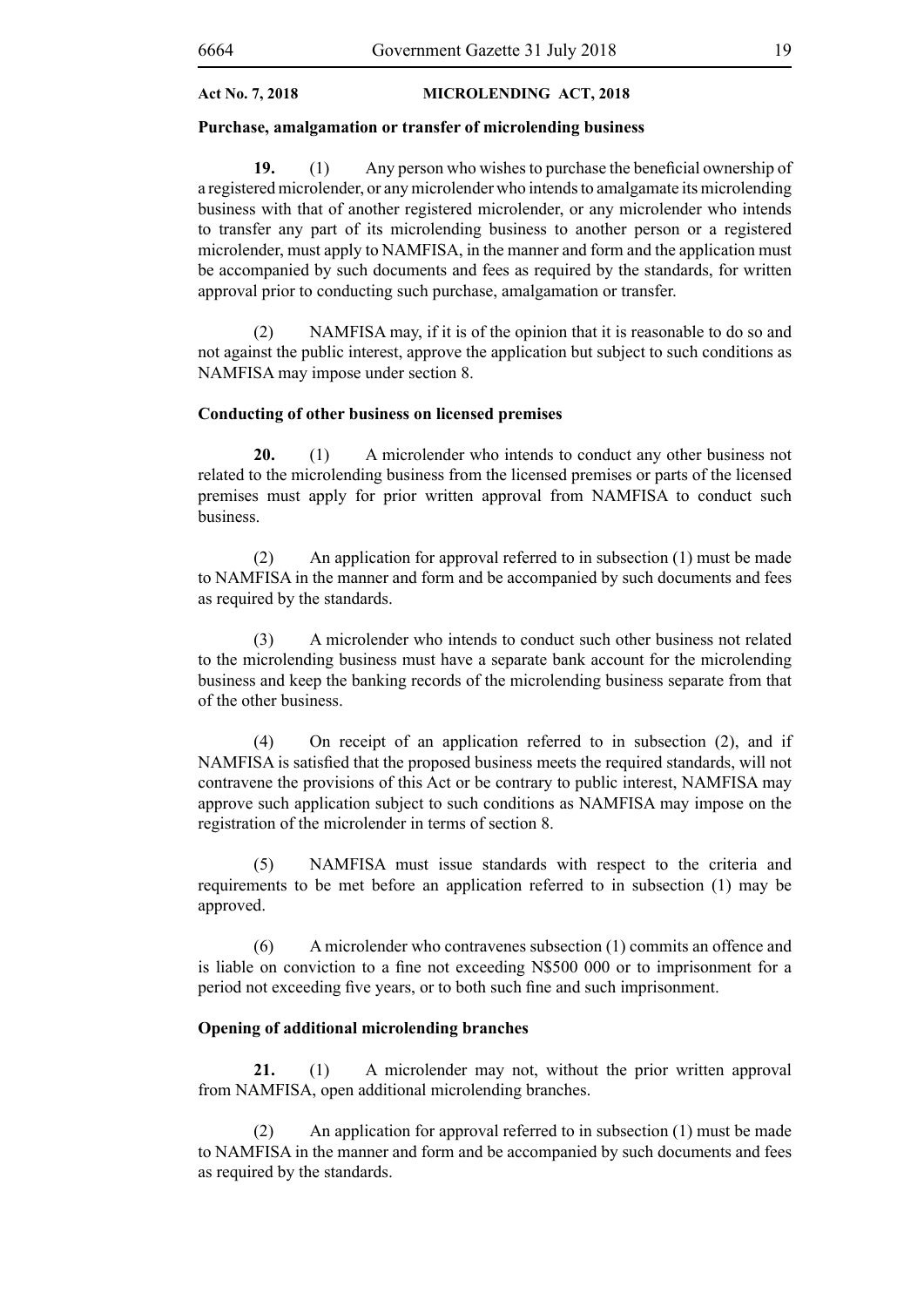#### **Purchase, amalgamation or transfer of microlending business**

**19.** (1) Any person who wishes to purchase the beneficial ownership of a registered microlender, or any microlender who intends to amalgamate its microlending business with that of another registered microlender, or any microlender who intends to transfer any part of its microlending business to another person or a registered microlender, must apply to NAMFISA, in the manner and form and the application must be accompanied by such documents and fees as required by the standards, for written approval prior to conducting such purchase, amalgamation or transfer.

(2) NAMFISA may, if it is of the opinion that it is reasonable to do so and not against the public interest, approve the application but subject to such conditions as NAMFISA may impose under section 8.

#### **Conducting of other business on licensed premises**

**20.** (1) A microlender who intends to conduct any other business not related to the microlending business from the licensed premises or parts of the licensed premises must apply for prior written approval from NAMFISA to conduct such business.

(2) An application for approval referred to in subsection (1) must be made to NAMFISA in the manner and form and be accompanied by such documents and fees as required by the standards.

(3) A microlender who intends to conduct such other business not related to the microlending business must have a separate bank account for the microlending business and keep the banking records of the microlending business separate from that of the other business.

(4) On receipt of an application referred to in subsection (2), and if NAMFISA is satisfied that the proposed business meets the required standards, will not contravene the provisions of this Act or be contrary to public interest, NAMFISA may approve such application subject to such conditions as NAMFISA may impose on the registration of the microlender in terms of section 8.

(5) NAMFISA must issue standards with respect to the criteria and requirements to be met before an application referred to in subsection (1) may be approved.

(6) A microlender who contravenes subsection (1) commits an offence and is liable on conviction to a fine not exceeding N\$500 000 or to imprisonment for a period not exceeding five years, or to both such fine and such imprisonment.

#### **Opening of additional microlending branches**

**21.** (1) A microlender may not, without the prior written approval from NAMFISA, open additional microlending branches.

(2) An application for approval referred to in subsection (1) must be made to NAMFISA in the manner and form and be accompanied by such documents and fees as required by the standards.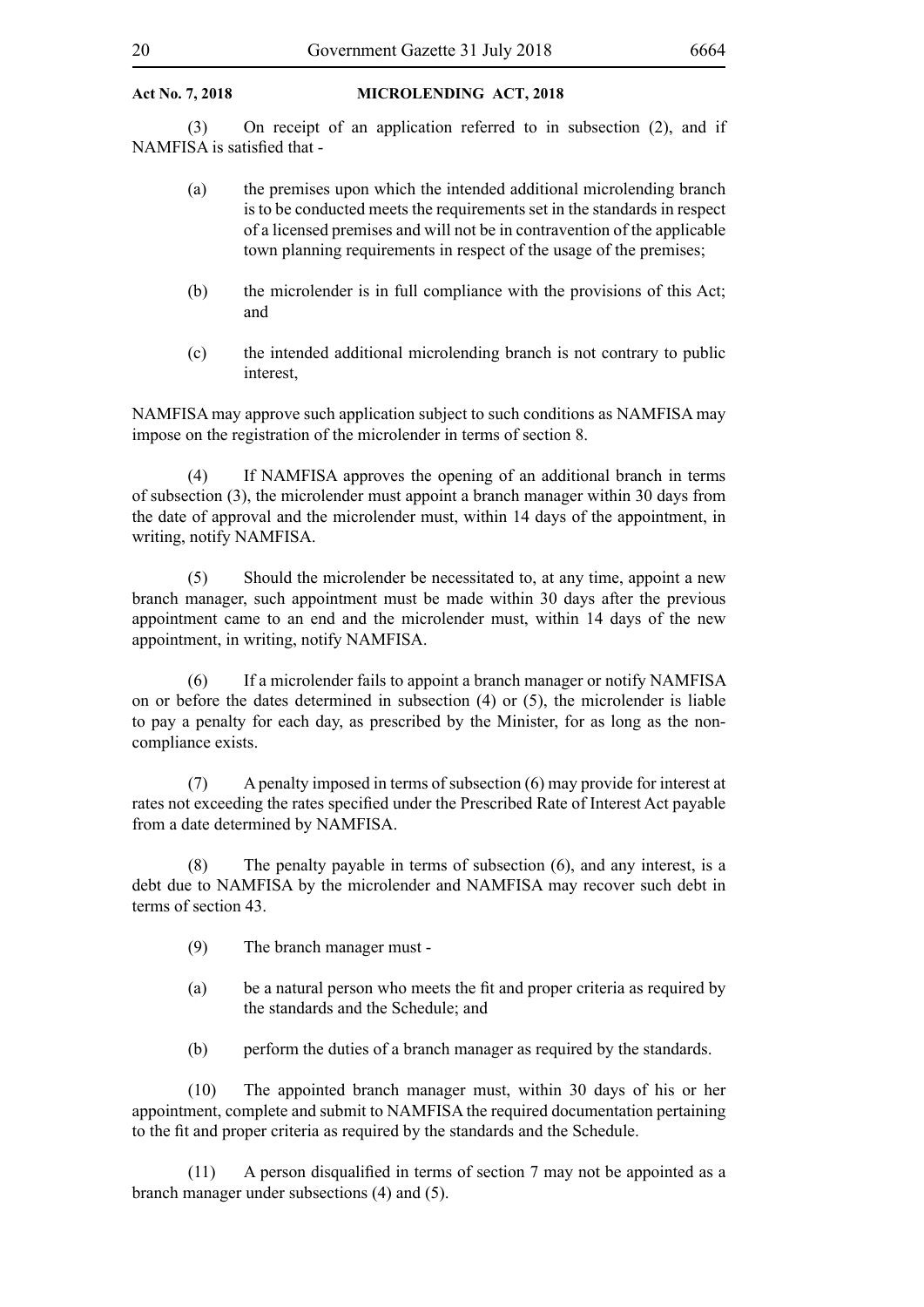(3) On receipt of an application referred to in subsection (2), and if NAMFISA is satisfied that -

- (a) the premises upon which the intended additional microlending branch is to be conducted meets the requirements set in the standards in respect of a licensed premises and will not be in contravention of the applicable town planning requirements in respect of the usage of the premises;
- (b) the microlender is in full compliance with the provisions of this Act; and
- (c) the intended additional microlending branch is not contrary to public interest,

NAMFISA may approve such application subject to such conditions as NAMFISA may impose on the registration of the microlender in terms of section 8.

(4) If NAMFISA approves the opening of an additional branch in terms of subsection (3), the microlender must appoint a branch manager within 30 days from the date of approval and the microlender must, within 14 days of the appointment, in writing, notify NAMFISA.

(5) Should the microlender be necessitated to, at any time, appoint a new branch manager, such appointment must be made within 30 days after the previous appointment came to an end and the microlender must, within 14 days of the new appointment, in writing, notify NAMFISA.

(6) If a microlender fails to appoint a branch manager or notify NAMFISA on or before the dates determined in subsection (4) or (5), the microlender is liable to pay a penalty for each day, as prescribed by the Minister, for as long as the noncompliance exists.

(7) A penalty imposed in terms of subsection (6) may provide for interest at rates not exceeding the rates specified under the Prescribed Rate of Interest Act payable from a date determined by NAMFISA.

(8) The penalty payable in terms of subsection (6), and any interest, is a debt due to NAMFISA by the microlender and NAMFISA may recover such debt in terms of section 43.

- (9) The branch manager must -
- (a) be a natural person who meets the fit and proper criteria as required by the standards and the Schedule; and
- (b) perform the duties of a branch manager as required by the standards.

(10) The appointed branch manager must, within 30 days of his or her appointment, complete and submit to NAMFISA the required documentation pertaining to the fit and proper criteria as required by the standards and the Schedule.

 $(11)$  A person disqualified in terms of section 7 may not be appointed as a branch manager under subsections (4) and (5).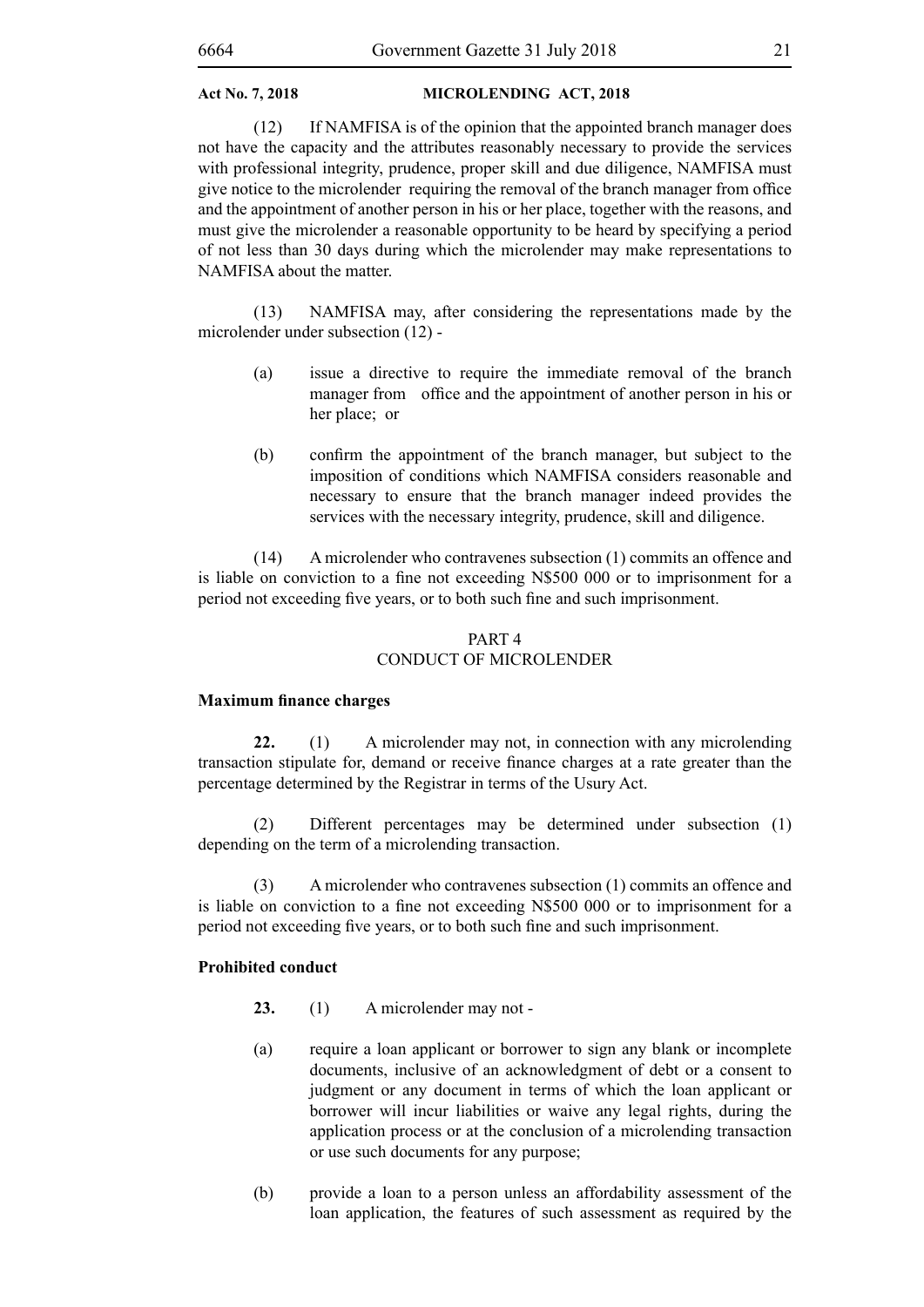(12) If NAMFISA is of the opinion that the appointed branch manager does not have the capacity and the attributes reasonably necessary to provide the services with professional integrity, prudence, proper skill and due diligence, NAMFISA must give notice to the microlender requiring the removal of the branch manager from office and the appointment of another person in his or her place, together with the reasons, and must give the microlender a reasonable opportunity to be heard by specifying a period of not less than 30 days during which the microlender may make representations to NAMFISA about the matter.

(13) NAMFISA may, after considering the representations made by the microlender under subsection (12) -

- (a) issue a directive to require the immediate removal of the branch manager from office and the appointment of another person in his or her place; or
- (b) confirm the appointment of the branch manager, but subject to the imposition of conditions which NAMFISA considers reasonable and necessary to ensure that the branch manager indeed provides the services with the necessary integrity, prudence, skill and diligence.

(14) A microlender who contravenes subsection (1) commits an offence and is liable on conviction to a fine not exceeding N\$500 000 or to imprisonment for a period not exceeding five years, or to both such fine and such imprisonment.

#### PART 4 CONDUCT OF MICROLENDER

#### **Maximum finance charges**

**22.** (1) A microlender may not, in connection with any microlending transaction stipulate for, demand or receive finance charges at a rate greater than the percentage determined by the Registrar in terms of the Usury Act.

(2) Different percentages may be determined under subsection (1) depending on the term of a microlending transaction.

(3) A microlender who contravenes subsection (1) commits an offence and is liable on conviction to a fine not exceeding N\$500 000 or to imprisonment for a period not exceeding five years, or to both such fine and such imprisonment.

#### **Prohibited conduct**

- **23.** (1) A microlender may not -
- (a) require a loan applicant or borrower to sign any blank or incomplete documents, inclusive of an acknowledgment of debt or a consent to judgment or any document in terms of which the loan applicant or borrower will incur liabilities or waive any legal rights, during the application process or at the conclusion of a microlending transaction or use such documents for any purpose;
- (b) provide a loan to a person unless an affordability assessment of the loan application, the features of such assessment as required by the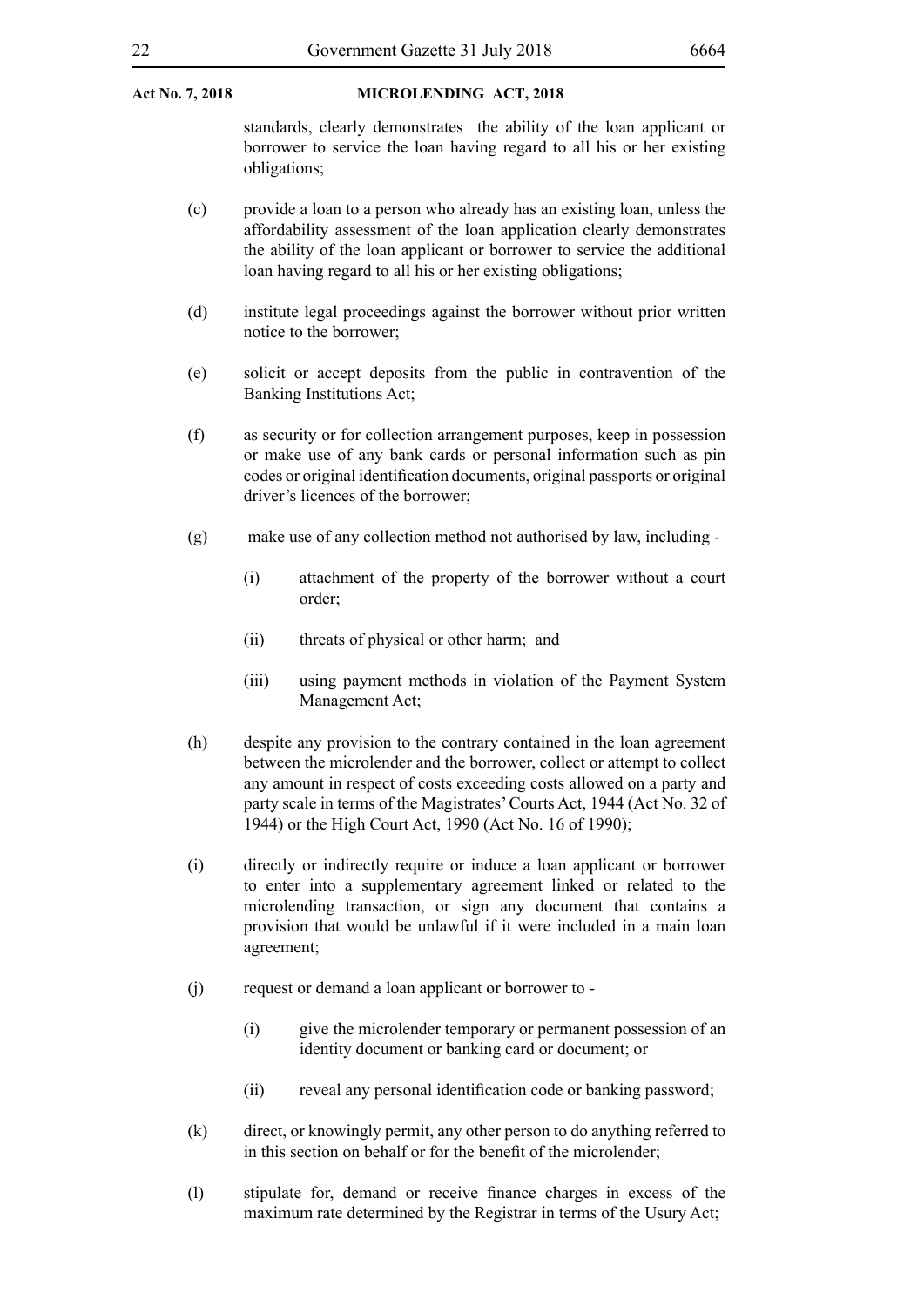standards, clearly demonstrates the ability of the loan applicant or borrower to service the loan having regard to all his or her existing obligations;

- (c) provide a loan to a person who already has an existing loan, unless the affordability assessment of the loan application clearly demonstrates the ability of the loan applicant or borrower to service the additional loan having regard to all his or her existing obligations;
- (d) institute legal proceedings against the borrower without prior written notice to the borrower;
- (e) solicit or accept deposits from the public in contravention of the Banking Institutions Act;
- (f) as security or for collection arrangement purposes, keep in possession or make use of any bank cards or personal information such as pin codes or original identification documents, original passports or original driver's licences of the borrower;
- (g) make use of any collection method not authorised by law, including
	- (i) attachment of the property of the borrower without a court order;
	- (ii) threats of physical or other harm; and
	- (iii) using payment methods in violation of the Payment System Management Act;
- (h) despite any provision to the contrary contained in the loan agreement between the microlender and the borrower, collect or attempt to collect any amount in respect of costs exceeding costs allowed on a party and party scale in terms of the Magistrates' Courts Act, 1944 (Act No. 32 of 1944) or the High Court Act, 1990 (Act No. 16 of 1990);
- (i) directly or indirectly require or induce a loan applicant or borrower to enter into a supplementary agreement linked or related to the microlending transaction, or sign any document that contains a provision that would be unlawful if it were included in a main loan agreement;
- (j) request or demand a loan applicant or borrower to
	- (i) give the microlender temporary or permanent possession of an identity document or banking card or document; or
	- (ii) reveal any personal identification code or banking password;
- (k) direct, or knowingly permit, any other person to do anything referred to in this section on behalf or for the benefit of the microlender;
- (l) stipulate for, demand or receive finance charges in excess of the maximum rate determined by the Registrar in terms of the Usury Act;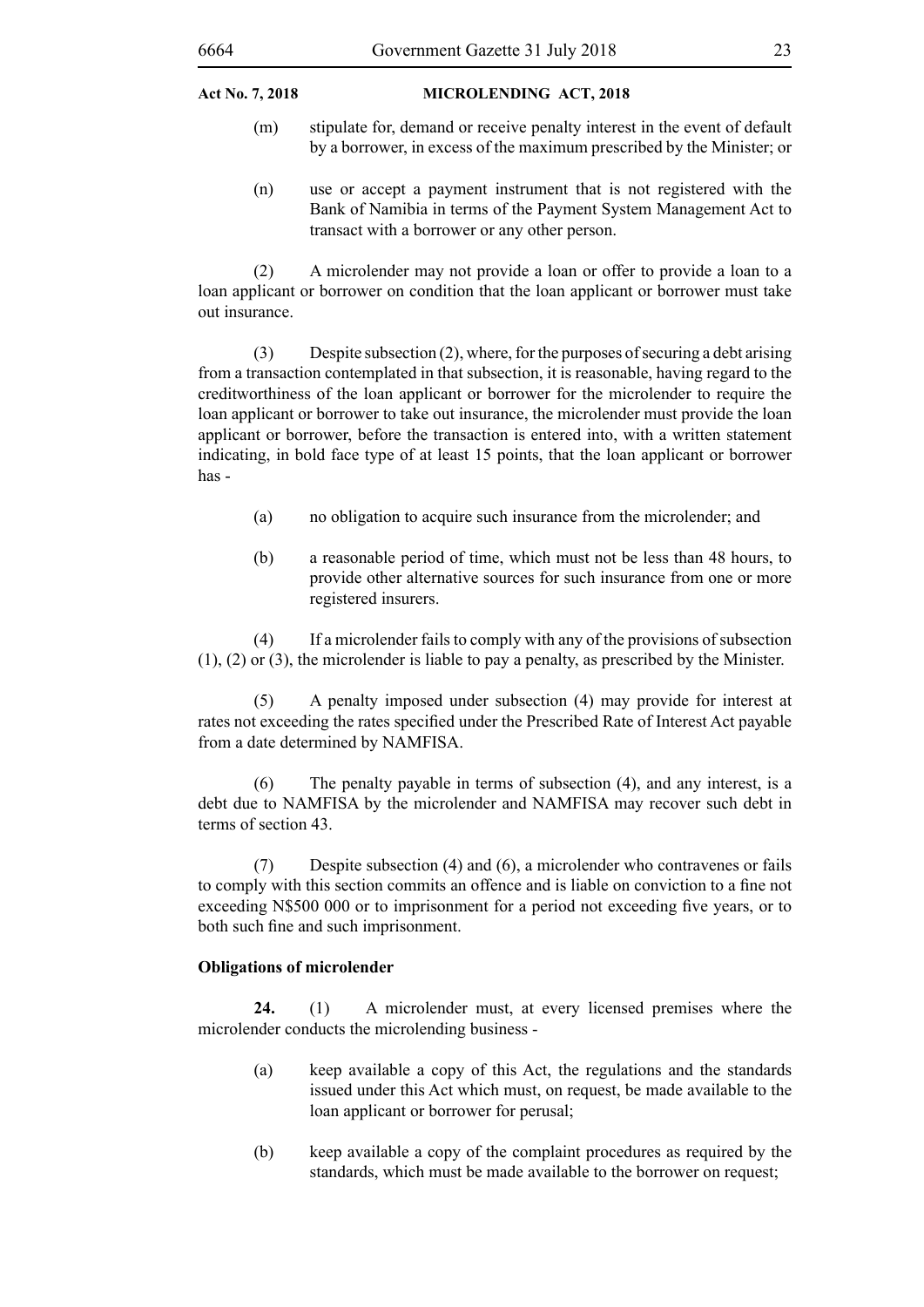- (m) stipulate for, demand or receive penalty interest in the event of default by a borrower, in excess of the maximum prescribed by the Minister; or
- (n) use or accept a payment instrument that is not registered with the Bank of Namibia in terms of the Payment System Management Act to transact with a borrower or any other person.

(2) A microlender may not provide a loan or offer to provide a loan to a loan applicant or borrower on condition that the loan applicant or borrower must take out insurance.

(3) Despite subsection (2), where, for the purposes of securing a debt arising from a transaction contemplated in that subsection, it is reasonable, having regard to the creditworthiness of the loan applicant or borrower for the microlender to require the loan applicant or borrower to take out insurance, the microlender must provide the loan applicant or borrower, before the transaction is entered into, with a written statement indicating, in bold face type of at least 15 points, that the loan applicant or borrower has -

- (a) no obligation to acquire such insurance from the microlender; and
- (b) a reasonable period of time, which must not be less than 48 hours, to provide other alternative sources for such insurance from one or more registered insurers.

(4) If a microlender fails to comply with any of the provisions of subsection (1), (2) or (3), the microlender is liable to pay a penalty, as prescribed by the Minister.

(5) A penalty imposed under subsection (4) may provide for interest at rates not exceeding the rates specified under the Prescribed Rate of Interest Act payable from a date determined by NAMFISA.

(6) The penalty payable in terms of subsection (4), and any interest, is a debt due to NAMFISA by the microlender and NAMFISA may recover such debt in terms of section 43.

(7) Despite subsection (4) and (6), a microlender who contravenes or fails to comply with this section commits an offence and is liable on conviction to a fine not exceeding N\$500 000 or to imprisonment for a period not exceeding five years, or to both such fine and such imprisonment.

#### **Obligations of microlender**

**24.** (1) A microlender must, at every licensed premises where the microlender conducts the microlending business -

- (a) keep available a copy of this Act, the regulations and the standards issued under this Act which must, on request, be made available to the loan applicant or borrower for perusal;
- (b) keep available a copy of the complaint procedures as required by the standards, which must be made available to the borrower on request;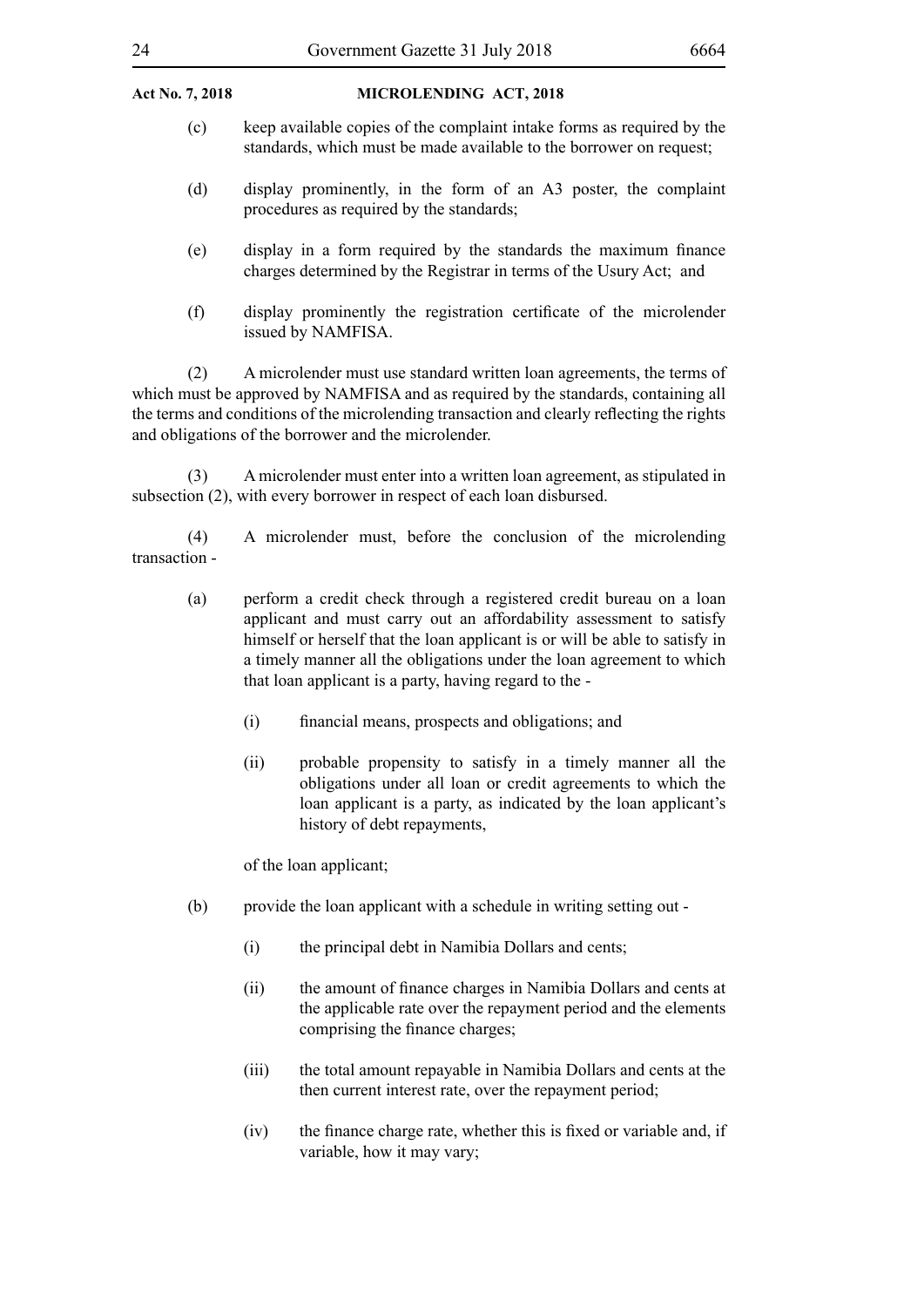- (c) keep available copies of the complaint intake forms as required by the standards, which must be made available to the borrower on request;
- (d) display prominently, in the form of an A3 poster, the complaint procedures as required by the standards;
- (e) display in a form required by the standards the maximum finance charges determined by the Registrar in terms of the Usury Act; and
- (f) display prominently the registration certificate of the microlender issued by NAMFISA.

(2) A microlender must use standard written loan agreements, the terms of which must be approved by NAMFISA and as required by the standards, containing all the terms and conditions of the microlending transaction and clearly reflecting the rights and obligations of the borrower and the microlender.

(3) A microlender must enter into a written loan agreement, as stipulated in subsection (2), with every borrower in respect of each loan disbursed.

(4) A microlender must, before the conclusion of the microlending transaction -

- (a) perform a credit check through a registered credit bureau on a loan applicant and must carry out an affordability assessment to satisfy himself or herself that the loan applicant is or will be able to satisfy in a timely manner all the obligations under the loan agreement to which that loan applicant is a party, having regard to the -
	- (i) financial means, prospects and obligations; and
	- (ii) probable propensity to satisfy in a timely manner all the obligations under all loan or credit agreements to which the loan applicant is a party, as indicated by the loan applicant's history of debt repayments,

of the loan applicant;

- (b) provide the loan applicant with a schedule in writing setting out
	- (i) the principal debt in Namibia Dollars and cents;
	- (ii) the amount of finance charges in Namibia Dollars and cents at the applicable rate over the repayment period and the elements comprising the finance charges;
	- (iii) the total amount repayable in Namibia Dollars and cents at the then current interest rate, over the repayment period;
	- (iv) the finance charge rate, whether this is fixed or variable and, if variable, how it may vary;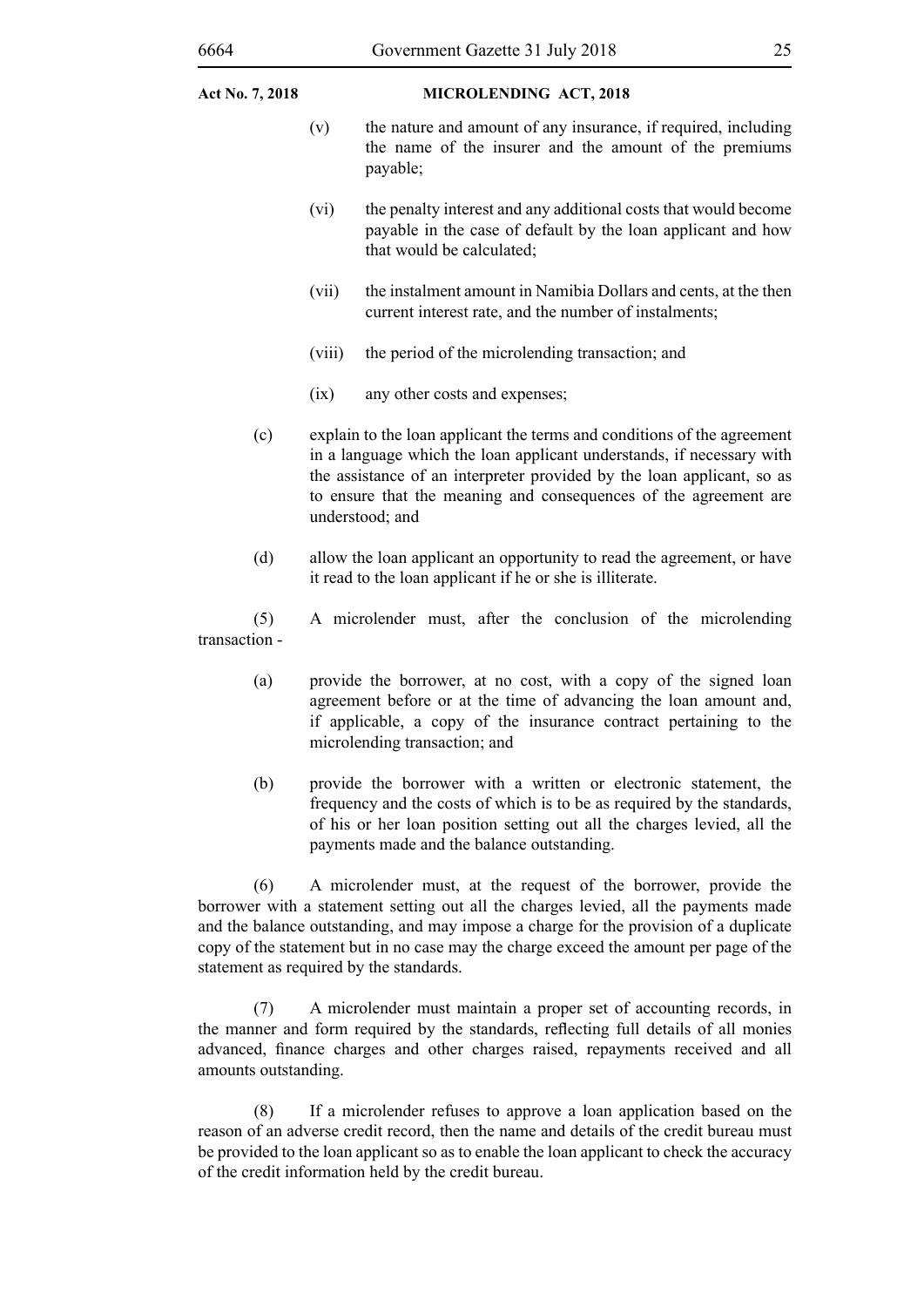- (v) the nature and amount of any insurance, if required, including the name of the insurer and the amount of the premiums payable;
- (vi) the penalty interest and any additional costs that would become payable in the case of default by the loan applicant and how that would be calculated;
- (vii) the instalment amount in Namibia Dollars and cents, at the then current interest rate, and the number of instalments;
- (viii) the period of the microlending transaction; and
- (ix) any other costs and expenses;
- (c) explain to the loan applicant the terms and conditions of the agreement in a language which the loan applicant understands, if necessary with the assistance of an interpreter provided by the loan applicant, so as to ensure that the meaning and consequences of the agreement are understood; and
- (d) allow the loan applicant an opportunity to read the agreement, or have it read to the loan applicant if he or she is illiterate.

(5) A microlender must, after the conclusion of the microlending transaction -

- (a) provide the borrower, at no cost, with a copy of the signed loan agreement before or at the time of advancing the loan amount and, if applicable, a copy of the insurance contract pertaining to the microlending transaction; and
- (b) provide the borrower with a written or electronic statement, the frequency and the costs of which is to be as required by the standards, of his or her loan position setting out all the charges levied, all the payments made and the balance outstanding.

(6) A microlender must, at the request of the borrower, provide the borrower with a statement setting out all the charges levied, all the payments made and the balance outstanding, and may impose a charge for the provision of a duplicate copy of the statement but in no case may the charge exceed the amount per page of the statement as required by the standards.

(7) A microlender must maintain a proper set of accounting records, in the manner and form required by the standards, reflecting full details of all monies advanced, finance charges and other charges raised, repayments received and all amounts outstanding.

(8) If a microlender refuses to approve a loan application based on the reason of an adverse credit record, then the name and details of the credit bureau must be provided to the loan applicant so as to enable the loan applicant to check the accuracy of the credit information held by the credit bureau.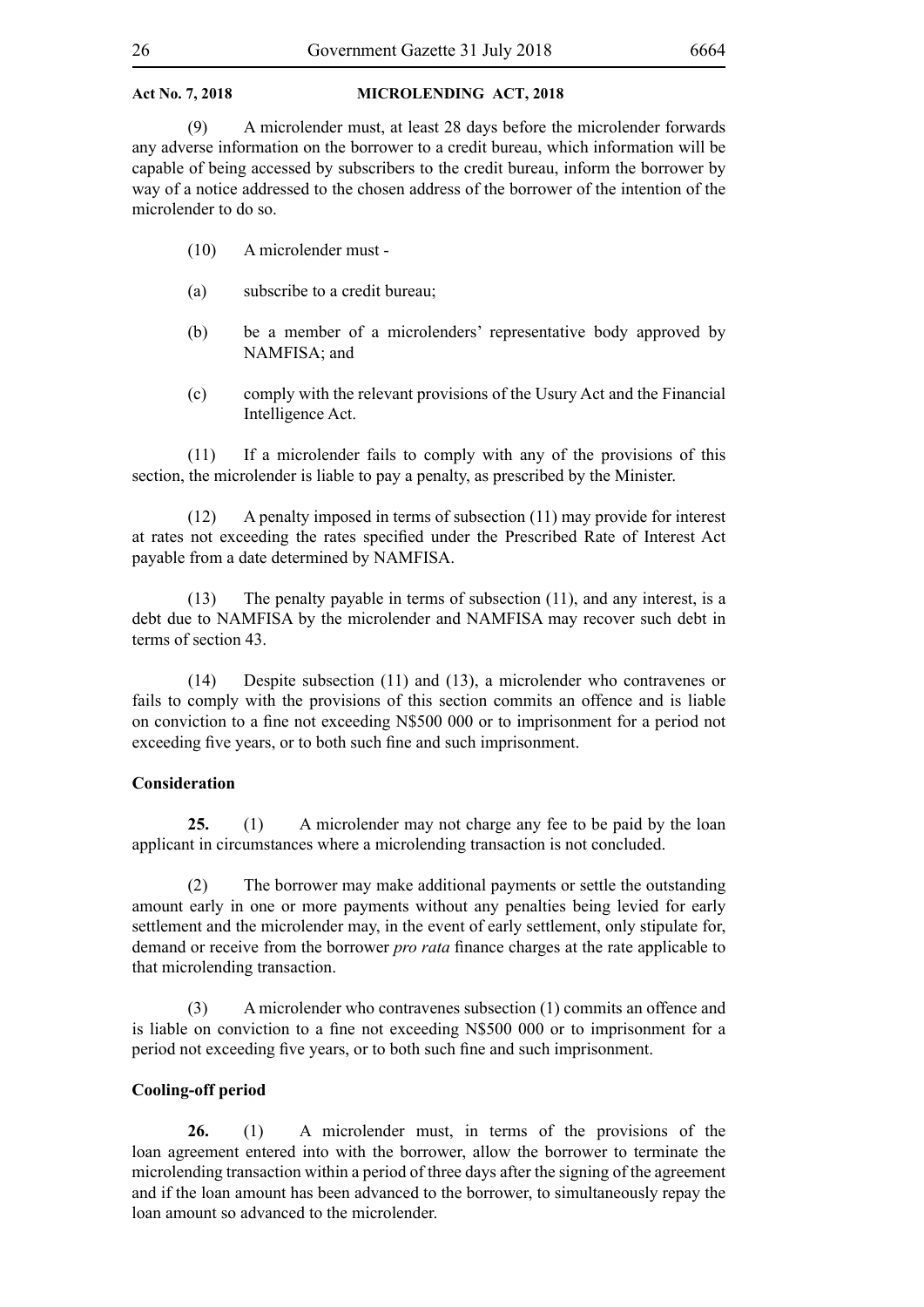(9) A microlender must, at least 28 days before the microlender forwards any adverse information on the borrower to a credit bureau, which information will be capable of being accessed by subscribers to the credit bureau, inform the borrower by way of a notice addressed to the chosen address of the borrower of the intention of the microlender to do so.

- (10) A microlender must -
- (a) subscribe to a credit bureau;
- (b) be a member of a microlenders' representative body approved by NAMFISA; and
- (c) comply with the relevant provisions of the Usury Act and the Financial Intelligence Act.

(11) If a microlender fails to comply with any of the provisions of this section, the microlender is liable to pay a penalty, as prescribed by the Minister.

(12) A penalty imposed in terms of subsection (11) may provide for interest at rates not exceeding the rates specified under the Prescribed Rate of Interest Act payable from a date determined by NAMFISA.

(13) The penalty payable in terms of subsection (11), and any interest, is a debt due to NAMFISA by the microlender and NAMFISA may recover such debt in terms of section 43.

(14) Despite subsection (11) and (13), a microlender who contravenes or fails to comply with the provisions of this section commits an offence and is liable on conviction to a fine not exceeding N\$500 000 or to imprisonment for a period not exceeding five years, or to both such fine and such imprisonment.

#### **Consideration**

**25.** (1) A microlender may not charge any fee to be paid by the loan applicant in circumstances where a microlending transaction is not concluded.

(2) The borrower may make additional payments or settle the outstanding amount early in one or more payments without any penalties being levied for early settlement and the microlender may, in the event of early settlement, only stipulate for, demand or receive from the borrower *pro rata* finance charges at the rate applicable to that microlending transaction.

(3) A microlender who contravenes subsection (1) commits an offence and is liable on conviction to a fine not exceeding N\$500 000 or to imprisonment for a period not exceeding five years, or to both such fine and such imprisonment.

#### **Cooling-off period**

**26.** (1) A microlender must, in terms of the provisions of the loan agreement entered into with the borrower, allow the borrower to terminate the microlending transaction within a period of three days after the signing of the agreement and if the loan amount has been advanced to the borrower, to simultaneously repay the loan amount so advanced to the microlender.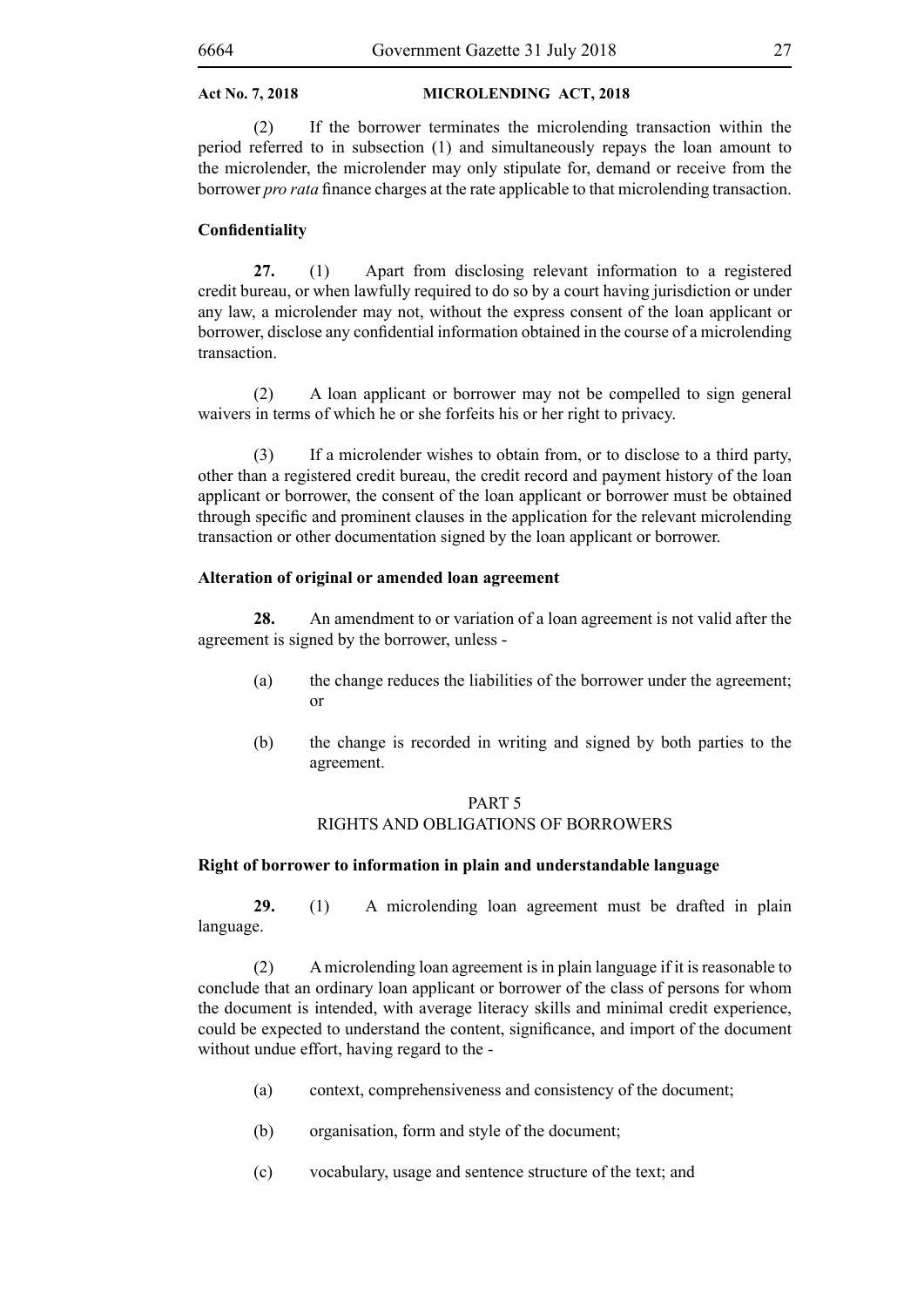(2) If the borrower terminates the microlending transaction within the period referred to in subsection (1) and simultaneously repays the loan amount to the microlender, the microlender may only stipulate for, demand or receive from the borrower *pro rata* finance charges at the rate applicable to that microlending transaction.

#### **Confidentiality**

**27.** (1) Apart from disclosing relevant information to a registered credit bureau, or when lawfully required to do so by a court having jurisdiction or under any law, a microlender may not, without the express consent of the loan applicant or borrower, disclose any confidential information obtained in the course of a microlending transaction.

(2) A loan applicant or borrower may not be compelled to sign general waivers in terms of which he or she forfeits his or her right to privacy.

(3) If a microlender wishes to obtain from, or to disclose to a third party, other than a registered credit bureau, the credit record and payment history of the loan applicant or borrower, the consent of the loan applicant or borrower must be obtained through specific and prominent clauses in the application for the relevant microlending transaction or other documentation signed by the loan applicant or borrower.

#### **Alteration of original or amended loan agreement**

**28.** An amendment to or variation of a loan agreement is not valid after the agreement is signed by the borrower, unless -

- (a) the change reduces the liabilities of the borrower under the agreement; or
- (b) the change is recorded in writing and signed by both parties to the agreement.

#### PART 5 RIGHTS AND OBLIGATIONS OF BORROWERS

#### **Right of borrower to information in plain and understandable language**

**29.** (1) A microlending loan agreement must be drafted in plain language.

(2) A microlending loan agreement is in plain language if it is reasonable to conclude that an ordinary loan applicant or borrower of the class of persons for whom the document is intended, with average literacy skills and minimal credit experience, could be expected to understand the content, significance, and import of the document without undue effort, having regard to the -

- (a) context, comprehensiveness and consistency of the document;
- (b) organisation, form and style of the document;
- (c) vocabulary, usage and sentence structure of the text; and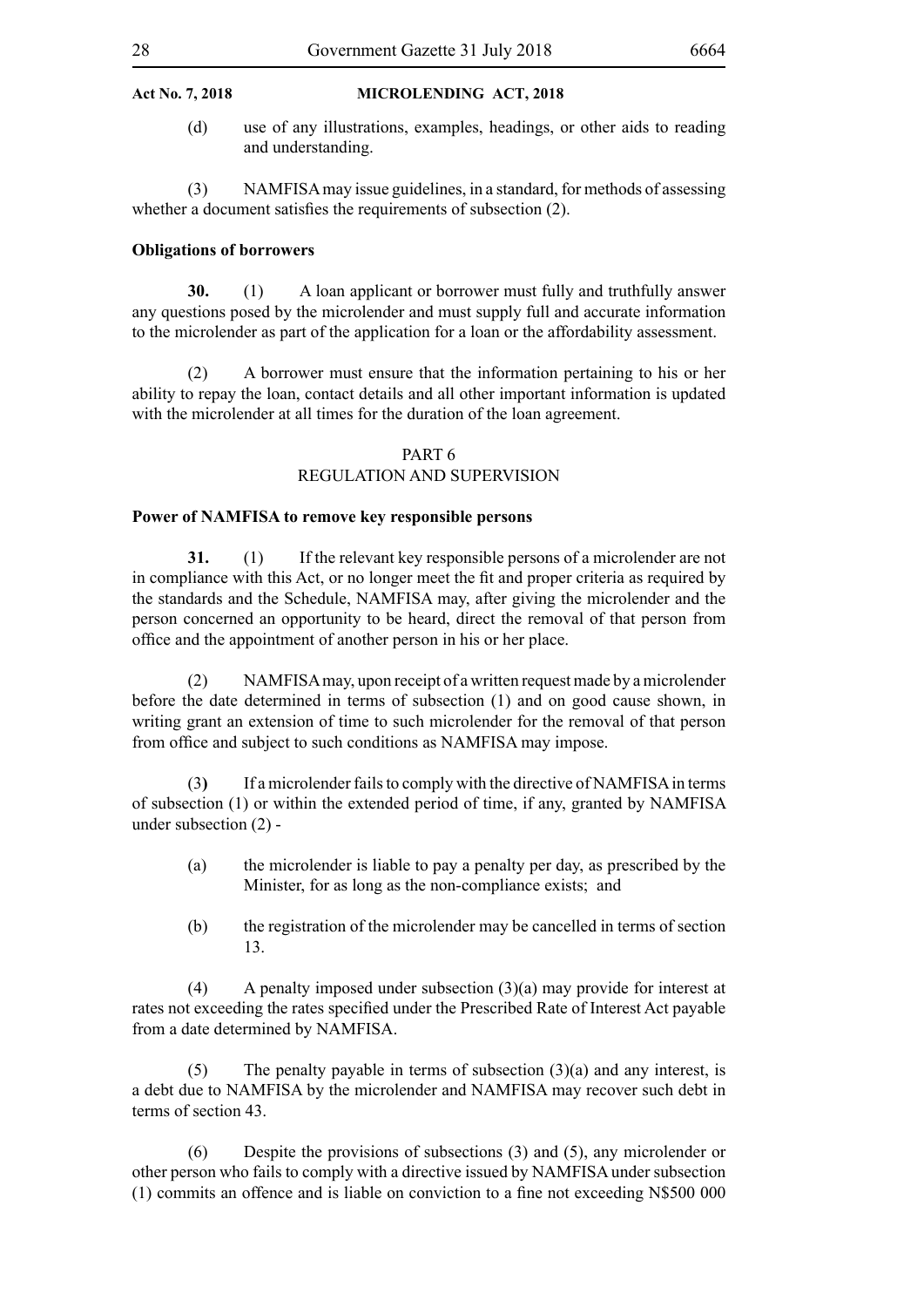(d) use of any illustrations, examples, headings, or other aids to reading and understanding.

(3) NAMFISA may issue guidelines, in a standard, for methods of assessing whether a document satisfies the requirements of subsection (2).

#### **Obligations of borrowers**

**30.** (1) A loan applicant or borrower must fully and truthfully answer any questions posed by the microlender and must supply full and accurate information to the microlender as part of the application for a loan or the affordability assessment.

(2) A borrower must ensure that the information pertaining to his or her ability to repay the loan, contact details and all other important information is updated with the microlender at all times for the duration of the loan agreement.

#### PART 6

### REGULATION AND SUPERVISION

#### **Power of NAMFISA to remove key responsible persons**

**31.** (1) If the relevant key responsible persons of a microlender are not in compliance with this Act, or no longer meet the fit and proper criteria as required by the standards and the Schedule, NAMFISA may, after giving the microlender and the person concerned an opportunity to be heard, direct the removal of that person from office and the appointment of another person in his or her place.

(2) NAMFISA may, upon receipt of a written request made by a microlender before the date determined in terms of subsection (1) and on good cause shown, in writing grant an extension of time to such microlender for the removal of that person from office and subject to such conditions as NAMFISA may impose.

(3**)** If a microlender fails to comply with the directive of NAMFISA in terms of subsection (1) or within the extended period of time, if any, granted by NAMFISA under subsection (2) -

- (a) the microlender is liable to pay a penalty per day, as prescribed by the Minister, for as long as the non-compliance exists; and
- (b) the registration of the microlender may be cancelled in terms of section 13.

(4) A penalty imposed under subsection (3)(a) may provide for interest at rates not exceeding the rates specified under the Prescribed Rate of Interest Act payable from a date determined by NAMFISA.

(5) The penalty payable in terms of subsection  $(3)(a)$  and any interest, is a debt due to NAMFISA by the microlender and NAMFISA may recover such debt in terms of section 43.

(6) Despite the provisions of subsections (3) and (5), any microlender or other person who fails to comply with a directive issued by NAMFISA under subsection (1) commits an offence and is liable on conviction to a fine not exceeding N\$500 000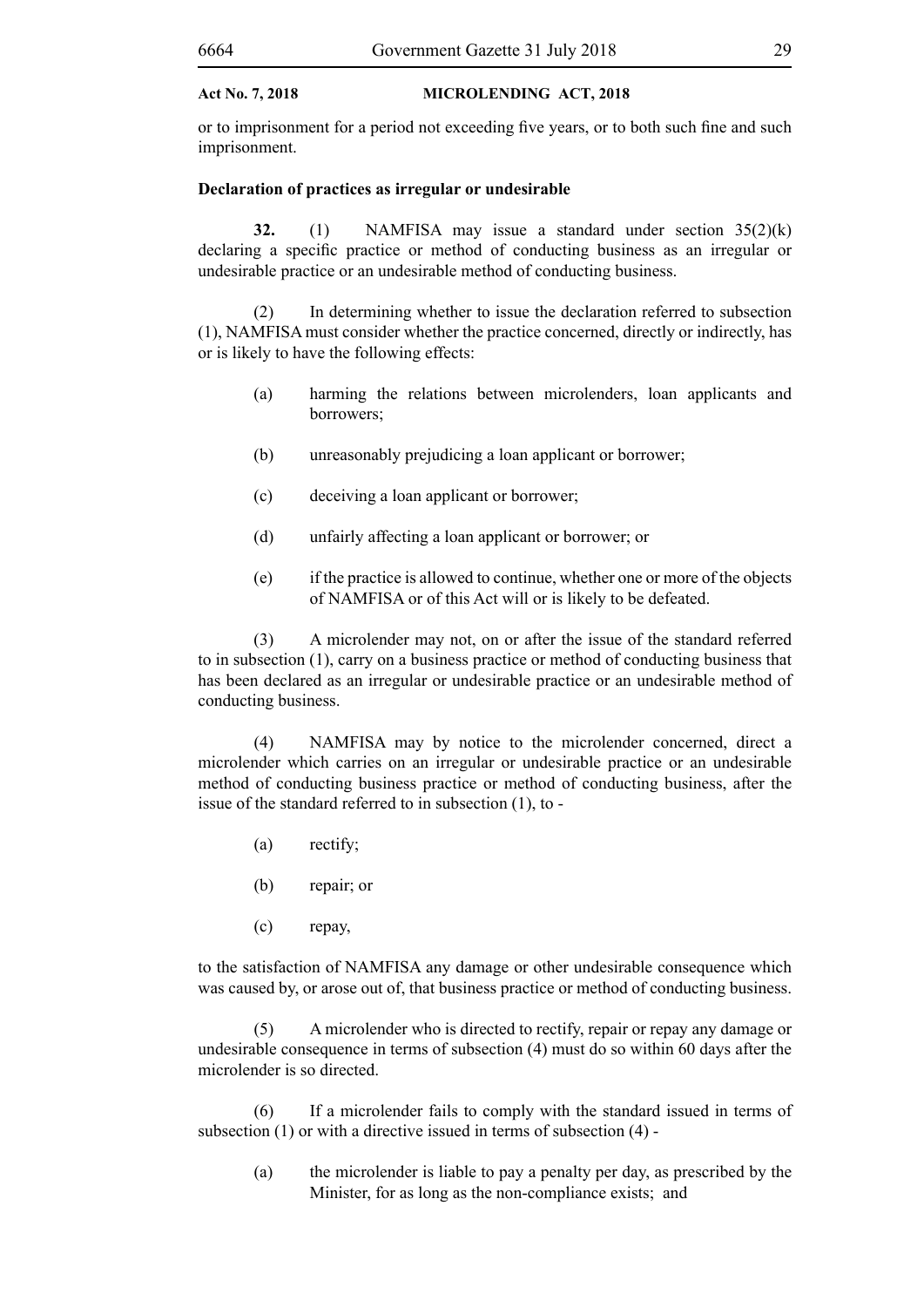or to imprisonment for a period not exceeding five years, or to both such fine and such imprisonment.

#### **Declaration of practices as irregular or undesirable**

**32.** (1) NAMFISA may issue a standard under section 35(2)(k) declaring a specific practice or method of conducting business as an irregular or undesirable practice or an undesirable method of conducting business.

(2) In determining whether to issue the declaration referred to subsection (1), NAMFISA must consider whether the practice concerned, directly or indirectly, has or is likely to have the following effects:

- (a) harming the relations between microlenders, loan applicants and borrowers;
- (b) unreasonably prejudicing a loan applicant or borrower;
- (c) deceiving a loan applicant or borrower;
- (d) unfairly affecting a loan applicant or borrower; or
- (e) if the practice is allowed to continue, whether one or more of the objects of NAMFISA or of this Act will or is likely to be defeated.

(3) A microlender may not, on or after the issue of the standard referred to in subsection (1), carry on a business practice or method of conducting business that has been declared as an irregular or undesirable practice or an undesirable method of conducting business.

(4) NAMFISA may by notice to the microlender concerned, direct a microlender which carries on an irregular or undesirable practice or an undesirable method of conducting business practice or method of conducting business, after the issue of the standard referred to in subsection (1), to -

- (a) rectify;
- (b) repair; or
- (c) repay,

to the satisfaction of NAMFISA any damage or other undesirable consequence which was caused by, or arose out of, that business practice or method of conducting business.

(5) A microlender who is directed to rectify, repair or repay any damage or undesirable consequence in terms of subsection (4) must do so within 60 days after the microlender is so directed.

(6) If a microlender fails to comply with the standard issued in terms of subsection (1) or with a directive issued in terms of subsection (4) -

(a) the microlender is liable to pay a penalty per day, as prescribed by the Minister, for as long as the non-compliance exists; and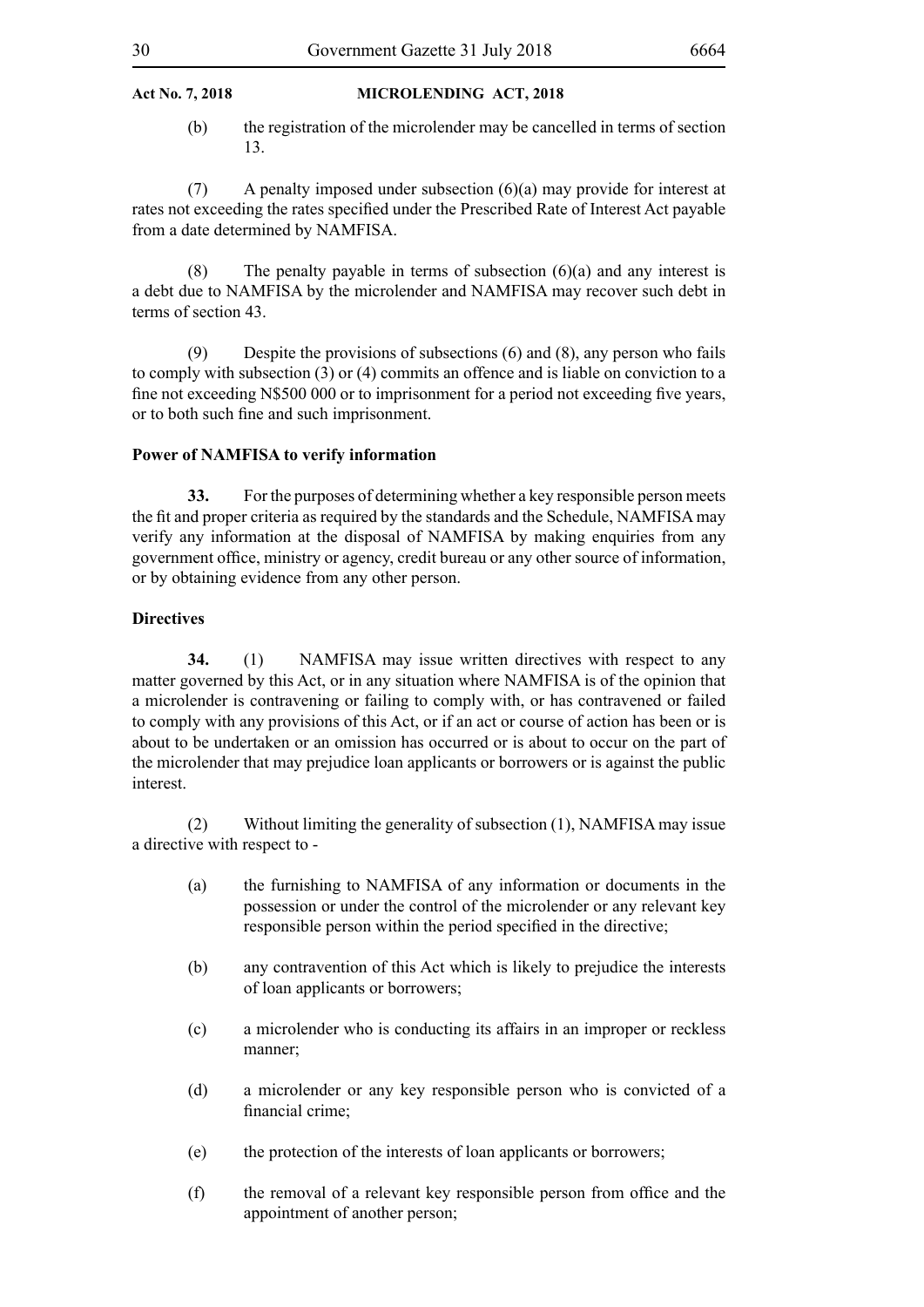(b) the registration of the microlender may be cancelled in terms of section 13.

 $(7)$  A penalty imposed under subsection  $(6)(a)$  may provide for interest at rates not exceeding the rates specified under the Prescribed Rate of Interest Act payable from a date determined by NAMFISA.

(8) The penalty payable in terms of subsection  $(6)(a)$  and any interest is a debt due to NAMFISA by the microlender and NAMFISA may recover such debt in terms of section 43.

(9) Despite the provisions of subsections (6) and (8), any person who fails to comply with subsection (3) or (4) commits an offence and is liable on conviction to a fine not exceeding N\$500 000 or to imprisonment for a period not exceeding five years, or to both such fine and such imprisonment.

#### **Power of NAMFISA to verify information**

**33.** For the purposes of determining whether a key responsible person meets the fit and proper criteria as required by the standards and the Schedule, NAMFISA may verify any information at the disposal of NAMFISA by making enquiries from any government office, ministry or agency, credit bureau or any other source of information, or by obtaining evidence from any other person.

#### **Directives**

**34.** (1) NAMFISA may issue written directives with respect to any matter governed by this Act, or in any situation where NAMFISA is of the opinion that a microlender is contravening or failing to comply with, or has contravened or failed to comply with any provisions of this Act, or if an act or course of action has been or is about to be undertaken or an omission has occurred or is about to occur on the part of the microlender that may prejudice loan applicants or borrowers or is against the public interest.

(2) Without limiting the generality of subsection (1), NAMFISA may issue a directive with respect to -

- (a) the furnishing to NAMFISA of any information or documents in the possession or under the control of the microlender or any relevant key responsible person within the period specified in the directive;
- (b) any contravention of this Act which is likely to prejudice the interests of loan applicants or borrowers;
- (c) a microlender who is conducting its affairs in an improper or reckless manner;
- (d) a microlender or any key responsible person who is convicted of a financial crime;
- (e) the protection of the interests of loan applicants or borrowers;
- (f) the removal of a relevant key responsible person from office and the appointment of another person;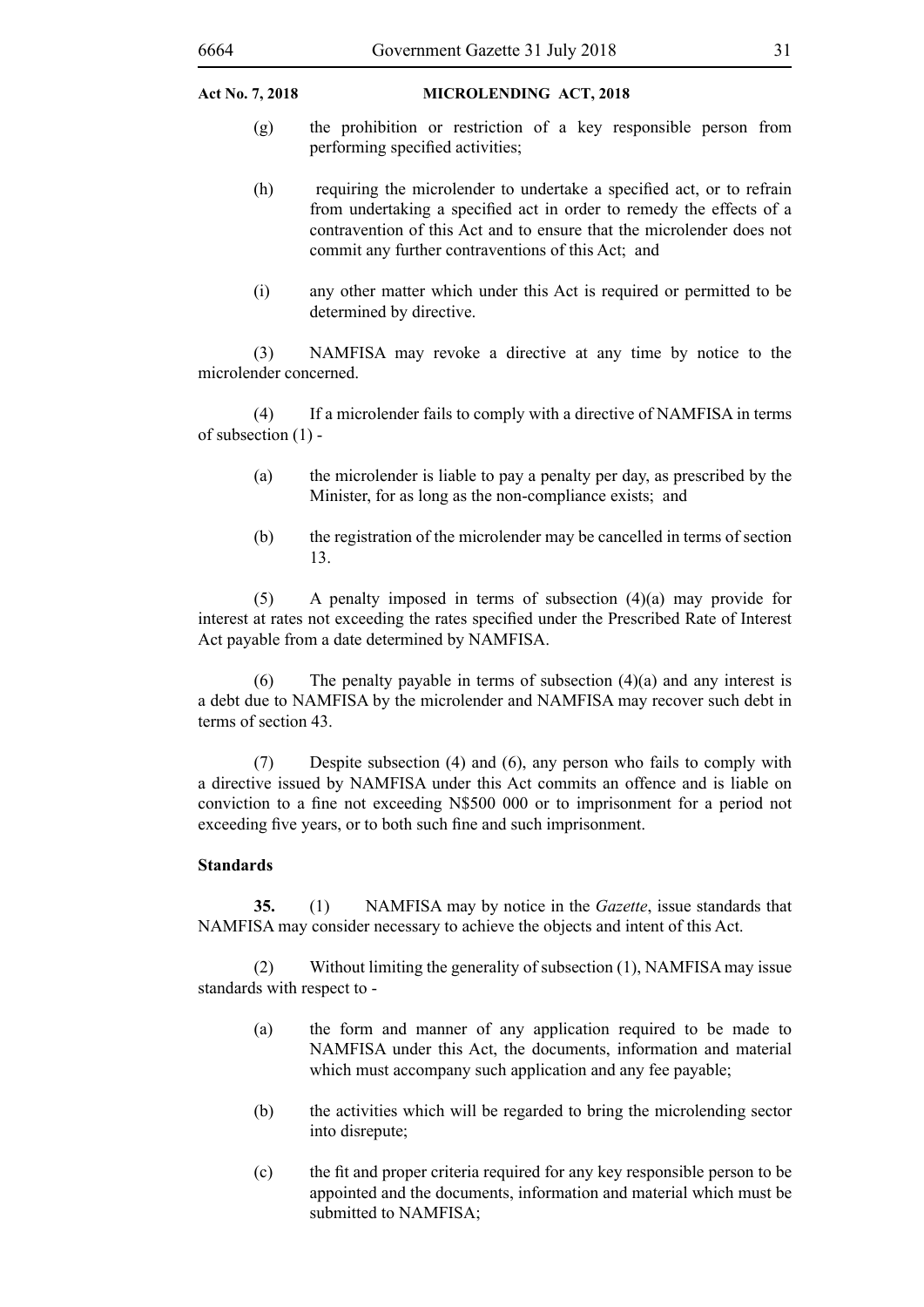- (g) the prohibition or restriction of a key responsible person from performing specified activities;
- (h) requiring the microlender to undertake a specified act, or to refrain from undertaking a specified act in order to remedy the effects of a contravention of this Act and to ensure that the microlender does not commit any further contraventions of this Act; and
- (i) any other matter which under this Act is required or permitted to be determined by directive.

(3) NAMFISA may revoke a directive at any time by notice to the microlender concerned.

(4) If a microlender fails to comply with a directive of NAMFISA in terms of subsection (1) -

- (a) the microlender is liable to pay a penalty per day, as prescribed by the Minister, for as long as the non-compliance exists; and
- (b) the registration of the microlender may be cancelled in terms of section 13.

(5) A penalty imposed in terms of subsection (4)(a) may provide for interest at rates not exceeding the rates specified under the Prescribed Rate of Interest Act payable from a date determined by NAMFISA.

(6) The penalty payable in terms of subsection  $(4)(a)$  and any interest is a debt due to NAMFISA by the microlender and NAMFISA may recover such debt in terms of section 43.

(7) Despite subsection (4) and (6), any person who fails to comply with a directive issued by NAMFISA under this Act commits an offence and is liable on conviction to a fine not exceeding N\$500 000 or to imprisonment for a period not exceeding five years, or to both such fine and such imprisonment.

#### **Standards**

**35.** (1) NAMFISA may by notice in the *Gazette*, issue standards that NAMFISA may consider necessary to achieve the objects and intent of this Act.

(2) Without limiting the generality of subsection (1), NAMFISA may issue standards with respect to -

- (a) the form and manner of any application required to be made to NAMFISA under this Act, the documents, information and material which must accompany such application and any fee payable;
- (b) the activities which will be regarded to bring the microlending sector into disrepute;
- (c) the fit and proper criteria required for any key responsible person to be appointed and the documents, information and material which must be submitted to NAMFISA;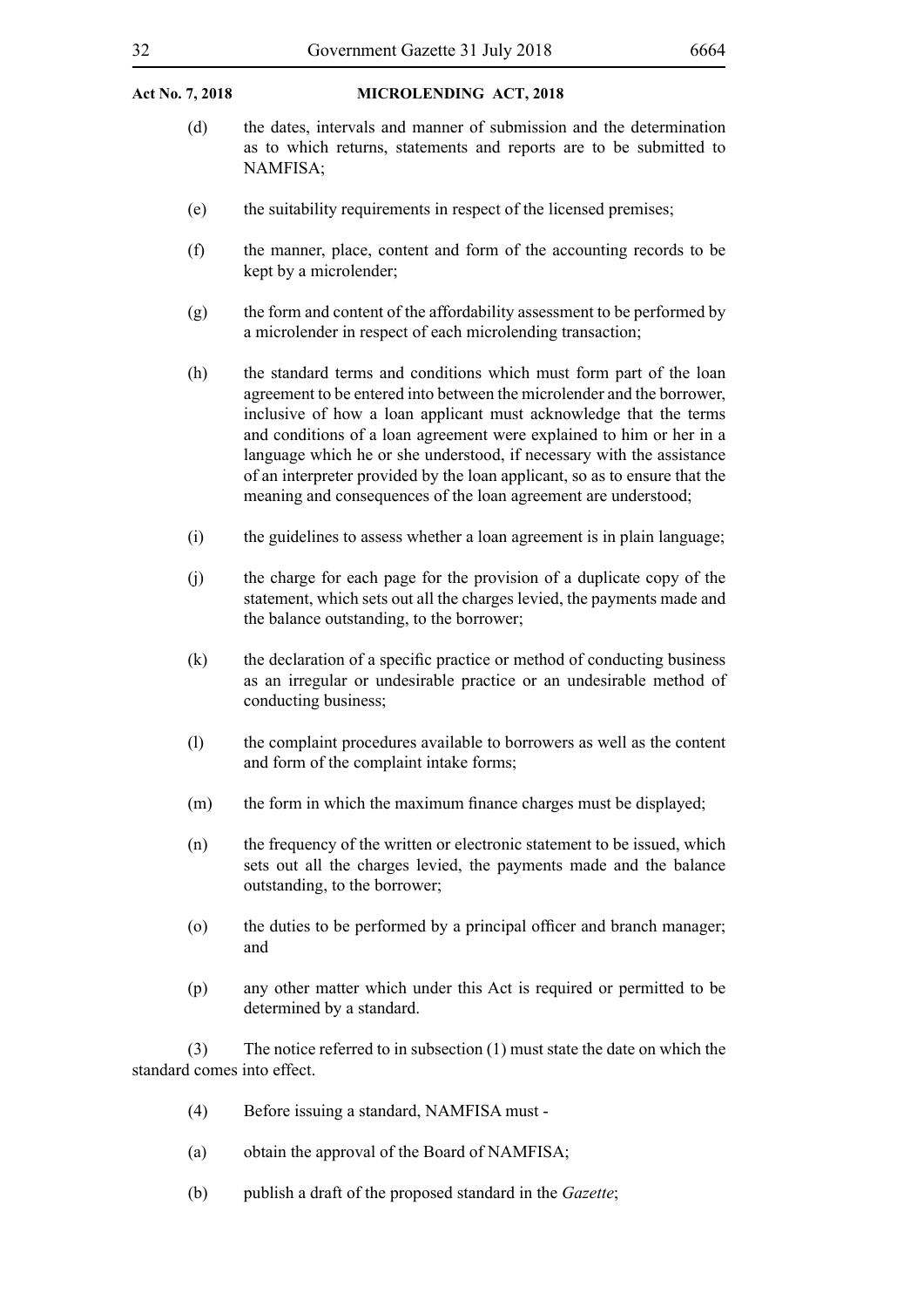- (d) the dates, intervals and manner of submission and the determination as to which returns, statements and reports are to be submitted to NAMFISA;
- (e) the suitability requirements in respect of the licensed premises;
- (f) the manner, place, content and form of the accounting records to be kept by a microlender;
- (g) the form and content of the affordability assessment to be performed by a microlender in respect of each microlending transaction;
- (h) the standard terms and conditions which must form part of the loan agreement to be entered into between the microlender and the borrower, inclusive of how a loan applicant must acknowledge that the terms and conditions of a loan agreement were explained to him or her in a language which he or she understood, if necessary with the assistance of an interpreter provided by the loan applicant, so as to ensure that the meaning and consequences of the loan agreement are understood;
- (i) the guidelines to assess whether a loan agreement is in plain language;
- (j) the charge for each page for the provision of a duplicate copy of the statement, which sets out all the charges levied, the payments made and the balance outstanding, to the borrower;
- (k) the declaration of a specific practice or method of conducting business as an irregular or undesirable practice or an undesirable method of conducting business;
- (l) the complaint procedures available to borrowers as well as the content and form of the complaint intake forms;
- (m) the form in which the maximum finance charges must be displayed;
- (n) the frequency of the written or electronic statement to be issued, which sets out all the charges levied, the payments made and the balance outstanding, to the borrower;
- (o) the duties to be performed by a principal officer and branch manager; and
- (p) any other matter which under this Act is required or permitted to be determined by a standard.

(3) The notice referred to in subsection (1) must state the date on which the standard comes into effect.

- (4) Before issuing a standard, NAMFISA must -
- (a) obtain the approval of the Board of NAMFISA;
- (b) publish a draft of the proposed standard in the *Gazette*;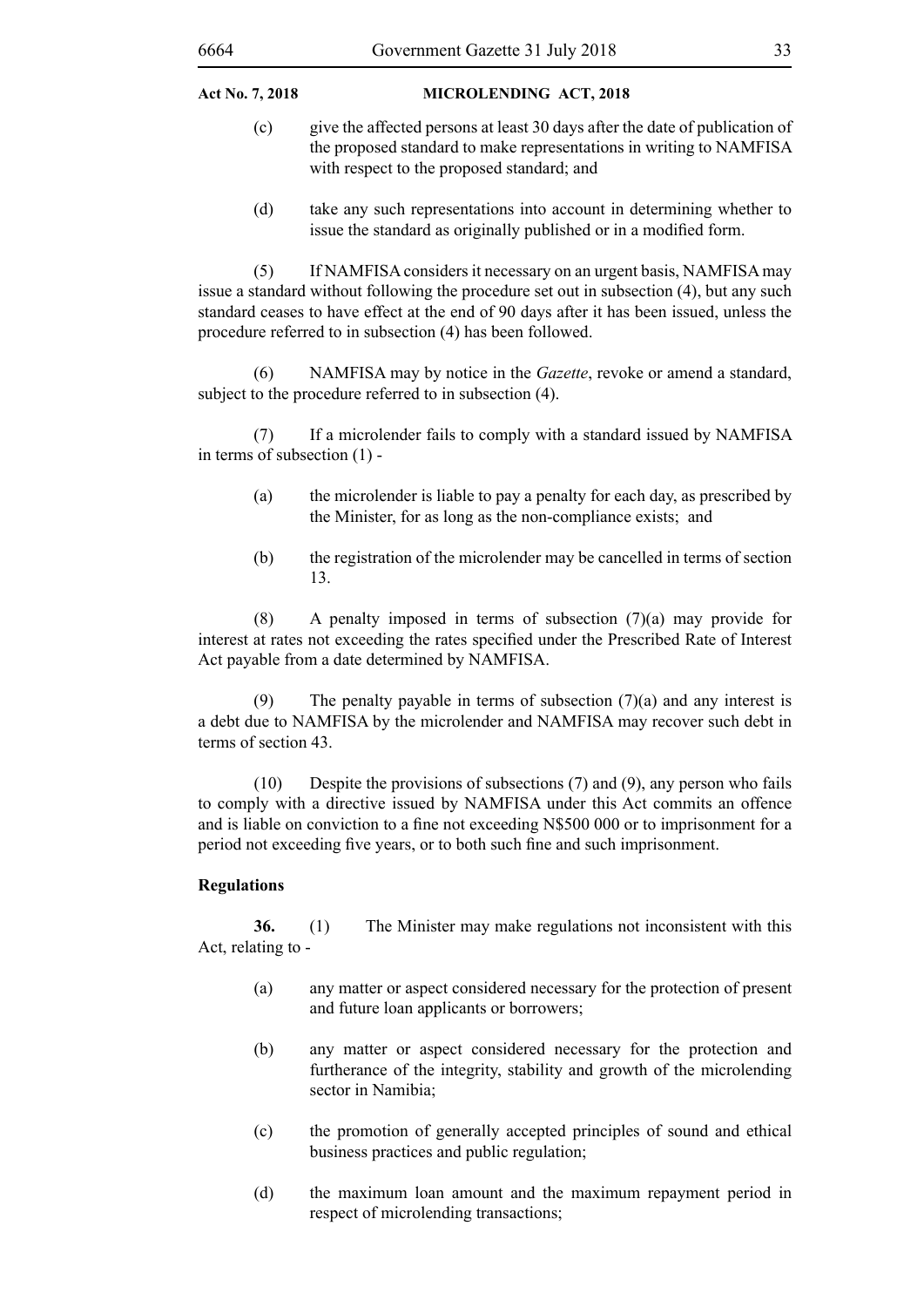- (c) give the affected persons at least 30 days after the date of publication of the proposed standard to make representations in writing to NAMFISA with respect to the proposed standard; and
- (d) take any such representations into account in determining whether to issue the standard as originally published or in a modified form.

(5) If NAMFISA considers it necessary on an urgent basis, NAMFISA may issue a standard without following the procedure set out in subsection (4), but any such standard ceases to have effect at the end of 90 days after it has been issued, unless the procedure referred to in subsection (4) has been followed.

(6) NAMFISA may by notice in the *Gazette*, revoke or amend a standard, subject to the procedure referred to in subsection (4).

(7) If a microlender fails to comply with a standard issued by NAMFISA in terms of subsection (1) -

- (a) the microlender is liable to pay a penalty for each day, as prescribed by the Minister, for as long as the non-compliance exists; and
- (b) the registration of the microlender may be cancelled in terms of section 13.

(8) A penalty imposed in terms of subsection (7)(a) may provide for interest at rates not exceeding the rates specified under the Prescribed Rate of Interest Act payable from a date determined by NAMFISA.

(9) The penalty payable in terms of subsection  $(7)(a)$  and any interest is a debt due to NAMFISA by the microlender and NAMFISA may recover such debt in terms of section 43.

(10) Despite the provisions of subsections (7) and (9), any person who fails to comply with a directive issued by NAMFISA under this Act commits an offence and is liable on conviction to a fine not exceeding N\$500 000 or to imprisonment for a period not exceeding five years, or to both such fine and such imprisonment.

#### **Regulations**

**36.** (1) The Minister may make regulations not inconsistent with this Act, relating to -

- (a) any matter or aspect considered necessary for the protection of present and future loan applicants or borrowers;
- (b) any matter or aspect considered necessary for the protection and furtherance of the integrity, stability and growth of the microlending sector in Namibia;
- (c) the promotion of generally accepted principles of sound and ethical business practices and public regulation;
- (d) the maximum loan amount and the maximum repayment period in respect of microlending transactions;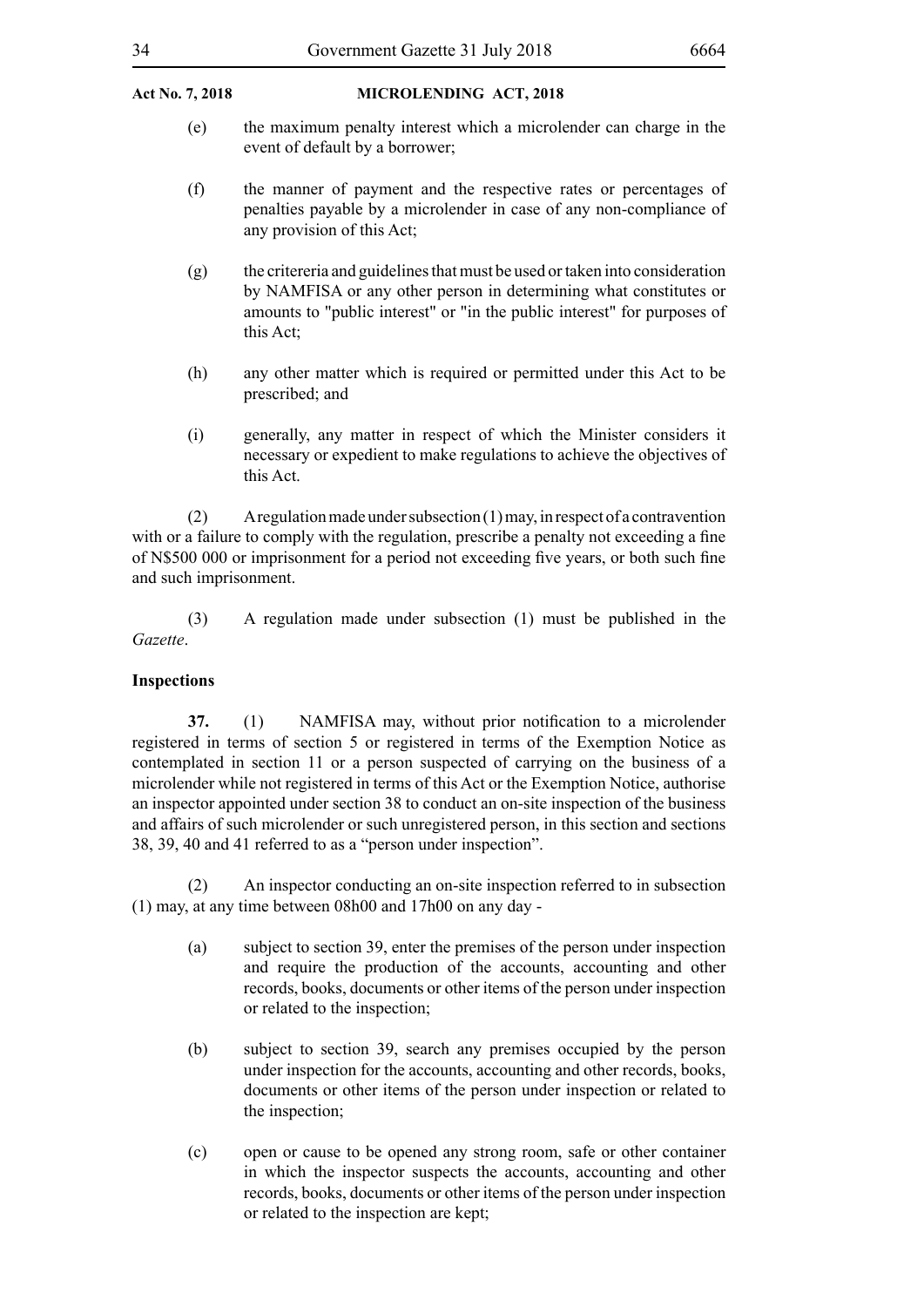#### 34 Government Gazette 31 July 2018 6664

#### **Act No. 7, 2018 MICROLENDING Act, 2018**

- (e) the maximum penalty interest which a microlender can charge in the event of default by a borrower;
- (f) the manner of payment and the respective rates or percentages of penalties payable by a microlender in case of any non-compliance of any provision of this Act;
- (g) the critereria and guidelines that must be used or taken into consideration by NAMFISA or any other person in determining what constitutes or amounts to "public interest" or "in the public interest" for purposes of this Act;
- (h) any other matter which is required or permitted under this Act to be prescribed; and
- (i) generally, any matter in respect of which the Minister considers it necessary or expedient to make regulations to achieve the objectives of this Act.

(2) A regulation made under subsection (1) may, in respect of a contravention with or a failure to comply with the regulation, prescribe a penalty not exceeding a fine of N\$500 000 or imprisonment for a period not exceeding five years, or both such fine and such imprisonment.

(3) A regulation made under subsection (1) must be published in the *Gazette*.

#### **Inspections**

**37.** (1) NAMFISA may, without prior notification to a microlender registered in terms of section 5 or registered in terms of the Exemption Notice as contemplated in section 11 or a person suspected of carrying on the business of a microlender while not registered in terms of this Act or the Exemption Notice, authorise an inspector appointed under section 38 to conduct an on-site inspection of the business and affairs of such microlender or such unregistered person, in this section and sections 38, 39, 40 and 41 referred to as a "person under inspection".

(2) An inspector conducting an on-site inspection referred to in subsection (1) may, at any time between 08h00 and 17h00 on any day -

- (a) subject to section 39, enter the premises of the person under inspection and require the production of the accounts, accounting and other records, books, documents or other items of the person under inspection or related to the inspection;
- (b) subject to section 39, search any premises occupied by the person under inspection for the accounts, accounting and other records, books, documents or other items of the person under inspection or related to the inspection;
- (c) open or cause to be opened any strong room, safe or other container in which the inspector suspects the accounts, accounting and other records, books, documents or other items of the person under inspection or related to the inspection are kept;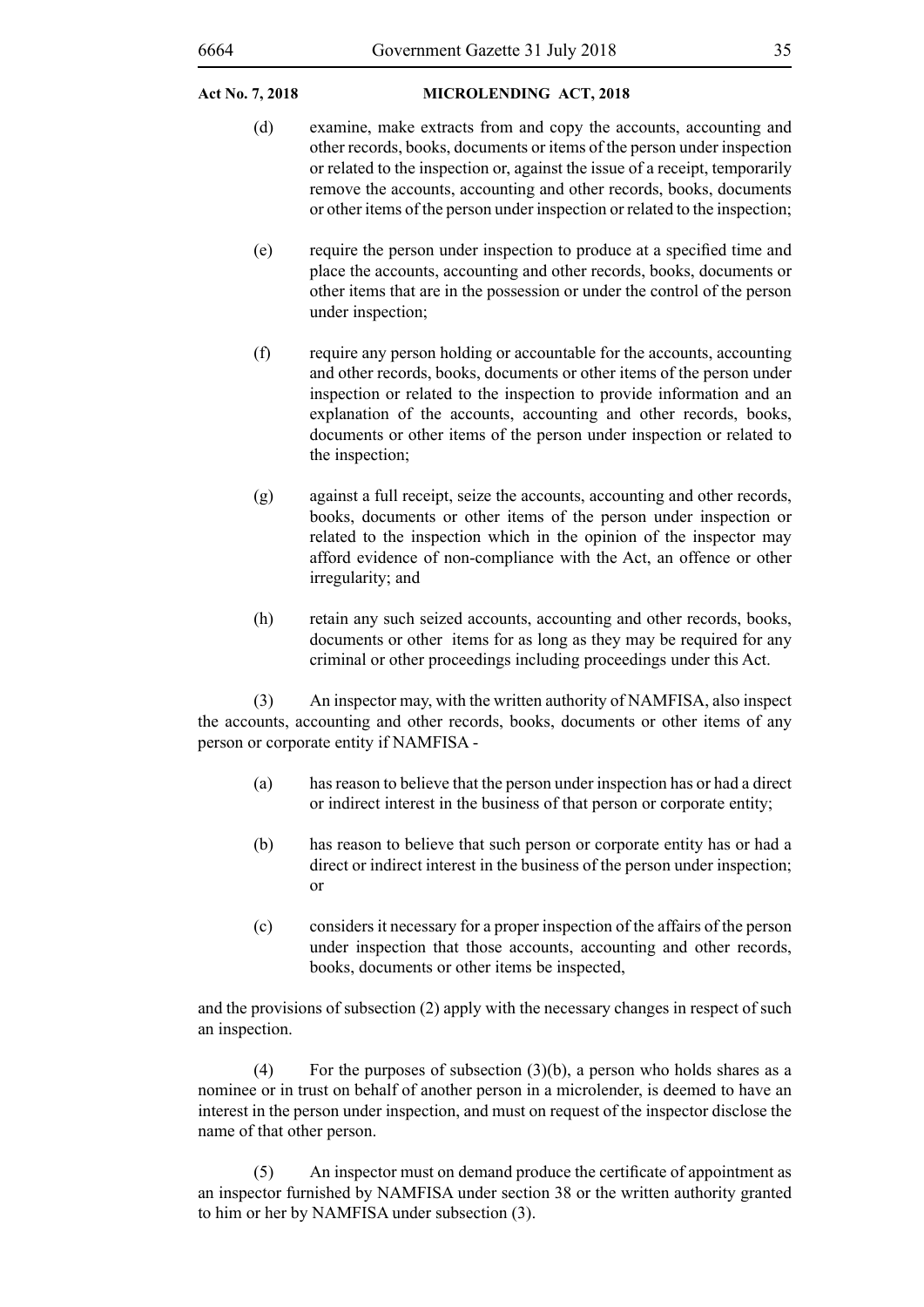- (d) examine, make extracts from and copy the accounts, accounting and other records, books, documents or items of the person under inspection or related to the inspection or, against the issue of a receipt, temporarily remove the accounts, accounting and other records, books, documents or other items of the person under inspection or related to the inspection;
- (e) require the person under inspection to produce at a specified time and place the accounts, accounting and other records, books, documents or other items that are in the possession or under the control of the person under inspection;
- (f) require any person holding or accountable for the accounts, accounting and other records, books, documents or other items of the person under inspection or related to the inspection to provide information and an explanation of the accounts, accounting and other records, books, documents or other items of the person under inspection or related to the inspection;
- (g) against a full receipt, seize the accounts, accounting and other records, books, documents or other items of the person under inspection or related to the inspection which in the opinion of the inspector may afford evidence of non-compliance with the Act, an offence or other irregularity; and
- (h) retain any such seized accounts, accounting and other records, books, documents or other items for as long as they may be required for any criminal or other proceedings including proceedings under this Act.

(3) An inspector may, with the written authority of NAMFISA, also inspect the accounts, accounting and other records, books, documents or other items of any person or corporate entity if NAMFISA -

- (a) has reason to believe that the person under inspection has or had a direct or indirect interest in the business of that person or corporate entity;
- (b) has reason to believe that such person or corporate entity has or had a direct or indirect interest in the business of the person under inspection; or
- (c) considers it necessary for a proper inspection of the affairs of the person under inspection that those accounts, accounting and other records, books, documents or other items be inspected,

and the provisions of subsection (2) apply with the necessary changes in respect of such an inspection.

(4) For the purposes of subsection  $(3)(b)$ , a person who holds shares as a nominee or in trust on behalf of another person in a microlender, is deemed to have an interest in the person under inspection, and must on request of the inspector disclose the name of that other person.

(5) An inspector must on demand produce the certificate of appointment as an inspector furnished by NAMFISA under section 38 or the written authority granted to him or her by NAMFISA under subsection (3).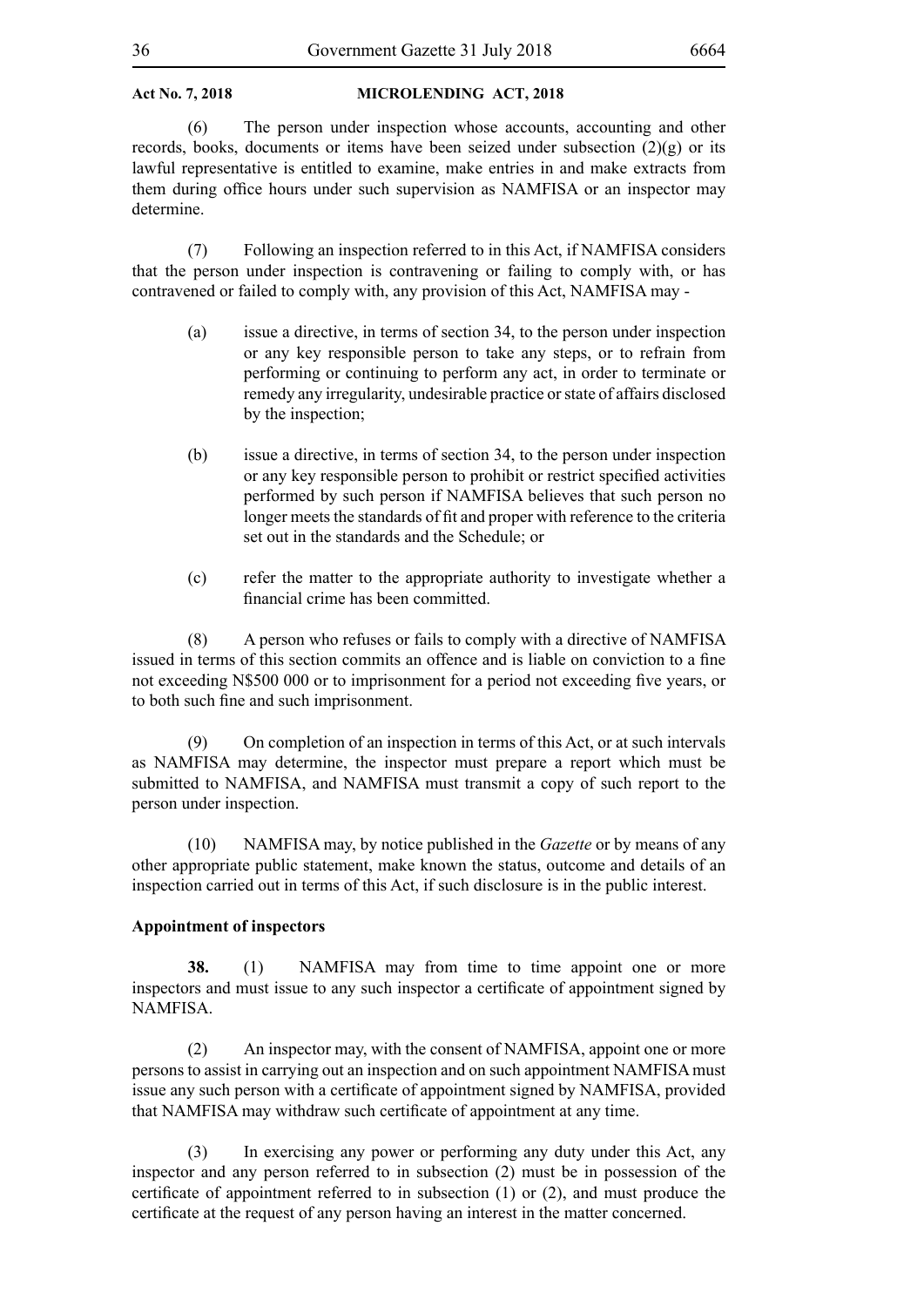(6) The person under inspection whose accounts, accounting and other records, books, documents or items have been seized under subsection  $(2)(g)$  or its lawful representative is entitled to examine, make entries in and make extracts from them during office hours under such supervision as NAMFISA or an inspector may determine.

(7) Following an inspection referred to in this Act, if NAMFISA considers that the person under inspection is contravening or failing to comply with, or has contravened or failed to comply with, any provision of this Act, NAMFISA may -

- (a) issue a directive, in terms of section 34, to the person under inspection or any key responsible person to take any steps, or to refrain from performing or continuing to perform any act, in order to terminate or remedy any irregularity, undesirable practice or state of affairs disclosed by the inspection;
- (b) issue a directive, in terms of section 34, to the person under inspection or any key responsible person to prohibit or restrict specified activities performed by such person if NAMFISA believes that such person no longer meets the standards of fit and proper with reference to the criteria set out in the standards and the Schedule; or
- (c) refer the matter to the appropriate authority to investigate whether a financial crime has been committed.

(8) A person who refuses or fails to comply with a directive of NAMFISA issued in terms of this section commits an offence and is liable on conviction to a fine not exceeding N\$500 000 or to imprisonment for a period not exceeding five years, or to both such fine and such imprisonment.

(9) On completion of an inspection in terms of this Act, or at such intervals as NAMFISA may determine, the inspector must prepare a report which must be submitted to NAMFISA, and NAMFISA must transmit a copy of such report to the person under inspection.

(10) NAMFISA may, by notice published in the *Gazette* or by means of any other appropriate public statement, make known the status, outcome and details of an inspection carried out in terms of this Act, if such disclosure is in the public interest.

#### **Appointment of inspectors**

**38.** (1) NAMFISA may from time to time appoint one or more inspectors and must issue to any such inspector a certificate of appointment signed by **NAMFISA** 

(2) An inspector may, with the consent of NAMFISA, appoint one or more persons to assist in carrying out an inspection and on such appointment NAMFISA must issue any such person with a certificate of appointment signed by NAMFISA, provided that NAMFISA may withdraw such certificate of appointment at any time.

(3) In exercising any power or performing any duty under this Act, any inspector and any person referred to in subsection (2) must be in possession of the certificate of appointment referred to in subsection (1) or (2), and must produce the certificate at the request of any person having an interest in the matter concerned.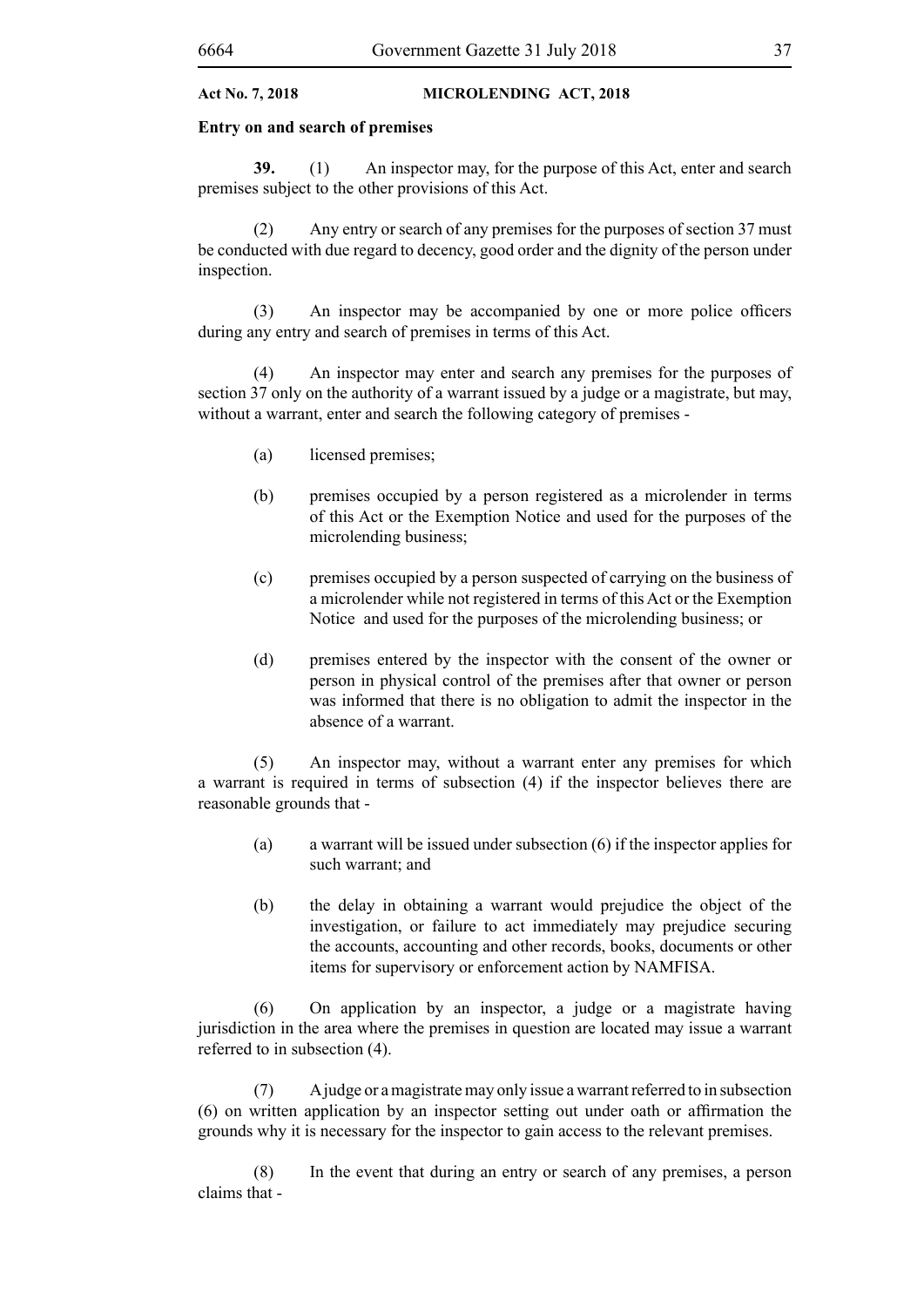#### **Entry on and search of premises**

**39.** (1) An inspector may, for the purpose of this Act, enter and search premises subject to the other provisions of this Act.

(2) Any entry or search of any premises for the purposes of section 37 must be conducted with due regard to decency, good order and the dignity of the person under inspection.

(3) An inspector may be accompanied by one or more police officers during any entry and search of premises in terms of this Act.

(4) An inspector may enter and search any premises for the purposes of section 37 only on the authority of a warrant issued by a judge or a magistrate, but may, without a warrant, enter and search the following category of premises -

- (a) licensed premises;
- (b) premises occupied by a person registered as a microlender in terms of this Act or the Exemption Notice and used for the purposes of the microlending business;
- (c) premises occupied by a person suspected of carrying on the business of a microlender while not registered in terms of this Act or the Exemption Notice and used for the purposes of the microlending business; or
- (d) premises entered by the inspector with the consent of the owner or person in physical control of the premises after that owner or person was informed that there is no obligation to admit the inspector in the absence of a warrant.

(5) An inspector may, without a warrant enter any premises for which a warrant is required in terms of subsection (4) if the inspector believes there are reasonable grounds that -

- (a) a warrant will be issued under subsection (6) if the inspector applies for such warrant; and
- (b) the delay in obtaining a warrant would prejudice the object of the investigation, or failure to act immediately may prejudice securing the accounts, accounting and other records, books, documents or other items for supervisory or enforcement action by NAMFISA.

(6) On application by an inspector, a judge or a magistrate having jurisdiction in the area where the premises in question are located may issue a warrant referred to in subsection (4).

(7) A judge or a magistrate may only issue a warrant referred to in subsection (6) on written application by an inspector setting out under oath or affirmation the grounds why it is necessary for the inspector to gain access to the relevant premises.

(8) In the event that during an entry or search of any premises, a person claims that -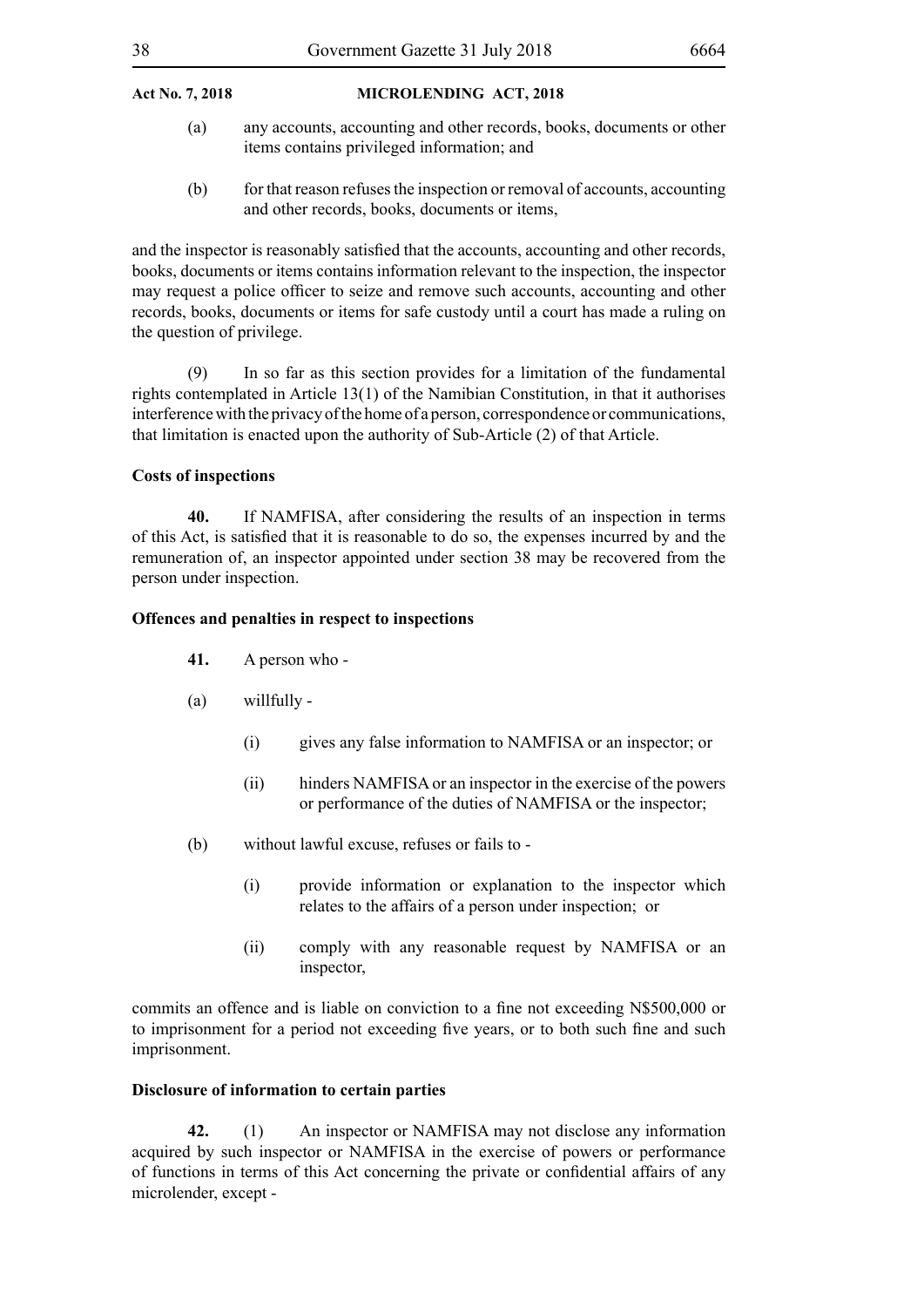- (a) any accounts, accounting and other records, books, documents or other items contains privileged information; and
- (b) for that reason refuses the inspection or removal of accounts, accounting and other records, books, documents or items,

and the inspector is reasonably satisfied that the accounts, accounting and other records, books, documents or items contains information relevant to the inspection, the inspector may request a police officer to seize and remove such accounts, accounting and other records, books, documents or items for safe custody until a court has made a ruling on the question of privilege.

(9) In so far as this section provides for a limitation of the fundamental rights contemplated in Article 13(1) of the Namibian Constitution, in that it authorises interference with the privacy of the home of a person, correspondence or communications, that limitation is enacted upon the authority of Sub-Article (2) of that Article.

#### **Costs of inspections**

**40.** If NAMFISA, after considering the results of an inspection in terms of this Act, is satisfied that it is reasonable to do so, the expenses incurred by and the remuneration of, an inspector appointed under section 38 may be recovered from the person under inspection.

#### **Offences and penalties in respect to inspections**

- **41.** A person who -
- (a) willfully
	- (i) gives any false information to NAMFISA or an inspector; or
	- (ii) hinders NAMFISA or an inspector in the exercise of the powers or performance of the duties of NAMFISA or the inspector;
- (b) without lawful excuse, refuses or fails to
	- (i) provide information or explanation to the inspector which relates to the affairs of a person under inspection; or
	- (ii) comply with any reasonable request by NAMFISA or an inspector,

commits an offence and is liable on conviction to a fine not exceeding N\$500,000 or to imprisonment for a period not exceeding five years, or to both such fine and such imprisonment.

#### **Disclosure of information to certain parties**

**42.** (1) An inspector or NAMFISA may not disclose any information acquired by such inspector or NAMFISA in the exercise of powers or performance of functions in terms of this Act concerning the private or confidential affairs of any microlender, except -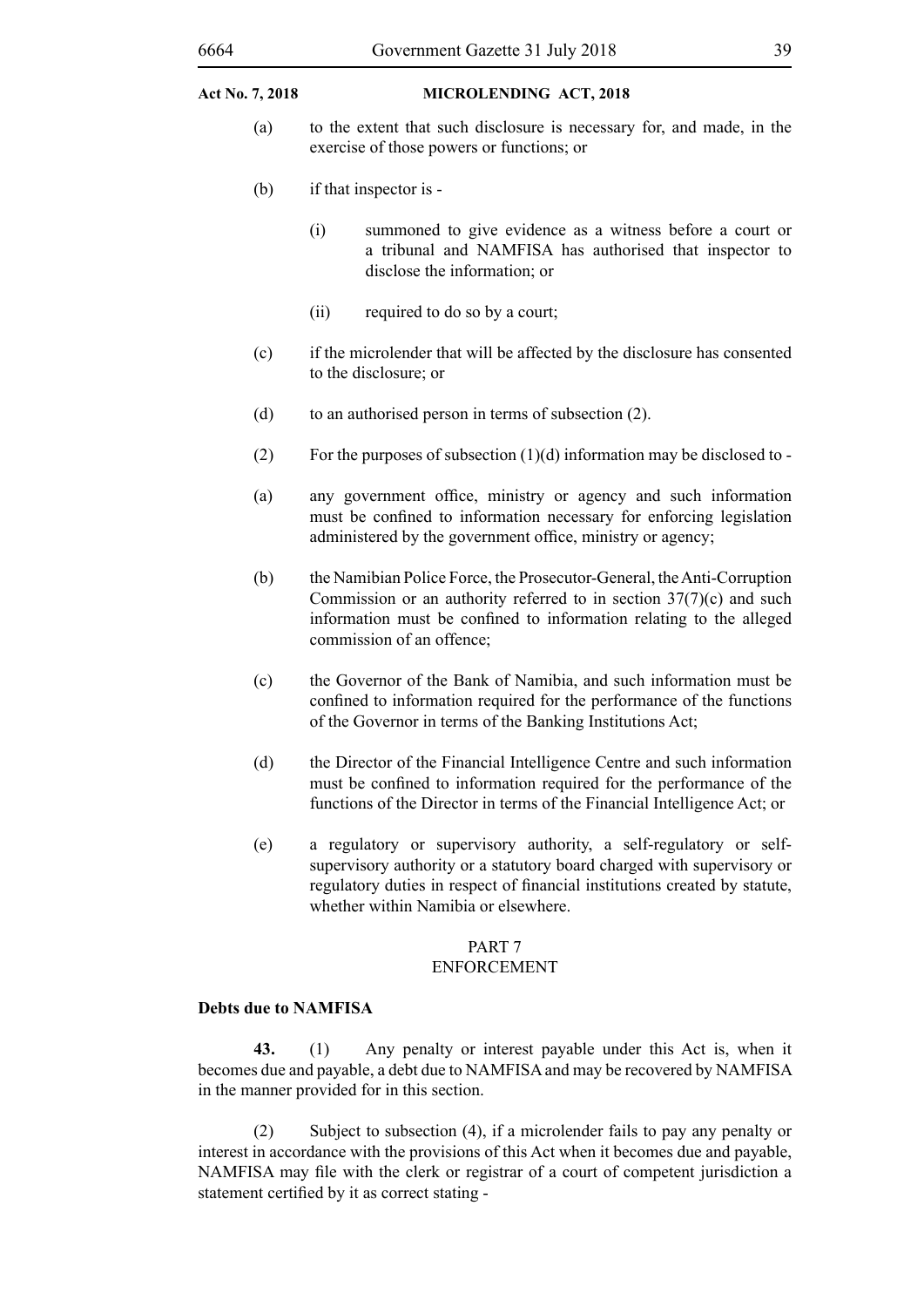- (a) to the extent that such disclosure is necessary for, and made, in the exercise of those powers or functions; or
- (b) if that inspector is
	- (i) summoned to give evidence as a witness before a court or a tribunal and NAMFISA has authorised that inspector to disclose the information; or
	- (ii) required to do so by a court;
- (c) if the microlender that will be affected by the disclosure has consented to the disclosure; or
- (d) to an authorised person in terms of subsection (2).
- (2) For the purposes of subsection  $(1)(d)$  information may be disclosed to -
- (a) any government office, ministry or agency and such information must be confined to information necessary for enforcing legislation administered by the government office, ministry or agency;
- (b) the Namibian Police Force, the Prosecutor-General, the Anti-Corruption Commission or an authority referred to in section 37(7)(c) and such information must be confined to information relating to the alleged commission of an offence;
- (c) the Governor of the Bank of Namibia, and such information must be confined to information required for the performance of the functions of the Governor in terms of the Banking Institutions Act;
- (d) the Director of the Financial Intelligence Centre and such information must be confined to information required for the performance of the functions of the Director in terms of the Financial Intelligence Act; or
- (e) a regulatory or supervisory authority, a self-regulatory or selfsupervisory authority or a statutory board charged with supervisory or regulatory duties in respect of financial institutions created by statute, whether within Namibia or elsewhere.

# PART 7

### ENFORCEMENT

#### **Debts due to NAMFISA**

**43.** (1) Any penalty or interest payable under this Act is, when it becomes due and payable, a debt due to NAMFISA and may be recovered by NAMFISA in the manner provided for in this section.

(2) Subject to subsection (4), if a microlender fails to pay any penalty or interest in accordance with the provisions of this Act when it becomes due and payable, NAMFISA may file with the clerk or registrar of a court of competent jurisdiction a statement certified by it as correct stating -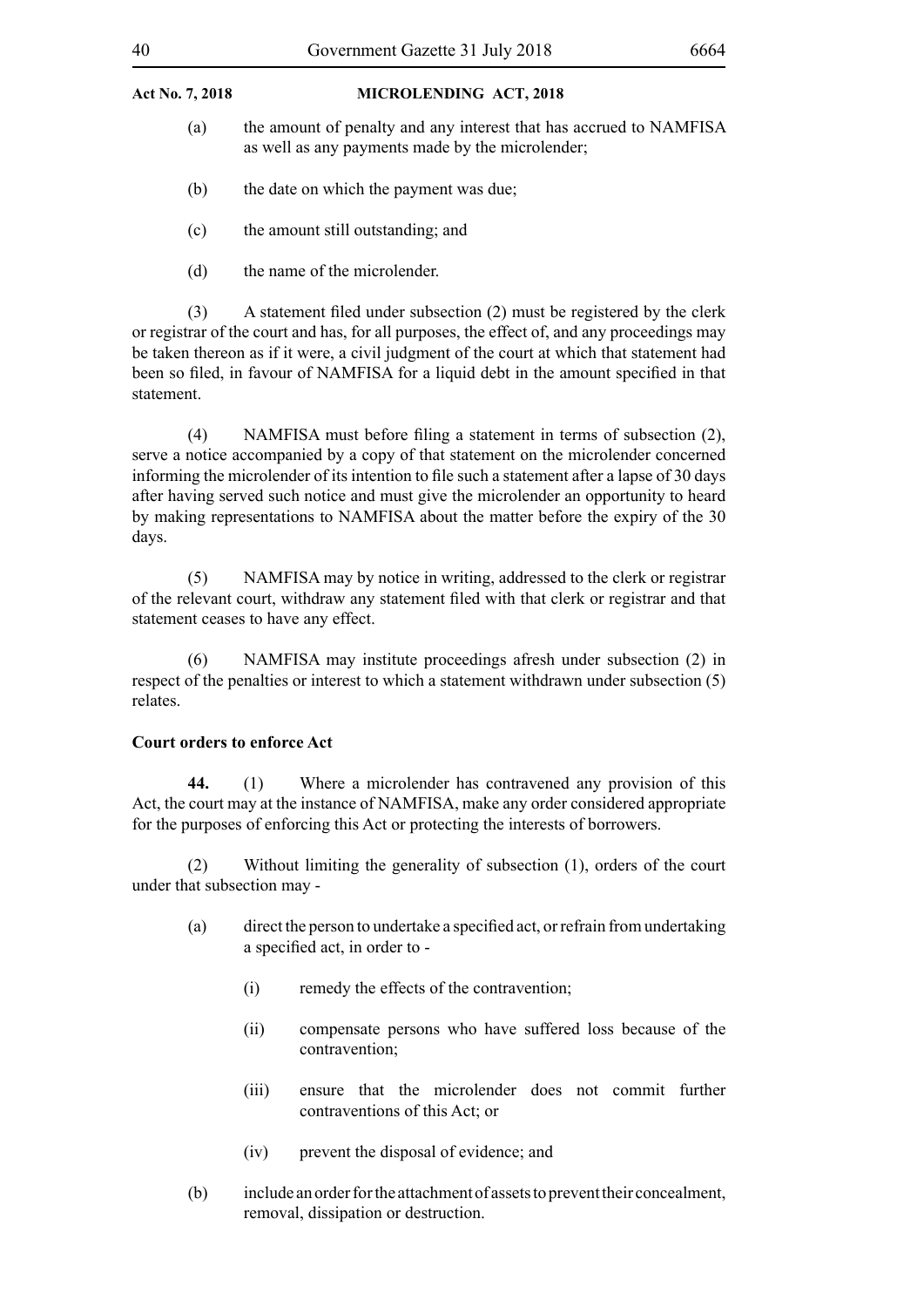- (a) the amount of penalty and any interest that has accrued to NAMFISA as well as any payments made by the microlender;
- (b) the date on which the payment was due;
- (c) the amount still outstanding; and
- (d) the name of the microlender.

 (3) A statement filed under subsection (2) must be registered by the clerk or registrar of the court and has, for all purposes, the effect of, and any proceedings may be taken thereon as if it were, a civil judgment of the court at which that statement had been so filed, in favour of NAMFISA for a liquid debt in the amount specified in that statement.

 (4) NAMFISA must before filing a statement in terms of subsection (2), serve a notice accompanied by a copy of that statement on the microlender concerned informing the microlender of its intention to file such a statement after a lapse of 30 days after having served such notice and must give the microlender an opportunity to heard by making representations to NAMFISA about the matter before the expiry of the 30 days.

(5) NAMFISA may by notice in writing, addressed to the clerk or registrar of the relevant court, withdraw any statement filed with that clerk or registrar and that statement ceases to have any effect.

(6) NAMFISA may institute proceedings afresh under subsection (2) in respect of the penalties or interest to which a statement withdrawn under subsection (5) relates.

### **Court orders to enforce Act**

**44.** (1) Where a microlender has contravened any provision of this Act, the court may at the instance of NAMFISA, make any order considered appropriate for the purposes of enforcing this Act or protecting the interests of borrowers.

(2) Without limiting the generality of subsection (1), orders of the court under that subsection may -

- (a) direct the person to undertake a specified act, orrefrain from undertaking a specified act, in order to -
	- (i) remedy the effects of the contravention;
	- (ii) compensate persons who have suffered loss because of the contravention;
	- (iii) ensure that the microlender does not commit further contraventions of this Act; or
	- (iv) prevent the disposal of evidence; and
- (b) include an order for the attachment of assets to prevent their concealment, removal, dissipation or destruction.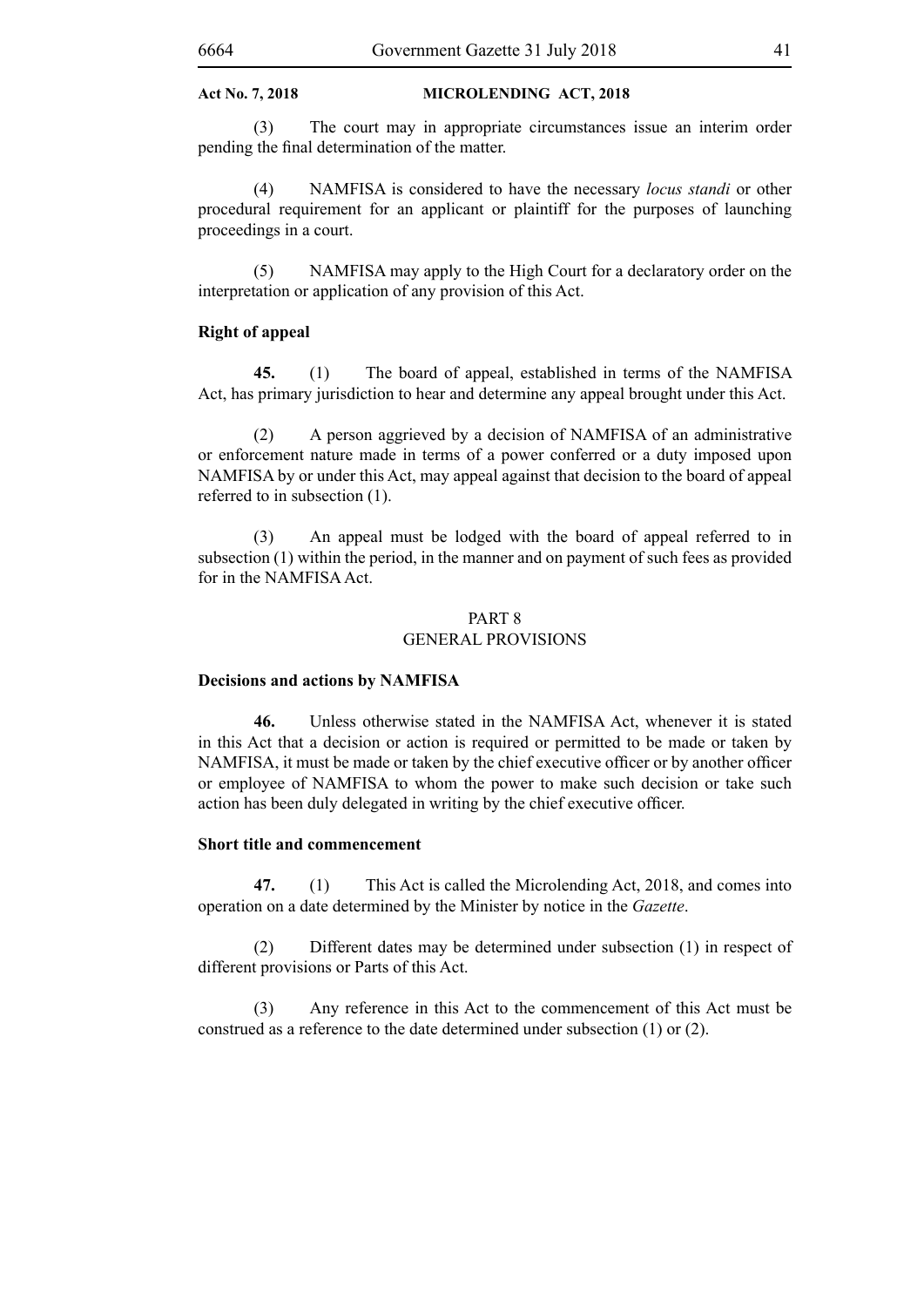(3) The court may in appropriate circumstances issue an interim order pending the final determination of the matter.

(4) NAMFISA is considered to have the necessary *locus standi* or other procedural requirement for an applicant or plaintiff for the purposes of launching proceedings in a court.

(5) NAMFISA may apply to the High Court for a declaratory order on the interpretation or application of any provision of this Act.

#### **Right of appeal**

**45.** (1) The board of appeal, established in terms of the NAMFISA Act, has primary jurisdiction to hear and determine any appeal brought under this Act.

(2) A person aggrieved by a decision of NAMFISA of an administrative or enforcement nature made in terms of a power conferred or a duty imposed upon NAMFISA by or under this Act, may appeal against that decision to the board of appeal referred to in subsection (1).

(3) An appeal must be lodged with the board of appeal referred to in subsection (1) within the period, in the manner and on payment of such fees as provided for in the NAMFISA Act.

#### PART 8 GENERAL PROVISIONS

#### **Decisions and actions by NAMFISA**

**46.** Unless otherwise stated in the NAMFISA Act, whenever it is stated in this Act that a decision or action is required or permitted to be made or taken by NAMFISA, it must be made or taken by the chief executive officer or by another officer or employee of NAMFISA to whom the power to make such decision or take such action has been duly delegated in writing by the chief executive officer.

#### **Short title and commencement**

**47.** (1) This Act is called the Microlending Act, 2018, and comes into operation on a date determined by the Minister by notice in the *Gazette*.

(2) Different dates may be determined under subsection (1) in respect of different provisions or Parts of this Act.

(3) Any reference in this Act to the commencement of this Act must be construed as a reference to the date determined under subsection (1) or (2).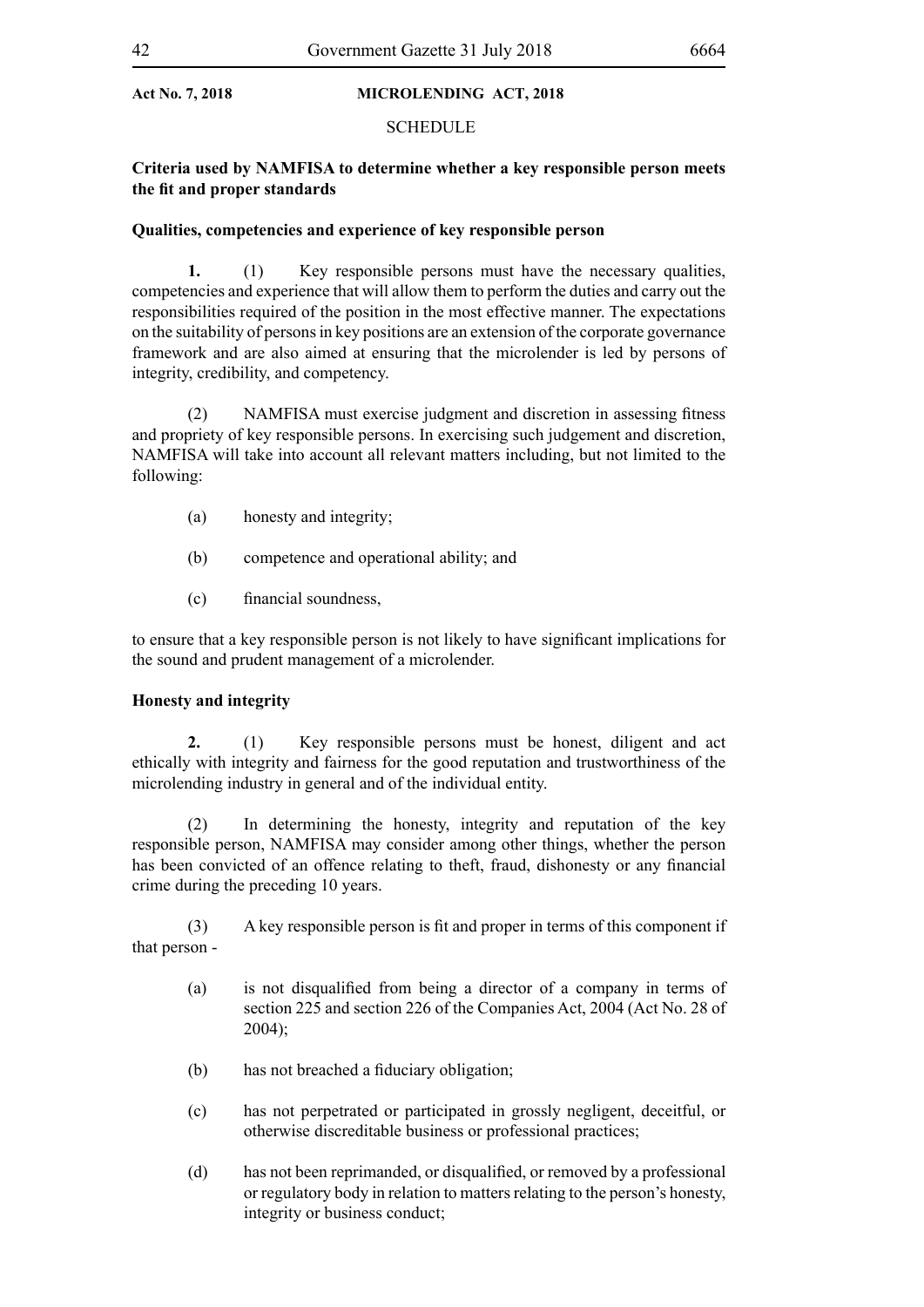#### **SCHEDULE**

### **Criteria used by NAMFISA to determine whether a key responsible person meets the fit and proper standards**

#### **Qualities, competencies and experience of key responsible person**

**1.** (1) Key responsible persons must have the necessary qualities, competencies and experience that will allow them to perform the duties and carry out the responsibilities required of the position in the most effective manner. The expectations on the suitability of persons in key positions are an extension of the corporate governance framework and are also aimed at ensuring that the microlender is led by persons of integrity, credibility, and competency.

(2) NAMFISA must exercise judgment and discretion in assessing fitness and propriety of key responsible persons. In exercising such judgement and discretion, NAMFISA will take into account all relevant matters including, but not limited to the following:

- (a) honesty and integrity;
- (b) competence and operational ability; and
- (c) financial soundness,

to ensure that a key responsible person is not likely to have significant implications for the sound and prudent management of a microlender.

#### **Honesty and integrity**

**2.** (1) Key responsible persons must be honest, diligent and act ethically with integrity and fairness for the good reputation and trustworthiness of the microlending industry in general and of the individual entity.

(2) In determining the honesty, integrity and reputation of the key responsible person, NAMFISA may consider among other things, whether the person has been convicted of an offence relating to theft, fraud, dishonesty or any financial crime during the preceding 10 years.

 (3) A key responsible person is fit and proper in terms of this component if that person -

- (a) is not disqualified from being a director of a company in terms of section 225 and section 226 of the Companies Act, 2004 (Act No. 28 of 2004);
- (b) has not breached a fiduciary obligation;
- (c) has not perpetrated or participated in grossly negligent, deceitful, or otherwise discreditable business or professional practices;
- (d) has not been reprimanded, or disqualified, or removed by a professional or regulatory body in relation to matters relating to the person's honesty, integrity or business conduct;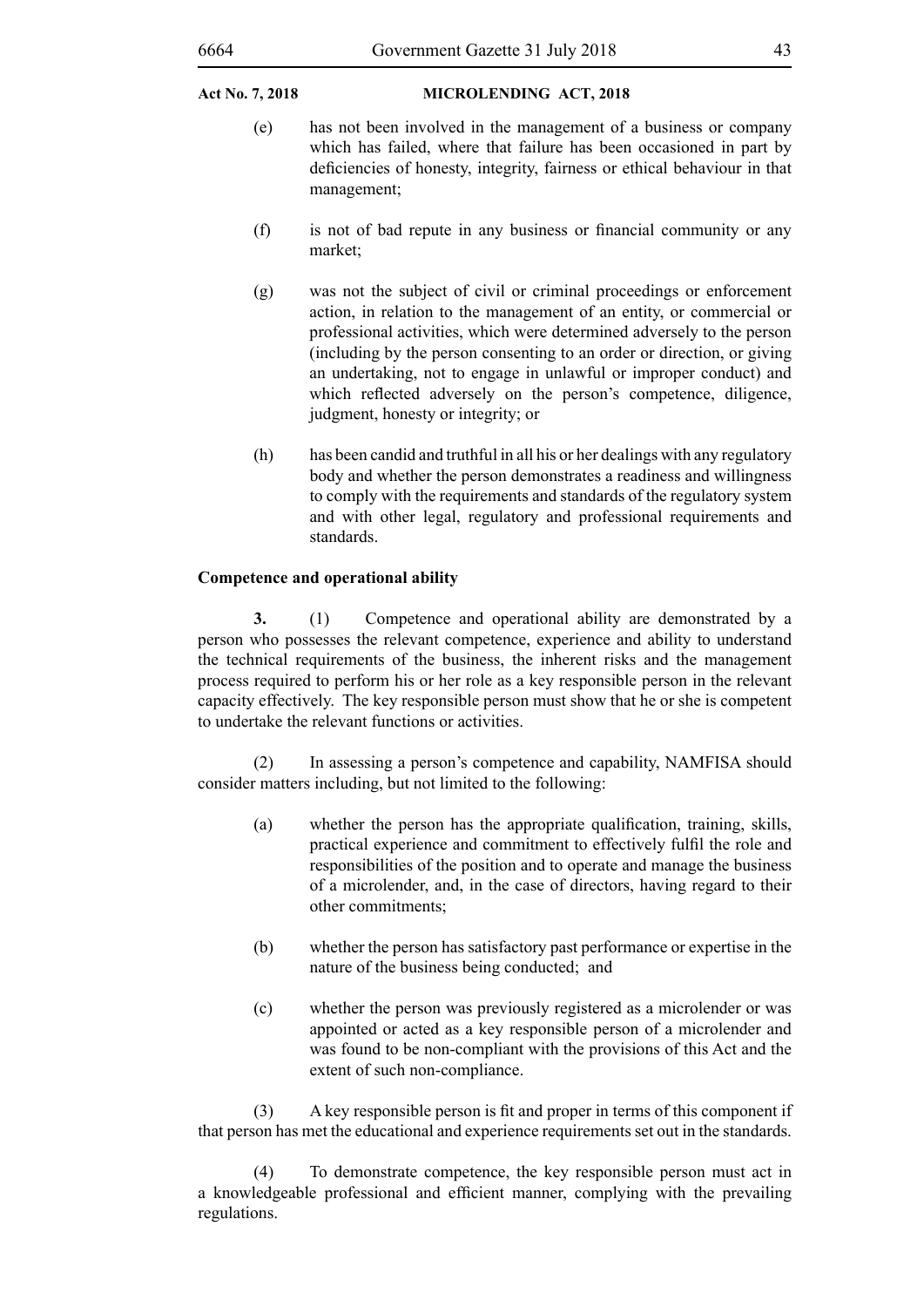- (e) has not been involved in the management of a business or company which has failed, where that failure has been occasioned in part by deficiencies of honesty, integrity, fairness or ethical behaviour in that management;
- (f) is not of bad repute in any business or financial community or any market;
- (g) was not the subject of civil or criminal proceedings or enforcement action, in relation to the management of an entity, or commercial or professional activities, which were determined adversely to the person (including by the person consenting to an order or direction, or giving an undertaking, not to engage in unlawful or improper conduct) and which reflected adversely on the person's competence, diligence, judgment, honesty or integrity; or
- (h) has been candid and truthful in all his or her dealings with any regulatory body and whether the person demonstrates a readiness and willingness to comply with the requirements and standards of the regulatory system and with other legal, regulatory and professional requirements and standards.

#### **Competence and operational ability**

**3.** (1) Competence and operational ability are demonstrated by a person who possesses the relevant competence, experience and ability to understand the technical requirements of the business, the inherent risks and the management process required to perform his or her role as a key responsible person in the relevant capacity effectively. The key responsible person must show that he or she is competent to undertake the relevant functions or activities.

(2) In assessing a person's competence and capability, NAMFISA should consider matters including, but not limited to the following:

- (a) whether the person has the appropriate qualification, training, skills, practical experience and commitment to effectively fulfil the role and responsibilities of the position and to operate and manage the business of a microlender, and, in the case of directors, having regard to their other commitments;
- (b) whether the person has satisfactory past performance or expertise in the nature of the business being conducted; and
- (c) whether the person was previously registered as a microlender or was appointed or acted as a key responsible person of a microlender and was found to be non-compliant with the provisions of this Act and the extent of such non-compliance.

 (3) A key responsible person is fit and proper in terms of this component if that person has met the educational and experience requirements set out in the standards.

(4) To demonstrate competence, the key responsible person must act in a knowledgeable professional and efficient manner, complying with the prevailing regulations.